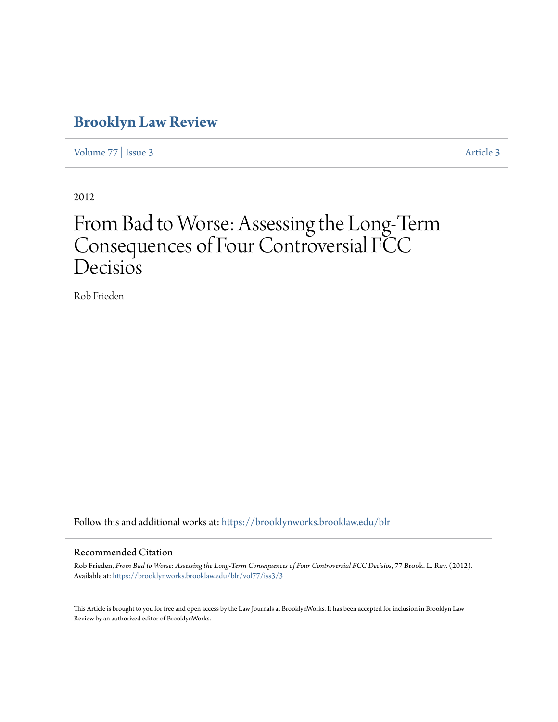## **[Brooklyn Law Review](https://brooklynworks.brooklaw.edu/blr?utm_source=brooklynworks.brooklaw.edu%2Fblr%2Fvol77%2Fiss3%2F3&utm_medium=PDF&utm_campaign=PDFCoverPages)**

[Volume 77](https://brooklynworks.brooklaw.edu/blr/vol77?utm_source=brooklynworks.brooklaw.edu%2Fblr%2Fvol77%2Fiss3%2F3&utm_medium=PDF&utm_campaign=PDFCoverPages) | [Issue 3](https://brooklynworks.brooklaw.edu/blr/vol77/iss3?utm_source=brooklynworks.brooklaw.edu%2Fblr%2Fvol77%2Fiss3%2F3&utm_medium=PDF&utm_campaign=PDFCoverPages) [Article 3](https://brooklynworks.brooklaw.edu/blr/vol77/iss3/3?utm_source=brooklynworks.brooklaw.edu%2Fblr%2Fvol77%2Fiss3%2F3&utm_medium=PDF&utm_campaign=PDFCoverPages)

2012

# From Bad to Worse: Assessing the Long-Term Consequences of Four Controversial FCC Decisios

Rob Frieden

Follow this and additional works at: [https://brooklynworks.brooklaw.edu/blr](https://brooklynworks.brooklaw.edu/blr?utm_source=brooklynworks.brooklaw.edu%2Fblr%2Fvol77%2Fiss3%2F3&utm_medium=PDF&utm_campaign=PDFCoverPages)

### Recommended Citation

Rob Frieden, *From Bad to Worse: Assessing the Long-Term Consequences of Four Controversial FCC Decisios*, 77 Brook. L. Rev. (2012). Available at: [https://brooklynworks.brooklaw.edu/blr/vol77/iss3/3](https://brooklynworks.brooklaw.edu/blr/vol77/iss3/3?utm_source=brooklynworks.brooklaw.edu%2Fblr%2Fvol77%2Fiss3%2F3&utm_medium=PDF&utm_campaign=PDFCoverPages)

This Article is brought to you for free and open access by the Law Journals at BrooklynWorks. It has been accepted for inclusion in Brooklyn Law Review by an authorized editor of BrooklynWorks.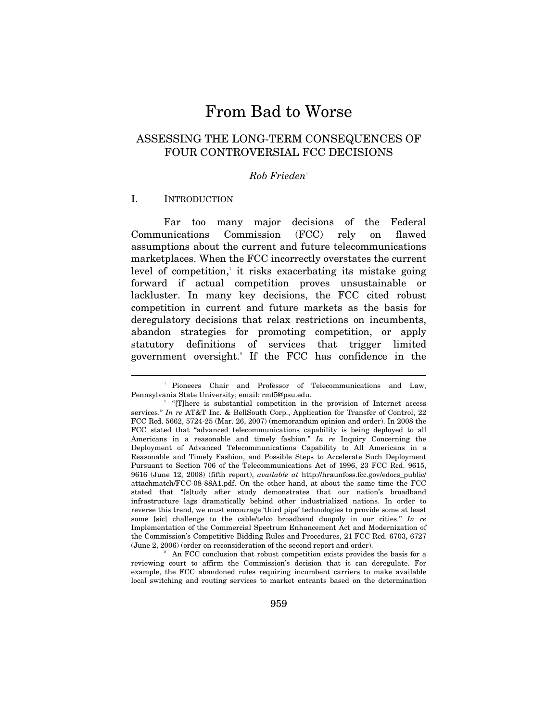# From Bad to Worse

### ASSESSING THE LONG-TERM CONSEQUENCES OF FOUR CONTROVERSIAL FCC DECISIONS

### *Rob Frieden*†

### I. INTRODUCTION

 $\overline{a}$ 

Far too many major decisions of the Federal Communications Commission (FCC) rely on flawed assumptions about the current and future telecommunications marketplaces. When the FCC incorrectly overstates the current level of competition,<sup>1</sup> it risks exacerbating its mistake going forward if actual competition proves unsustainable or lackluster. In many key decisions, the FCC cited robust competition in current and future markets as the basis for deregulatory decisions that relax restrictions on incumbents, abandon strategies for promoting competition, or apply statutory definitions of services that trigger limited government oversight.2 If the FCC has confidence in the

<sup>†</sup> Pioneers Chair and Professor of Telecommunications and Law, Pennsylvania State University; email: rmf5@psu.edu. 1

<sup>&</sup>lt;sup>1</sup> "[T]here is substantial competition in the provision of Internet access services." *In re* AT&T Inc. & BellSouth Corp., Application for Transfer of Control, 22 FCC Rcd. 5662, 5724-25 (Mar. 26, 2007) (memorandum opinion and order). In 2008 the FCC stated that "advanced telecommunications capability is being deployed to all Americans in a reasonable and timely fashion*.*" *In re* Inquiry Concerning the Deployment of Advanced Telecommunications Capability to All Americans in a Reasonable and Timely Fashion, and Possible Steps to Accelerate Such Deployment Pursuant to Section 706 of the Telecommunications Act of 1996, 23 FCC Rcd. 9615, 9616 (June 12, 2008) (fifth report), *available at* http://hraunfoss.fcc.gov/edocs\_public/ attachmatch/FCC-08-88A1.pdf. On the other hand, at about the same time the FCC stated that "[s]tudy after study demonstrates that our nation's broadband infrastructure lags dramatically behind other industrialized nations. In order to reverse this trend, we must encourage 'third pipe' technologies to provide some at least some [sic] challenge to the cable/telco broadband duopoly in our cities." *In re* Implementation of the Commercial Spectrum Enhancement Act and Modernization of the Commission's Competitive Bidding Rules and Procedures, 21 FCC Rcd. 6703, 6727 (June 2, 2006) (order on reconsideration of the second report and order). 2

An FCC conclusion that robust competition exists provides the basis for a reviewing court to affirm the Commission's decision that it can deregulate. For example, the FCC abandoned rules requiring incumbent carriers to make available local switching and routing services to market entrants based on the determination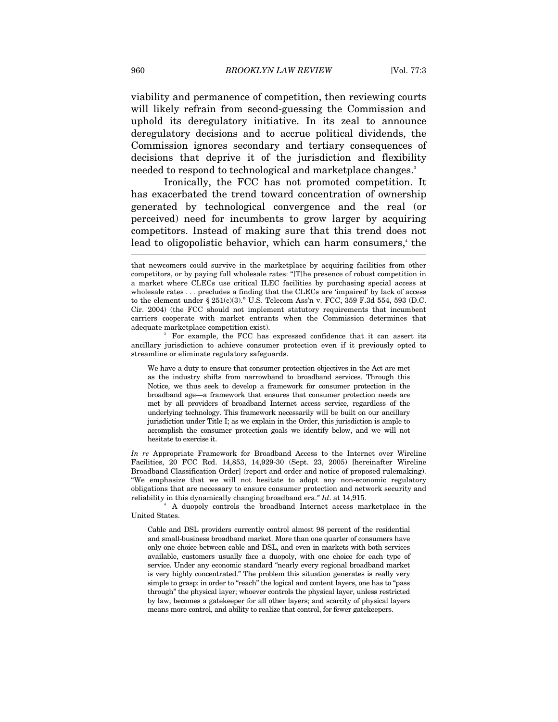viability and permanence of competition, then reviewing courts will likely refrain from second-guessing the Commission and uphold its deregulatory initiative. In its zeal to announce deregulatory decisions and to accrue political dividends, the Commission ignores secondary and tertiary consequences of decisions that deprive it of the jurisdiction and flexibility needed to respond to technological and marketplace changes.<sup>3</sup>

Ironically, the FCC has not promoted competition. It has exacerbated the trend toward concentration of ownership generated by technological convergence and the real (or perceived) need for incumbents to grow larger by acquiring competitors. Instead of making sure that this trend does not lead to oligopolistic behavior, which can harm consumers,<sup>4</sup> the

<sup>3</sup> For example, the FCC has expressed confidence that it can assert its ancillary jurisdiction to achieve consumer protection even if it previously opted to streamline or eliminate regulatory safeguards.

We have a duty to ensure that consumer protection objectives in the Act are met as the industry shifts from narrowband to broadband services. Through this Notice, we thus seek to develop a framework for consumer protection in the broadband age—a framework that ensures that consumer protection needs are met by all providers of broadband Internet access service, regardless of the underlying technology. This framework necessarily will be built on our ancillary jurisdiction under Title I; as we explain in the Order, this jurisdiction is ample to accomplish the consumer protection goals we identify below, and we will not hesitate to exercise it.

*In re* Appropriate Framework for Broadband Access to the Internet over Wireline Facilities, 20 FCC Rcd. 14,853, 14,929-30 (Sept. 23, 2005) [hereinafter Wireline Broadband Classification Order] (report and order and notice of proposed rulemaking). "We emphasize that we will not hesitate to adopt any non-economic regulatory obligations that are necessary to ensure consumer protection and network security and reliability in this dynamically changing broadband era." *Id*. at 14,915. 4

 A duopoly controls the broadband Internet access marketplace in the United States.

Cable and DSL providers currently control almost 98 percent of the residential and small-business broadband market. More than one quarter of consumers have only one choice between cable and DSL, and even in markets with both services available, customers usually face a duopoly, with one choice for each type of service. Under any economic standard "nearly every regional broadband market is very highly concentrated." The problem this situation generates is really very simple to grasp: in order to "reach" the logical and content layers, one has to "pass through" the physical layer; whoever controls the physical layer, unless restricted by law, becomes a gatekeeper for all other layers; and scarcity of physical layers means more control, and ability to realize that control, for fewer gatekeepers.

that newcomers could survive in the marketplace by acquiring facilities from other competitors, or by paying full wholesale rates: "[T]he presence of robust competition in a market where CLECs use critical ILEC facilities by purchasing special access at wholesale rates . . . precludes a finding that the CLECs are 'impaired' by lack of access to the element under  $\S 251(c)(3)$ ." U.S. Telecom Ass'n v. FCC, 359 F.3d 554, 593 (D.C. Cir. 2004) (the FCC should not implement statutory requirements that incumbent carriers cooperate with market entrants when the Commission determines that adequate marketplace competition exist).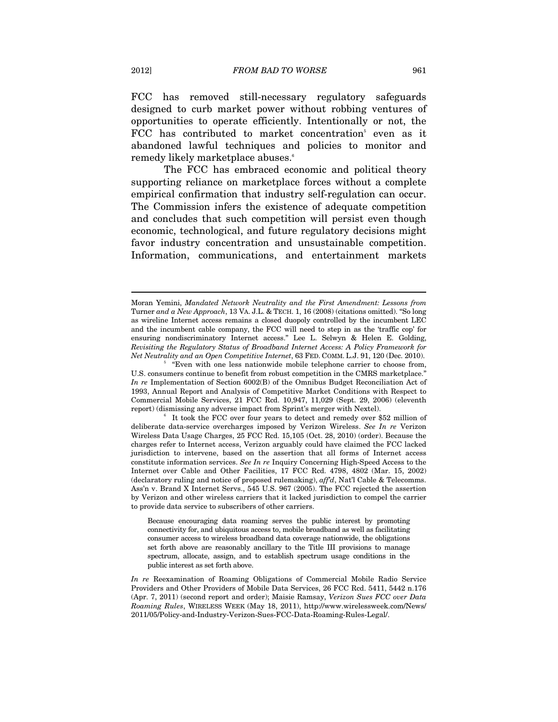FCC has removed still-necessary regulatory safeguards designed to curb market power without robbing ventures of opportunities to operate efficiently. Intentionally or not, the FCC has contributed to market concentration<sup>5</sup> even as it abandoned lawful techniques and policies to monitor and remedy likely marketplace abuses.<sup>6</sup>

The FCC has embraced economic and political theory supporting reliance on marketplace forces without a complete empirical confirmation that industry self-regulation can occur. The Commission infers the existence of adequate competition and concludes that such competition will persist even though economic, technological, and future regulatory decisions might favor industry concentration and unsustainable competition. Information, communications, and entertainment markets

Moran Yemini, *Mandated Network Neutrality and the First Amendment: Lessons from*  Turner *and a New Approach*, 13 VA. J.L. & TECH. 1, 16 (2008) (citations omitted). "So long as wireline Internet access remains a closed duopoly controlled by the incumbent LEC and the incumbent cable company, the FCC will need to step in as the 'traffic cop' for ensuring nondiscriminatory Internet access." Lee L. Selwyn & Helen E. Golding, *Revisiting the Regulatory Status of Broadband Internet Access: A Policy Framework for Net Neutrality and an Open Competitive Internet*, 63 FED. COMM. L.J. 91, 120 (Dec. 2010).

 $5$  "Even with one less nationwide mobile telephone carrier to choose from, U.S. consumers continue to benefit from robust competition in the CMRS marketplace." *In re* Implementation of Section 6002(B) of the Omnibus Budget Reconciliation Act of 1993, Annual Report and Analysis of Competitive Market Conditions with Respect to Commercial Mobile Services, 21 FCC Rcd. 10,947, 11,029 (Sept. 29, 2006) (eleventh report) (dismissing any adverse impact from Sprint's merger with Nextel). 6

It took the FCC over four years to detect and remedy over \$52 million of deliberate data-service overcharges imposed by Verizon Wireless. *See In re* Verizon Wireless Data Usage Charges, 25 FCC Rcd. 15,105 (Oct. 28, 2010) (order). Because the charges refer to Internet access, Verizon arguably could have claimed the FCC lacked jurisdiction to intervene, based on the assertion that all forms of Internet access constitute information services. *See In re* Inquiry Concerning High-Speed Access to the Internet over Cable and Other Facilities, 17 FCC Rcd. 4798, 4802 (Mar. 15, 2002) (declaratory ruling and notice of proposed rulemaking), *aff'd*, Nat'l Cable & Telecomms. Ass'n v. Brand X Internet Servs., 545 U.S. 967 (2005). The FCC rejected the assertion by Verizon and other wireless carriers that it lacked jurisdiction to compel the carrier to provide data service to subscribers of other carriers.

Because encouraging data roaming serves the public interest by promoting connectivity for, and ubiquitous access to, mobile broadband as well as facilitating consumer access to wireless broadband data coverage nationwide, the obligations set forth above are reasonably ancillary to the Title III provisions to manage spectrum, allocate, assign, and to establish spectrum usage conditions in the public interest as set forth above.

*In re* Reexamination of Roaming Obligations of Commercial Mobile Radio Service Providers and Other Providers of Mobile Data Services, 26 FCC Rcd. 5411, 5442 n.176 (Apr. 7, 2011) (second report and order); Maisie Ramsay, *Verizon Sues FCC over Data Roaming Rules*, WIRELESS WEEK (May 18, 2011), http://www.wirelessweek.com/News/ 2011/05/Policy-and-Industry-Verizon-Sues-FCC-Data-Roaming-Rules-Legal/.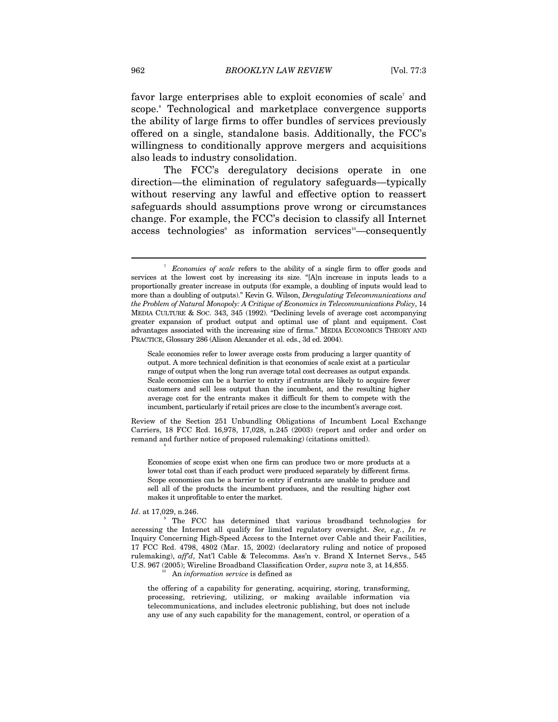favor large enterprises able to exploit economies of scale<sup>7</sup> and scope.<sup>8</sup> Technological and marketplace convergence supports the ability of large firms to offer bundles of services previously offered on a single, standalone basis. Additionally, the FCC's willingness to conditionally approve mergers and acquisitions also leads to industry consolidation.

The FCC's deregulatory decisions operate in one direction—the elimination of regulatory safeguards—typically without reserving any lawful and effective option to reassert safeguards should assumptions prove wrong or circumstances change. For example, the FCC's decision to classify all Internet access technologies<sup>3</sup> as information services<sup>10</sup>—consequently

Review of the Section 251 Unbundling Obligations of Incumbent Local Exchange Carriers, 18 FCC Rcd. 16,978, 17,028, n.245 (2003) (report and order and order on remand and further notice of proposed rulemaking) (citations omitted). 8

Economies of scope exist when one firm can produce two or more products at a lower total cost than if each product were produced separately by different firms. Scope economies can be a barrier to entry if entrants are unable to produce and sell all of the products the incumbent produces, and the resulting higher cost makes it unprofitable to enter the market.

### Id. at 17,029, n.246.

the offering of a capability for generating, acquiring, storing, transforming, processing, retrieving, utilizing, or making available information via telecommunications, and includes electronic publishing, but does not include any use of any such capability for the management, control, or operation of a

<sup>&</sup>lt;sup>7</sup> Economies of scale refers to the ability of a single firm to offer goods and services at the lowest cost by increasing its size. "[A]n increase in inputs leads to a proportionally greater increase in outputs (for example, a doubling of inputs would lead to more than a doubling of outputs)." Kevin G. Wilson, *Deregulating Telecommunications and the Problem of Natural Monopoly: A Critique of Economics in Telecommunications Policy*, 14 MEDIA CULTURE & SOC. 343, 345 (1992). "Declining levels of average cost accompanying greater expansion of product output and optimal use of plant and equipment. Cost advantages associated with the increasing size of firms." MEDIA ECONOMICS THEORY AND PRACTICE, Glossary 286 (Alison Alexander et al. eds., 3d ed. 2004).

Scale economies refer to lower average costs from producing a larger quantity of output. A more technical definition is that economies of scale exist at a particular range of output when the long run average total cost decreases as output expands. Scale economies can be a barrier to entry if entrants are likely to acquire fewer customers and sell less output than the incumbent, and the resulting higher average cost for the entrants makes it difficult for them to compete with the incumbent, particularly if retail prices are close to the incumbent's average cost.

<sup>&</sup>lt;sup>9</sup> The FCC has determined that various broadband technologies for accessing the Internet all qualify for limited regulatory oversight. *See, e.g.*, *In re*  Inquiry Concerning High-Speed Access to the Internet over Cable and their Facilities, 17 FCC Rcd. 4798, 4802 (Mar. 15, 2002) (declaratory ruling and notice of proposed rulemaking), *aff'd*, Nat'l Cable & Telecomms. Ass'n v. Brand X Internet Servs., 545 U.S. 967 (2005); Wireline Broadband Classification Order, *supra* note 3, at 14,855.<br><sup>10</sup> An *information service* is defined as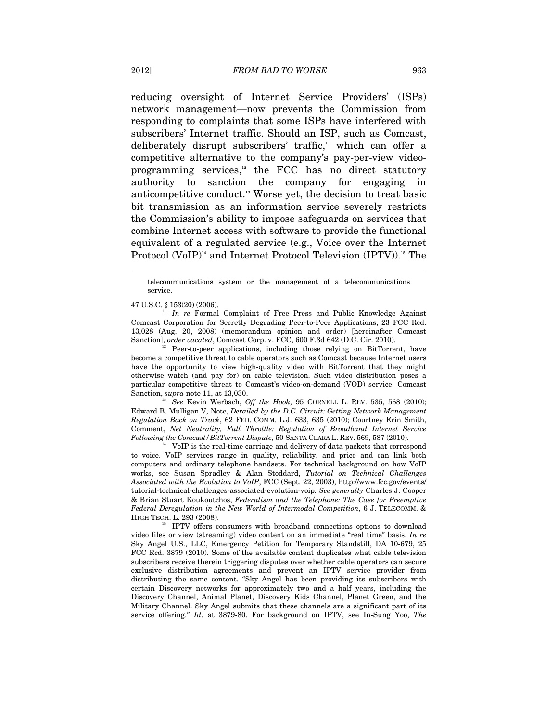reducing oversight of Internet Service Providers' (ISPs) network management—now prevents the Commission from responding to complaints that some ISPs have interfered with subscribers' Internet traffic. Should an ISP, such as Comcast, deliberately disrupt subscribers' traffic,<sup>11</sup> which can offer a competitive alternative to the company's pay-per-view videoprogramming services, $12$  the FCC has no direct statutory authority to sanction the company for engaging in anticompetitive conduct.13 Worse yet, the decision to treat basic bit transmission as an information service severely restricts the Commission's ability to impose safeguards on services that combine Internet access with software to provide the functional equivalent of a regulated service (e.g., Voice over the Internet Protocol (VoIP)<sup>14</sup> and Internet Protocol Television (IPTV)).<sup>15</sup> The

telecommunications system or the management of a telecommunications service.

47 U.S.C. § 153(20) (2006). 11 *In re* Formal Complaint of Free Press and Public Knowledge Against Comcast Corporation for Secretly Degrading Peer-to-Peer Applications, 23 FCC Rcd. 13,028 (Aug. 20, 2008) (memorandum opinion and order) [hereinafter Comcast Sanction], *order vacated*, Comcast Corp. v. FCC, 600 F.3d 642 (D.C. Cir. 2010).<br><sup>12</sup> Peer-to-peer applications, including those relying on BitTorrent, have

become a competitive threat to cable operators such as Comcast because Internet users have the opportunity to view high-quality video with BitTorrent that they might otherwise watch (and pay for) on cable television. Such video distribution poses a particular competitive threat to Comcast's video-on-demand (VOD) service. Comcast Sanction, *supra* note 11, at 13,030.<br><sup>13</sup> See Kevin Werbach, *Off the Hook*, 95 CORNELL L. REV. 535, 568 (2010);

Edward B. Mulligan V, Note, *Derailed by the D.C. Circuit: Getting Network Management Regulation Back on Track*, 62 FED. COMM. L.J. 633, 635 (2010); Courtney Erin Smith, Comment, *Net Neutrality, Full Throttle: Regulation of Broadband Internet Service Following the Comcast/BitTorrent Dispute*, 50 SANTA CLARA L. REV. 569, 587 (2010). 14 VoIP is the real-time carriage and delivery of data packets that correspond

to voice. VoIP services range in quality, reliability, and price and can link both computers and ordinary telephone handsets. For technical background on how VoIP works, see Susan Spradley & Alan Stoddard, *Tutorial on Technical Challenges Associated with the Evolution to VoIP*, FCC (Sept. 22, 2003), http://www.fcc.gov/events/ tutorial-technical-challenges-associated-evolution-voip. *See generally* Charles J. Cooper & Brian Stuart Koukoutchos, *Federalism and the Telephone: The Case for Preemptive Federal Deregulation in the New World of Intermodal Competition*, 6 J. TELECOMM. &

HIGH TECH. L. 293 (2008). 15 IPTV offers consumers with broadband connections options to download video files or view (streaming) video content on an immediate "real time" basis. *In re* Sky Angel U.S., LLC, Emergency Petition for Temporary Standstill, DA 10-679, 25 FCC Rcd. 3879 (2010). Some of the available content duplicates what cable television subscribers receive therein triggering disputes over whether cable operators can secure exclusive distribution agreements and prevent an IPTV service provider from distributing the same content. "Sky Angel has been providing its subscribers with certain Discovery networks for approximately two and a half years, including the Discovery Channel, Animal Planet, Discovery Kids Channel, Planet Green, and the Military Channel. Sky Angel submits that these channels are a significant part of its service offering." *Id*. at 3879-80. For background on IPTV, see In-Sung Yoo, *The*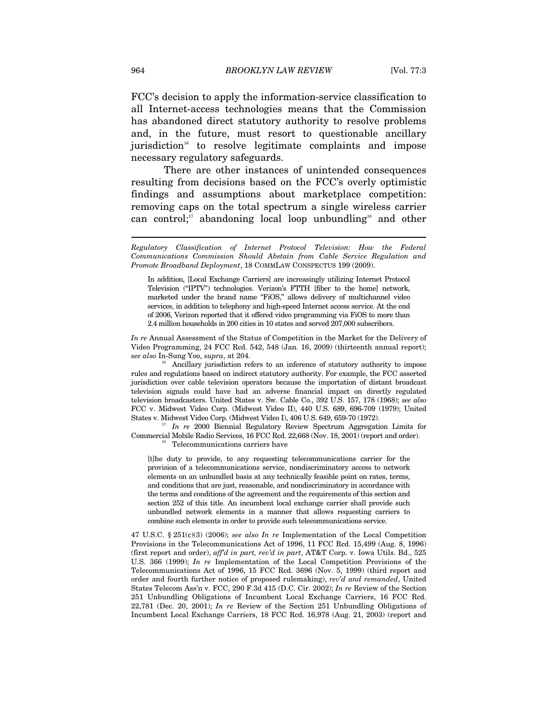FCC's decision to apply the information-service classification to all Internet-access technologies means that the Commission has abandoned direct statutory authority to resolve problems and, in the future, must resort to questionable ancillary jurisdiction<sup>16</sup> to resolve legitimate complaints and impose necessary regulatory safeguards.

There are other instances of unintended consequences resulting from decisions based on the FCC's overly optimistic findings and assumptions about marketplace competition: removing caps on the total spectrum a single wireless carrier can control; $\alpha$ <sup>17</sup> abandoning local loop unbundling<sup>18</sup> and other

In addition, [Local Exchange Carriers] are increasingly utilizing Internet Protocol Television ("IPTV") technologies. Verizon's FTTH [fiber to the home] network, marketed under the brand name "FiOS," allows delivery of multichannel video services, in addition to telephony and high-speed Internet access service. At the end of 2006, Verizon reported that it offered video programming via FiOS to more than 2.4 million households in 200 cities in 10 states and served 207,000 subscribers.

*In re* Annual Assessment of the Status of Competition in the Market for the Delivery of Video Programming, 24 FCC Rcd. 542, 548 (Jan. 16, 2009) (thirteenth annual report);

*see also* In-Sung Yoo, *supra*, at 204.<br><sup>16</sup> Ancillary jurisdiction refers to an inference of statutory authority to impose rules and regulations based on indirect statutory authority. For example, the FCC asserted jurisdiction over cable television operators because the importation of distant broadcast television signals could have had an adverse financial impact on directly regulated television broadcasters. United States v. Sw. Cable Co., 392 U.S. 157, 178 (1968); *see also* FCC v. Midwest Video Corp. (Midwest Video II), 440 U.S. 689, 696-709 (1979); United States v. Midwest Video Corp. (Midwest Video I), 406 U.S. 649, 659-70 (1972). 17 *In re* 2000 Biennial Regulatory Review Spectrum Aggregation Limits for

Commercial Mobile Radio Services, 16 FCC Rcd. 22,668 (Nov. 18, 2001) (report and order). Telecommunications carriers have

[t]he duty to provide, to any requesting telecommunications carrier for the provision of a telecommunications service, nondiscriminatory access to network elements on an unbundled basis at any technically feasible point on rates, terms, and conditions that are just, reasonable, and nondiscriminatory in accordance with the terms and conditions of the agreement and the requirements of this section and section 252 of this title. An incumbent local exchange carrier shall provide such unbundled network elements in a manner that allows requesting carriers to combine such elements in order to provide such telecommunications service.

47 U.S.C. § 251(c)(3) (2006); *see also In re* Implementation of the Local Competition Provisions in the Telecommunications Act of 1996, 11 FCC Rcd. 15,499 (Aug. 8, 1996) (first report and order), *aff'd in part, rev'd in part*, AT&T Corp. v. Iowa Utils. Bd., 525 U.S. 366 (1999); *In re* Implementation of the Local Competition Provisions of the Telecommunications Act of 1996, 15 FCC Rcd. 3696 (Nov. 5, 1999) (third report and order and fourth further notice of proposed rulemaking), *rev'd and remanded*, United States Telecom Ass'n v. FCC, 290 F.3d 415 (D.C. Cir. 2002); *In re* Review of the Section 251 Unbundling Obligations of Incumbent Local Exchange Carriers, 16 FCC Rcd. 22,781 (Dec. 20, 2001); *In re* Review of the Section 251 Unbundling Obligations of Incumbent Local Exchange Carriers, 18 FCC Rcd. 16,978 (Aug. 21, 2003) (report and

*Regulatory Classification of Internet Protocol Television: How the Federal Communications Commission Should Abstain from Cable Service Regulation and Promote Broadband Deployment*, 18 COMMLAW CONSPECTUS 199 (2009).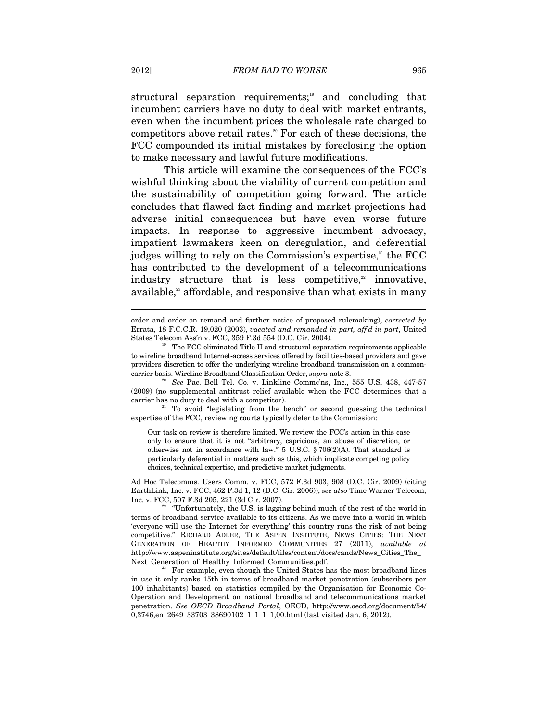structural separation requirements;<sup>19</sup> and concluding that incumbent carriers have no duty to deal with market entrants, even when the incumbent prices the wholesale rate charged to competitors above retail rates.<sup>20</sup> For each of these decisions, the FCC compounded its initial mistakes by foreclosing the option to make necessary and lawful future modifications.

This article will examine the consequences of the FCC's wishful thinking about the viability of current competition and the sustainability of competition going forward. The article concludes that flawed fact finding and market projections had adverse initial consequences but have even worse future impacts. In response to aggressive incumbent advocacy, impatient lawmakers keen on deregulation, and deferential judges willing to rely on the Commission's expertise, $21$  the FCC has contributed to the development of a telecommunications industry structure that is less competitive, $\frac{2}{x}$  innovative, available,<sup>23</sup> affordable, and responsive than what exists in many

 $21$  To avoid "legislating from the bench" or second guessing the technical expertise of the FCC, reviewing courts typically defer to the Commission:

Our task on review is therefore limited. We review the FCC's action in this case only to ensure that it is not "arbitrary, capricious, an abuse of discretion, or otherwise not in accordance with law." 5 U.S.C. § 706(2)(A). That standard is particularly deferential in matters such as this, which implicate competing policy choices, technical expertise, and predictive market judgments.

Ad Hoc Telecomms. Users Comm. v. FCC, 572 F.3d 903, 908 (D.C. Cir. 2009) (citing EarthLink, Inc. v. FCC, 462 F.3d 1, 12 (D.C. Cir. 2006)); *see also* Time Warner Telecom, Inc. v. FCC, 507 F.3d 205, 221 (3d Cir. 2007).<br><sup>22</sup> "Unfortunately, the U.S. is lagging behind much of the rest of the world in

 $^{23}$  For example, even though the United States has the most broadband lines in use it only ranks 15th in terms of broadband market penetration (subscribers per 100 inhabitants) based on statistics compiled by the Organisation for Economic Co-Operation and Development on national broadband and telecommunications market penetration. *See OECD Broadband Portal*, OECD, http://www.oecd.org/document/54/ 0,3746,en\_2649\_33703\_38690102\_1\_1\_1\_1,00.html (last visited Jan. 6, 2012).

order and order on remand and further notice of proposed rulemaking), *corrected by* Errata, 18 F.C.C.R. 19,020 (2003), *vacated and remanded in part, aff'd in part*, United States Telecom Ass'n v. FCC, 359 F.3d 554 (D.C. Cir. 2004).<br><sup>19</sup> The FCC eliminated Title II and structural separation requirements applicable

to wireline broadband Internet-access services offered by facilities-based providers and gave providers discretion to offer the underlying wireline broadband transmission on a commoncarrier basis. Wireline Broadband Classification Order, *supra* note 3. 20 *See* Pac. Bell Tel. Co. v. Linkline Commc'ns, Inc., 555 U.S. 438, 447-57

<sup>(2009) (</sup>no supplemental antitrust relief available when the FCC determines that a

terms of broadband service available to its citizens. As we move into a world in which 'everyone will use the Internet for everything' this country runs the risk of not being competitive." RICHARD ADLER, THE ASPEN INSTITUTE, NEWS CITIES: THE NEXT GENERATION OF HEALTHY INFORMED COMMUNITIES 27 (2011), *available at* http://www.aspeninstitute.org/sites/default/files/content/docs/cands/News\_Cities\_The\_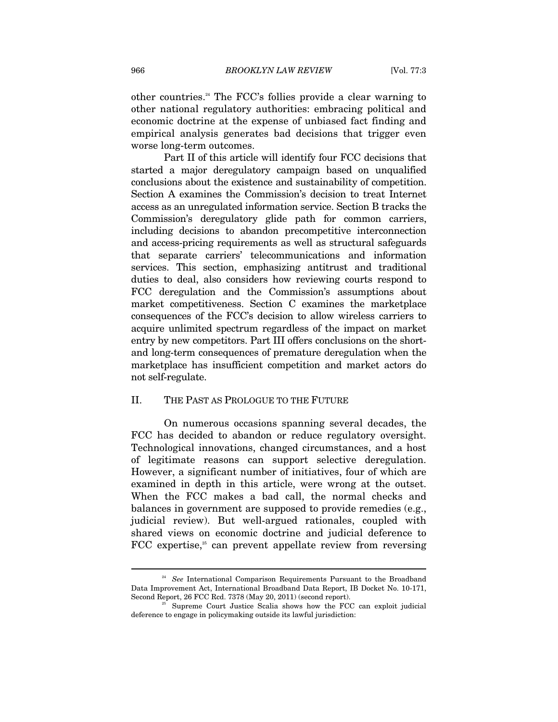other countries.24 The FCC's follies provide a clear warning to other national regulatory authorities: embracing political and economic doctrine at the expense of unbiased fact finding and empirical analysis generates bad decisions that trigger even worse long-term outcomes.

Part II of this article will identify four FCC decisions that started a major deregulatory campaign based on unqualified conclusions about the existence and sustainability of competition. Section A examines the Commission's decision to treat Internet access as an unregulated information service. Section B tracks the Commission's deregulatory glide path for common carriers, including decisions to abandon precompetitive interconnection and access-pricing requirements as well as structural safeguards that separate carriers' telecommunications and information services. This section, emphasizing antitrust and traditional duties to deal, also considers how reviewing courts respond to FCC deregulation and the Commission's assumptions about market competitiveness. Section C examines the marketplace consequences of the FCC's decision to allow wireless carriers to acquire unlimited spectrum regardless of the impact on market entry by new competitors. Part III offers conclusions on the shortand long-term consequences of premature deregulation when the marketplace has insufficient competition and market actors do not self-regulate.

### II. THE PAST AS PROLOGUE TO THE FUTURE

On numerous occasions spanning several decades, the FCC has decided to abandon or reduce regulatory oversight. Technological innovations, changed circumstances, and a host of legitimate reasons can support selective deregulation. However, a significant number of initiatives, four of which are examined in depth in this article, were wrong at the outset. When the FCC makes a bad call, the normal checks and balances in government are supposed to provide remedies (e.g., judicial review). But well-argued rationales, coupled with shared views on economic doctrine and judicial deference to FCC expertise,<sup>25</sup> can prevent appellate review from reversing

<sup>&</sup>lt;sup>24</sup> See International Comparison Requirements Pursuant to the Broadband Data Improvement Act, International Broadband Data Report, IB Docket No. 10-171,

Supreme Court Justice Scalia shows how the FCC can exploit judicial deference to engage in policymaking outside its lawful jurisdiction: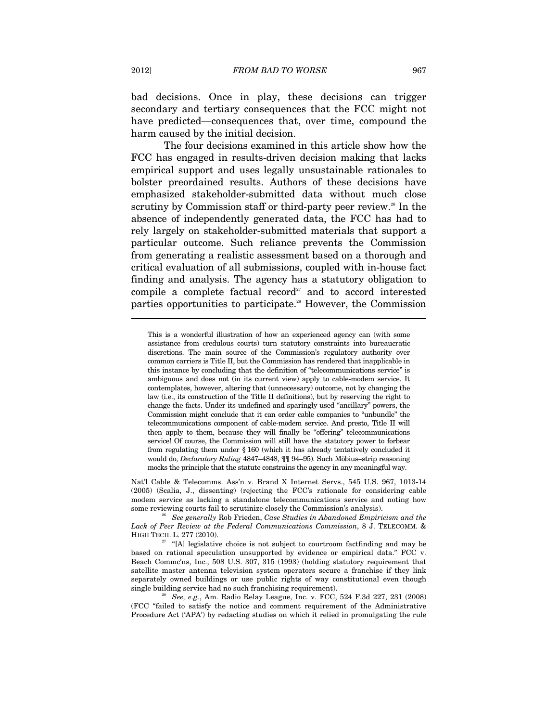bad decisions. Once in play, these decisions can trigger secondary and tertiary consequences that the FCC might not have predicted—consequences that, over time, compound the harm caused by the initial decision.

The four decisions examined in this article show how the FCC has engaged in results-driven decision making that lacks empirical support and uses legally unsustainable rationales to bolster preordained results. Authors of these decisions have emphasized stakeholder-submitted data without much close scrutiny by Commission staff or third-party peer review.<sup>26</sup> In the absence of independently generated data, the FCC has had to rely largely on stakeholder-submitted materials that support a particular outcome. Such reliance prevents the Commission from generating a realistic assessment based on a thorough and critical evaluation of all submissions, coupled with in-house fact finding and analysis. The agency has a statutory obligation to compile a complete factual record<sup> $27$ </sup> and to accord interested parties opportunities to participate.<sup>28</sup> However, the Commission

Nat'l Cable & Telecomms. Ass'n v. Brand X Internet Servs., 545 U.S. 967, 1013-14 (2005) (Scalia, J., dissenting) (rejecting the FCC's rationale for considering cable modem service as lacking a standalone telecommunications service and noting how some reviewing courts fail to scrutinize closely the Commission's analysis).

<sup>26</sup> See generally Rob Frieden, Case Studies in Abandoned Empiricism and the *Lack of Peer Review at the Federal Communications Commission*, 8 J. TELECOMM. & HIGH TECH. L. 277 (2010). <sup>27</sup> "[A] legislative choice is not subject to courtroom factfinding and may be

(FCC "failed to satisfy the notice and comment requirement of the Administrative Procedure Act ('APA') by redacting studies on which it relied in promulgating the rule

This is a wonderful illustration of how an experienced agency can (with some assistance from credulous courts) turn statutory constraints into bureaucratic discretions. The main source of the Commission's regulatory authority over common carriers is Title II, but the Commission has rendered that inapplicable in this instance by concluding that the definition of "telecommunications service" is ambiguous and does not (in its current view) apply to cable-modem service. It contemplates, however, altering that (unnecessary) outcome, not by changing the law (i.e., its construction of the Title II definitions), but by reserving the right to change the facts. Under its undefined and sparingly used "ancillary" powers, the Commission might conclude that it can order cable companies to "unbundle" the telecommunications component of cable-modem service. And presto, Title II will then apply to them, because they will finally be "offering" telecommunications service! Of course, the Commission will still have the statutory power to forbear from regulating them under § 160 (which it has already tentatively concluded it would do, *Declaratory Ruling* 4847–4848, ¶¶ 94–95). Such Möbius–strip reasoning mocks the principle that the statute constrains the agency in any meaningful way.

based on rational speculation unsupported by evidence or empirical data." FCC v. Beach Commc'ns, Inc., 508 U.S. 307, 315 (1993) (holding statutory requirement that satellite master antenna television system operators secure a franchise if they link separately owned buildings or use public rights of way constitutional even though single building service had no such franchising requirement). 28 *See, e.g.*, Am. Radio Relay League, Inc. v. FCC, 524 F.3d 227, 231 (2008)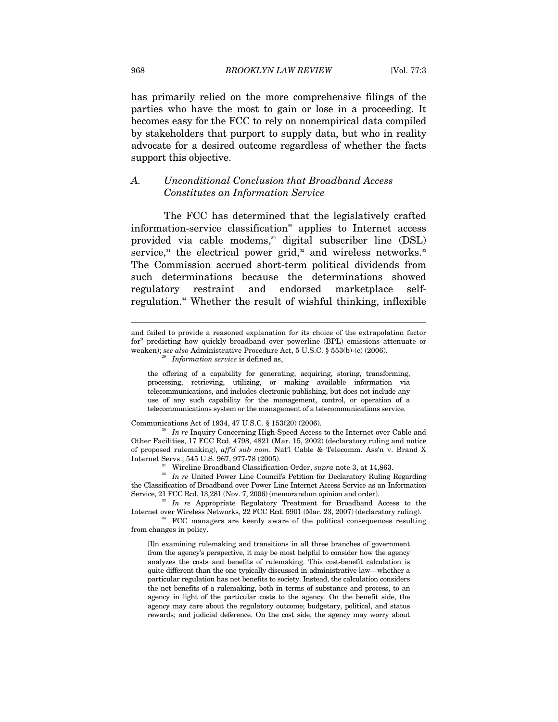has primarily relied on the more comprehensive filings of the parties who have the most to gain or lose in a proceeding. It becomes easy for the FCC to rely on nonempirical data compiled by stakeholders that purport to supply data, but who in reality advocate for a desired outcome regardless of whether the facts support this objective.

### *A. Unconditional Conclusion that Broadband Access Constitutes an Information Service*

The FCC has determined that the legislatively crafted information-service classification<sup>29</sup> applies to Internet access provided via cable modems,<sup>30</sup> digital subscriber line (DSL) service, $31$  the electrical power grid, $32$  and wireless networks. $33$ The Commission accrued short-term political dividends from such determinations because the determinations showed regulatory restraint and endorsed marketplace selfregulation.34 Whether the result of wishful thinking, inflexible

the offering of a capability for generating, acquiring, storing, transforming, processing, retrieving, utilizing, or making available information via telecommunications, and includes electronic publishing, but does not include any use of any such capability for the management, control, or operation of a telecommunications system or the management of a telecommunications service.

Communications Act of 1934, 47 U.S.C. § 153(20) (2006). 30 *In re* Inquiry Concerning High-Speed Access to the Internet over Cable and Other Facilities, 17 FCC Rcd. 4798, 4821 (Mar. 15, 2002) (declaratory ruling and notice of proposed rulemaking), *aff'd sub nom*. Nat'l Cable & Telecomm. Ass'n v. Brand X Internet Servs., 545 U.S. 967, 977-78 (2005). 31 Wireline Broadband Classification Order, *supra* note 3, at 14,863. 32 *In re* United Power Line Council's Petition for Declaratory Ruling Regarding

the Classification of Broadband over Power Line Internet Access Service as an Information Service, 21 FCC Rcd. 13,281 (Nov. 7, 2006) (memorandum opinion and order). 33 *In re* Appropriate Regulatory Treatment for Broadband Access to the

Internet over Wireless Networks, 22 FCC Rcd. 5901 (Mar. 23, 2007) (declaratory ruling). 34 FCC managers are keenly aware of the political consequences resulting

from changes in policy.

[I]n examining rulemaking and transitions in all three branches of government from the agency's perspective, it may be most helpful to consider how the agency analyzes the costs and benefits of rulemaking. This cost-benefit calculation is quite different than the one typically discussed in administrative law—whether a particular regulation has net benefits to society. Instead, the calculation considers the net benefits of a rulemaking, both in terms of substance and process, to an agency in light of the particular costs to the agency. On the benefit side, the agency may care about the regulatory outcome; budgetary, political, and status rewards; and judicial deference. On the cost side, the agency may worry about

and failed to provide a reasoned explanation for its choice of the extrapolation factor for" predicting how quickly broadband over powerline (BPL) emissions attenuate or weaken); *see also* Administrative Procedure Act, 5 U.S.C. § 553(b)-(c) (2006). *Information service* is defined as,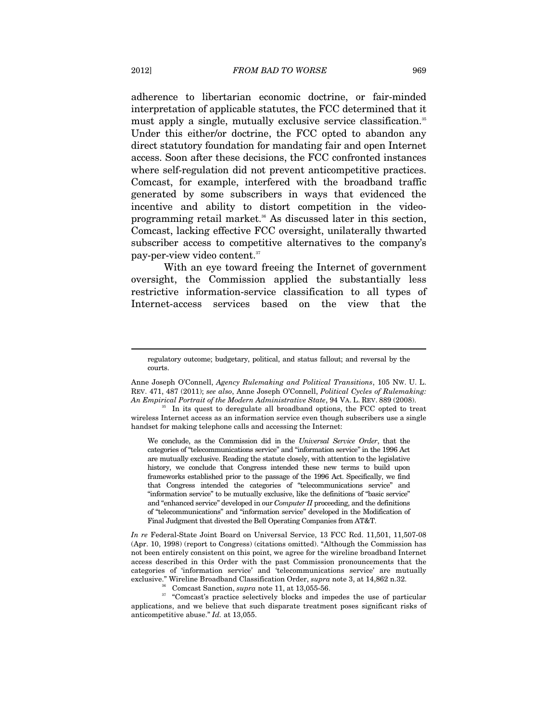adherence to libertarian economic doctrine, or fair-minded interpretation of applicable statutes, the FCC determined that it must apply a single, mutually exclusive service classification.<sup>35</sup> Under this either/or doctrine, the FCC opted to abandon any direct statutory foundation for mandating fair and open Internet access. Soon after these decisions, the FCC confronted instances where self-regulation did not prevent anticompetitive practices. Comcast, for example, interfered with the broadband traffic generated by some subscribers in ways that evidenced the incentive and ability to distort competition in the videoprogramming retail market.36 As discussed later in this section, Comcast, lacking effective FCC oversight, unilaterally thwarted subscriber access to competitive alternatives to the company's pay-per-view video content.37

With an eye toward freeing the Internet of government oversight, the Commission applied the substantially less restrictive information-service classification to all types of Internet-access services based on the view that the

We conclude, as the Commission did in the *Universal Service Order*, that the categories of "telecommunications service" and "information service" in the 1996 Act are mutually exclusive. Reading the statute closely, with attention to the legislative history, we conclude that Congress intended these new terms to build upon frameworks established prior to the passage of the 1996 Act. Specifically, we find that Congress intended the categories of "telecommunications service" and "information service" to be mutually exclusive, like the definitions of "basic service" and "enhanced service" developed in our *Computer II* proceeding, and the definitions of "telecommunications" and "information service" developed in the Modification of Final Judgment that divested the Bell Operating Companies from AT&T.

*In re* Federal-State Joint Board on Universal Service, 13 FCC Rcd. 11,501, 11,507-08 (Apr. 10, 1998) (report to Congress) (citations omitted). "Although the Commission has not been entirely consistent on this point, we agree for the wireline broadband Internet access described in this Order with the past Commission pronouncements that the categories of 'information service' and 'telecommunications service' are mutually

exclusive." Wireline Broadband Classification Order, *supra* note 3, at 14,862 n.32.<br><sup>36</sup> Comcast Sanction, *supra* note 11, at 13,055-56.<br><sup>37</sup> "Comcast's practice selectively blocks and impedes the use of particular applications, and we believe that such disparate treatment poses significant risks of anticompetitive abuse." *Id.* at 13,055.

regulatory outcome; budgetary, political, and status fallout; and reversal by the courts.

Anne Joseph O'Connell, *Agency Rulemaking and Political Transitions*, 105 NW. U. L. REV. 471, 487 (2011); *see also*, Anne Joseph O'Connell, *Political Cycles of Rulemaking:* 

In its quest to deregulate all broadband options, the FCC opted to treat wireless Internet access as an information service even though subscribers use a single handset for making telephone calls and accessing the Internet: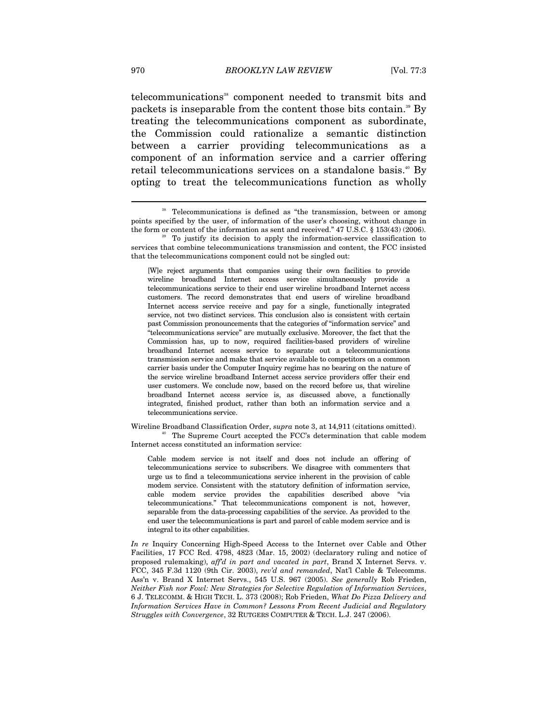telecommunications<sup>38</sup> component needed to transmit bits and packets is inseparable from the content those bits contain.<sup>39</sup> By treating the telecommunications component as subordinate, the Commission could rationalize a semantic distinction between a carrier providing telecommunications as a component of an information service and a carrier offering retail telecommunications services on a standalone basis.<sup>40</sup> By opting to treat the telecommunications function as wholly

Wireline Broadband Classification Order, *supra* note 3, at 14,911 (citations omitted).<br><sup>40</sup> The Supreme Court accepted the FCC's determination that cable modem Internet access constituted an information service:

Cable modem service is not itself and does not include an offering of telecommunications service to subscribers. We disagree with commenters that urge us to find a telecommunications service inherent in the provision of cable modem service. Consistent with the statutory definition of information service, cable modem service provides the capabilities described above "via telecommunications." That telecommunications component is not, however, separable from the data-processing capabilities of the service. As provided to the end user the telecommunications is part and parcel of cable modem service and is integral to its other capabilities.

*In re* Inquiry Concerning High-Speed Access to the Internet over Cable and Other Facilities, 17 FCC Rcd. 4798, 4823 (Mar. 15, 2002) (declaratory ruling and notice of proposed rulemaking), *aff'd in part and vacated in part*, Brand X Internet Servs. v. FCC, 345 F.3d 1120 (9th Cir. 2003), *rev'd and remanded*, Nat'l Cable & Telecomms. Ass'n v. Brand X Internet Servs., 545 U.S. 967 (2005). *See generally* Rob Frieden, *Neither Fish nor Fowl: New Strategies for Selective Regulation of Information Services*, 6 J. TELECOMM. & HIGH TECH. L. 373 (2008); Rob Frieden, *What Do Pizza Delivery and Information Services Have in Common? Lessons From Recent Judicial and Regulatory Struggles with Convergence*, 32 RUTGERS COMPUTER & TECH. L.J. 247 (2006).

<sup>&</sup>lt;sup>38</sup> Telecommunications is defined as "the transmission, between or among points specified by the user, of information of the user's choosing, without change in the form or content of the information as sent and received." 47 U.S.C. § 153(43) (2006). To justify its decision to apply the information-service classification to

services that combine telecommunications transmission and content, the FCC insisted that the telecommunications component could not be singled out:

<sup>[</sup>W]e reject arguments that companies using their own facilities to provide wireline broadband Internet access service simultaneously provide a telecommunications service to their end user wireline broadband Internet access customers. The record demonstrates that end users of wireline broadband Internet access service receive and pay for a single, functionally integrated service, not two distinct services. This conclusion also is consistent with certain past Commission pronouncements that the categories of "information service" and "telecommunications service" are mutually exclusive. Moreover, the fact that the Commission has, up to now, required facilities-based providers of wireline broadband Internet access service to separate out a telecommunications transmission service and make that service available to competitors on a common carrier basis under the Computer Inquiry regime has no bearing on the nature of the service wireline broadband Internet access service providers offer their end user customers. We conclude now, based on the record before us, that wireline broadband Internet access service is, as discussed above, a functionally integrated, finished product, rather than both an information service and a telecommunications service.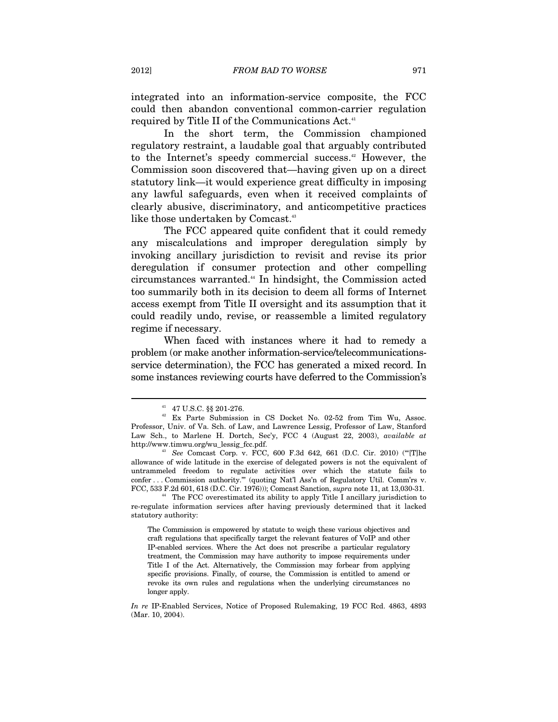integrated into an information-service composite, the FCC could then abandon conventional common-carrier regulation required by Title II of the Communications Act.<sup>41</sup>

In the short term, the Commission championed regulatory restraint, a laudable goal that arguably contributed to the Internet's speedy commercial success.<sup>42</sup> However, the Commission soon discovered that—having given up on a direct statutory link—it would experience great difficulty in imposing any lawful safeguards, even when it received complaints of clearly abusive, discriminatory, and anticompetitive practices like those undertaken by Comcast.<sup>43</sup>

The FCC appeared quite confident that it could remedy any miscalculations and improper deregulation simply by invoking ancillary jurisdiction to revisit and revise its prior deregulation if consumer protection and other compelling circumstances warranted.44 In hindsight, the Commission acted too summarily both in its decision to deem all forms of Internet access exempt from Title II oversight and its assumption that it could readily undo, revise, or reassemble a limited regulatory regime if necessary.

When faced with instances where it had to remedy a problem (or make another information-service/telecommunicationsservice determination), the FCC has generated a mixed record. In some instances reviewing courts have deferred to the Commission's

<sup>41 47</sup> U.S.C. §§ 201-276.

<sup>42</sup> Ex Parte Submission in CS Docket No. 02-52 from Tim Wu, Assoc. Professor, Univ. of Va. Sch. of Law, and Lawrence Lessig, Professor of Law, Stanford Law Sch., to Marlene H. Dortch, Sec'y, FCC 4 (August 22, 2003), *available at*  http://www.timwu.org/wu\_lessig\_fcc.pdf. 43 *See* Comcast Corp. v. FCC, 600 F.3d 642, 661 (D.C. Cir. 2010) ("'[T]he

allowance of wide latitude in the exercise of delegated powers is not the equivalent of untrammeled freedom to regulate activities over which the statute fails to confer . . . Commission authority.'" (quoting Nat'l Ass'n of Regulatory Util. Comm'rs v. FCC, 533 F.2d 601, 618 (D.C. Cir. 1976))); Comcast Sanction, *supra* note 11, at 13,030-31. 44 The FCC overestimated its ability to apply Title I ancillary jurisdiction to

re-regulate information services after having previously determined that it lacked statutory authority:

The Commission is empowered by statute to weigh these various objectives and craft regulations that specifically target the relevant features of VoIP and other IP-enabled services. Where the Act does not prescribe a particular regulatory treatment, the Commission may have authority to impose requirements under Title I of the Act. Alternatively, the Commission may forbear from applying specific provisions. Finally, of course, the Commission is entitled to amend or revoke its own rules and regulations when the underlying circumstances no longer apply.

*In re* IP-Enabled Services, Notice of Proposed Rulemaking, 19 FCC Rcd. 4863, 4893 (Mar. 10, 2004).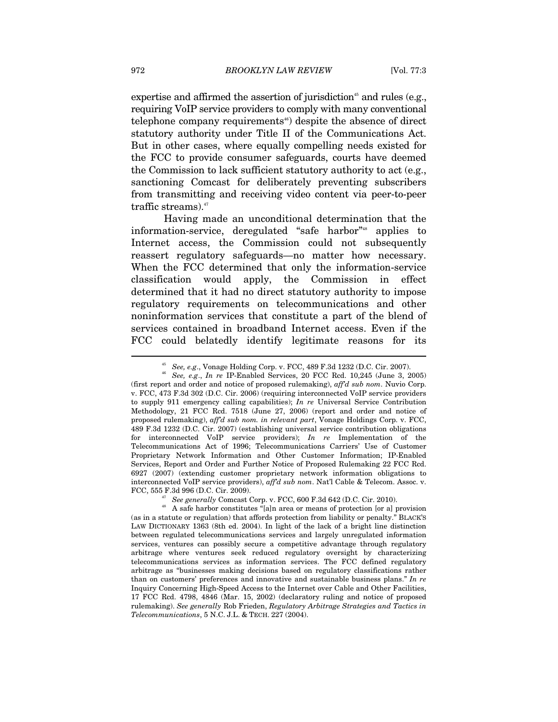expertise and affirmed the assertion of jurisdiction<sup>45</sup> and rules (e.g., requiring VoIP service providers to comply with many conventional telephone company requirements<sup> $46$ </sup> despite the absence of direct statutory authority under Title II of the Communications Act. But in other cases, where equally compelling needs existed for the FCC to provide consumer safeguards, courts have deemed the Commission to lack sufficient statutory authority to act (e.g., sanctioning Comcast for deliberately preventing subscribers from transmitting and receiving video content via peer-to-peer traffic streams).<sup>47</sup>

Having made an unconditional determination that the information-service, deregulated "safe harbor"<sup>48</sup> applies to Internet access, the Commission could not subsequently reassert regulatory safeguards—no matter how necessary. When the FCC determined that only the information-service classification would apply, the Commission in effect determined that it had no direct statutory authority to impose regulatory requirements on telecommunications and other noninformation services that constitute a part of the blend of services contained in broadband Internet access. Even if the FCC could belatedly identify legitimate reasons for its

<sup>45</sup> *See, e.g*., Vonage Holding Corp. v. FCC, 489 F.3d 1232 (D.C. Cir. 2007). 46 *See, e.g*., *In re* IP-Enabled Services, 20 FCC Rcd. 10,245 (June 3, 2005) (first report and order and notice of proposed rulemaking), *aff'd sub nom*. Nuvio Corp. v. FCC, 473 F.3d 302 (D.C. Cir. 2006) (requiring interconnected VoIP service providers to supply 911 emergency calling capabilities); *In re* Universal Service Contribution Methodology, 21 FCC Rcd. 7518 (June 27, 2006) (report and order and notice of proposed rulemaking), *aff'd sub nom. in relevant part*, Vonage Holdings Corp. v. FCC, 489 F.3d 1232 (D.C. Cir. 2007) (establishing universal service contribution obligations for interconnected VoIP service providers); *In re* Implementation of the Telecommunications Act of 1996; Telecommunications Carriers' Use of Customer Proprietary Network Information and Other Customer Information; IP-Enabled Services, Report and Order and Further Notice of Proposed Rulemaking 22 FCC Rcd. 6927 (2007) (extending customer proprietary network information obligations to interconnected VoIP service providers), *aff'd sub nom*. Nat'l Cable & Telecom. Assoc. v.

FCC, 555 F.3d 996 (D.C. Cir. 2009).<br><sup>47</sup> See generally Comcast Corp. v. FCC, 600 F.3d 642 (D.C. Cir. 2010).<br><sup>48</sup> A safe harbor constitutes "[a]n area or means of protection [or a] provision (as in a statute or regulation) that affords protection from liability or penalty." BLACK'S LAW DICTIONARY 1363 (8th ed. 2004). In light of the lack of a bright line distinction between regulated telecommunications services and largely unregulated information services, ventures can possibly secure a competitive advantage through regulatory arbitrage where ventures seek reduced regulatory oversight by characterizing telecommunications services as information services. The FCC defined regulatory arbitrage as "businesses making decisions based on regulatory classifications rather than on customers' preferences and innovative and sustainable business plans." *In re*  Inquiry Concerning High-Speed Access to the Internet over Cable and Other Facilities, 17 FCC Rcd. 4798, 4846 (Mar. 15, 2002) (declaratory ruling and notice of proposed rulemaking). *See generally* Rob Frieden, *Regulatory Arbitrage Strategies and Tactics in Telecommunications*, 5 N.C. J.L. & TECH. 227 (2004).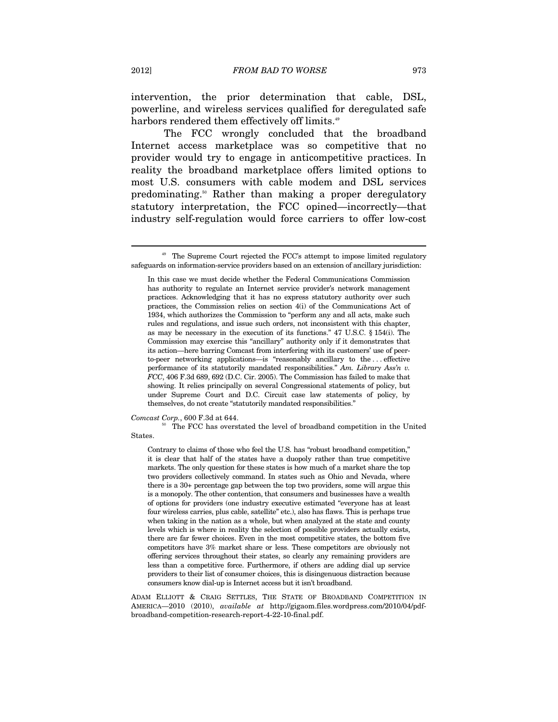intervention, the prior determination that cable, DSL, powerline, and wireless services qualified for deregulated safe harbors rendered them effectively off limits.<sup>49</sup>

The FCC wrongly concluded that the broadband Internet access marketplace was so competitive that no provider would try to engage in anticompetitive practices. In reality the broadband marketplace offers limited options to most U.S. consumers with cable modem and DSL services predominating.50 Rather than making a proper deregulatory statutory interpretation, the FCC opined—incorrectly—that industry self-regulation would force carriers to offer low-cost

*Comcast Corp.*, 600 F.3d at 644.<br><sup>50</sup> The FCC has overstated the level of broadband competition in the United States.

Contrary to claims of those who feel the U.S. has "robust broadband competition," it is clear that half of the states have a duopoly rather than true competitive markets. The only question for these states is how much of a market share the top two providers collectively command. In states such as Ohio and Nevada, where there is a 30+ percentage gap between the top two providers, some will argue this is a monopoly. The other contention, that consumers and businesses have a wealth of options for providers (one industry executive estimated "everyone has at least four wireless carries, plus cable, satellite" etc.), also has flaws. This is perhaps true when taking in the nation as a whole, but when analyzed at the state and county levels which is where in reality the selection of possible providers actually exists, there are far fewer choices. Even in the most competitive states, the bottom five competitors have 3% market share or less. These competitors are obviously not offering services throughout their states, so clearly any remaining providers are less than a competitive force. Furthermore, if others are adding dial up service providers to their list of consumer choices, this is disingenuous distraction because consumers know dial-up is Internet access but it isn't broadband.

ADAM ELLIOTT & CRAIG SETTLES, THE STATE OF BROADBAND COMPETITION IN AMERICA—2010 (2010), *available at* http://gigaom.files.wordpress.com/2010/04/pdfbroadband-competition-research-report-4-22-10-final.pdf.

The Supreme Court rejected the FCC's attempt to impose limited regulatory safeguards on information-service providers based on an extension of ancillary jurisdiction:

In this case we must decide whether the Federal Communications Commission has authority to regulate an Internet service provider's network management practices. Acknowledging that it has no express statutory authority over such practices, the Commission relies on section 4(i) of the Communications Act of 1934, which authorizes the Commission to "perform any and all acts, make such rules and regulations, and issue such orders, not inconsistent with this chapter, as may be necessary in the execution of its functions." 47 U.S.C. § 154(i). The Commission may exercise this "ancillary" authority only if it demonstrates that its action—here barring Comcast from interfering with its customers' use of peerto-peer networking applications—is "reasonably ancillary to the . . . effective performance of its statutorily mandated responsibilities." *Am. Library Ass'n v. FCC*, 406 F.3d 689, 692 (D.C. Cir. 2005). The Commission has failed to make that showing. It relies principally on several Congressional statements of policy, but under Supreme Court and D.C. Circuit case law statements of policy, by themselves, do not create "statutorily mandated responsibilities."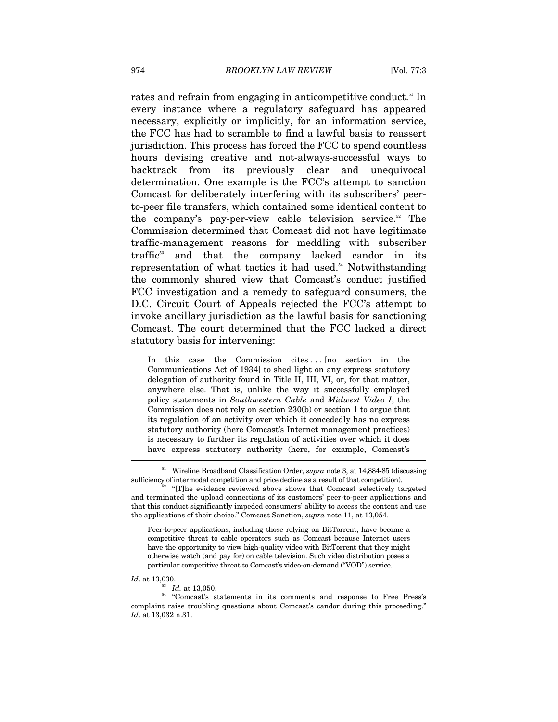rates and refrain from engaging in anticompetitive conduct.<sup>51</sup> In every instance where a regulatory safeguard has appeared necessary, explicitly or implicitly, for an information service, the FCC has had to scramble to find a lawful basis to reassert jurisdiction. This process has forced the FCC to spend countless hours devising creative and not-always-successful ways to backtrack from its previously clear and unequivocal determination. One example is the FCC's attempt to sanction Comcast for deliberately interfering with its subscribers' peerto-peer file transfers, which contained some identical content to the company's pay-per-view cable television service.<sup>52</sup> The Commission determined that Comcast did not have legitimate traffic-management reasons for meddling with subscriber traffic<sup>53</sup> and that the company lacked candor in its representation of what tactics it had used.<sup>54</sup> Notwithstanding the commonly shared view that Comcast's conduct justified FCC investigation and a remedy to safeguard consumers, the D.C. Circuit Court of Appeals rejected the FCC's attempt to invoke ancillary jurisdiction as the lawful basis for sanctioning Comcast. The court determined that the FCC lacked a direct statutory basis for intervening:

In this case the Commission cites ... [no section in the Communications Act of 1934] to shed light on any express statutory delegation of authority found in Title II, III, VI, or, for that matter, anywhere else. That is, unlike the way it successfully employed policy statements in *Southwestern Cable* and *Midwest Video I*, the Commission does not rely on section 230(b) or section 1 to argue that its regulation of an activity over which it concededly has no express statutory authority (here Comcast's Internet management practices) is necessary to further its regulation of activities over which it does have express statutory authority (here, for example, Comcast's

Peer-to-peer applications, including those relying on BitTorrent, have become a competitive threat to cable operators such as Comcast because Internet users have the opportunity to view high-quality video with BitTorrent that they might otherwise watch (and pay for) on cable television. Such video distribution poses a particular competitive threat to Comcast's video-on-demand ("VOD") service.

 $^{\scriptscriptstyle 51}$  Wireline Broadband Classification Order,  ${\it supp}$  note 3, at 14,884-85 (discussing sufficiency of intermodal competition and price decline as a result of that competition).<br><sup>52</sup> "[T]he evidence reviewed above shows that Comcast selectively targeted

and terminated the upload connections of its customers' peer-to-peer applications and that this conduct significantly impeded consumers' ability to access the content and use the applications of their choice." Comcast Sanction, *supra* note 11, at 13,054.

*Id.* at 13,050.<br><sup>54</sup> "Comcast's statements in its comments and response to Free Press's complaint raise troubling questions about Comcast's candor during this proceeding." *Id*. at 13,032 n.31.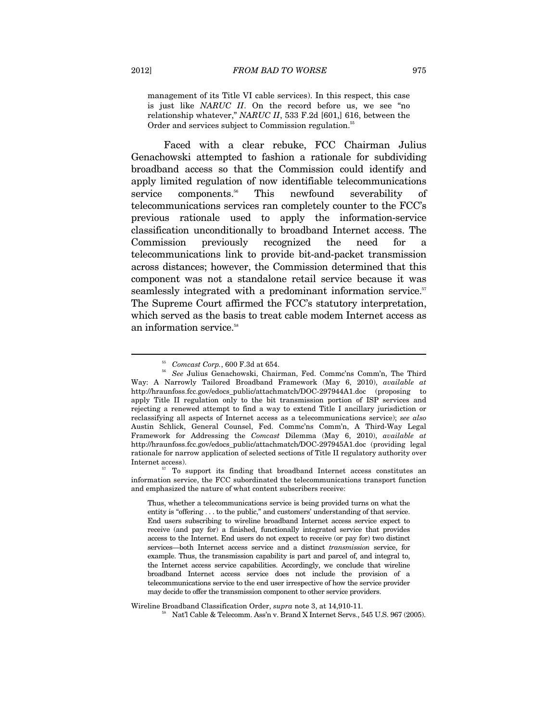management of its Title VI cable services). In this respect, this case is just like *NARUC II*. On the record before us, we see "no relationship whatever," *NARUC II*, 533 F.2d [601,] 616, between the Order and services subject to Commission regulation.<sup>55</sup>

Faced with a clear rebuke, FCC Chairman Julius Genachowski attempted to fashion a rationale for subdividing broadband access so that the Commission could identify and apply limited regulation of now identifiable telecommunications service components.<sup>56</sup> This newfound severability of telecommunications services ran completely counter to the FCC's previous rationale used to apply the information-service classification unconditionally to broadband Internet access. The Commission previously recognized the need for telecommunications link to provide bit-and-packet transmission across distances; however, the Commission determined that this component was not a standalone retail service because it was seamlessly integrated with a predominant information service.<sup>57</sup> The Supreme Court affirmed the FCC's statutory interpretation, which served as the basis to treat cable modem Internet access as an information service.<sup>58</sup>

information service, the FCC subordinated the telecommunications transport function and emphasized the nature of what content subscribers receive:

Thus, whether a telecommunications service is being provided turns on what the entity is "offering . . . to the public," and customers' understanding of that service. End users subscribing to wireline broadband Internet access service expect to receive (and pay for) a finished, functionally integrated service that provides access to the Internet. End users do not expect to receive (or pay for) two distinct services—both Internet access service and a distinct *transmission* service, for example. Thus, the transmission capability is part and parcel of, and integral to, the Internet access service capabilities. Accordingly, we conclude that wireline broadband Internet access service does not include the provision of a telecommunications service to the end user irrespective of how the service provider may decide to offer the transmission component to other service providers.

Wireline Broadband Classification Order, *supra* note 3, at 14,910-11.<br><sup>58</sup> Nat'l Cable & Telecomm. Ass'n v. Brand X Internet Servs., 545 U.S. 967 (2005).

<sup>&</sup>lt;sup>55</sup> Comcast Corp., 600 F.3d at 654.<br><sup>56</sup> See Julius Genachowski, Chairman, Fed. Commc'ns Comm'n, The Third Way: A Narrowly Tailored Broadband Framework (May 6, 2010), *available at*  http://hraunfoss.fcc.gov/edocs\_public/attachmatch/DOC-297944A1.doc (proposing to apply Title II regulation only to the bit transmission portion of ISP services and rejecting a renewed attempt to find a way to extend Title I ancillary jurisdiction or reclassifying all aspects of Internet access as a telecommunications service); *see also* Austin Schlick, General Counsel, Fed. Commc'ns Comm'n, A Third-Way Legal Framework for Addressing the *Comcast* Dilemma (May 6, 2010), *available at* http://hraunfoss.fcc.gov/edocs\_public/attachmatch/DOC-297945A1.doc (providing legal rationale for narrow application of selected sections of Title II regulatory authority over Internet access). To support its finding that broadband Internet access constitutes an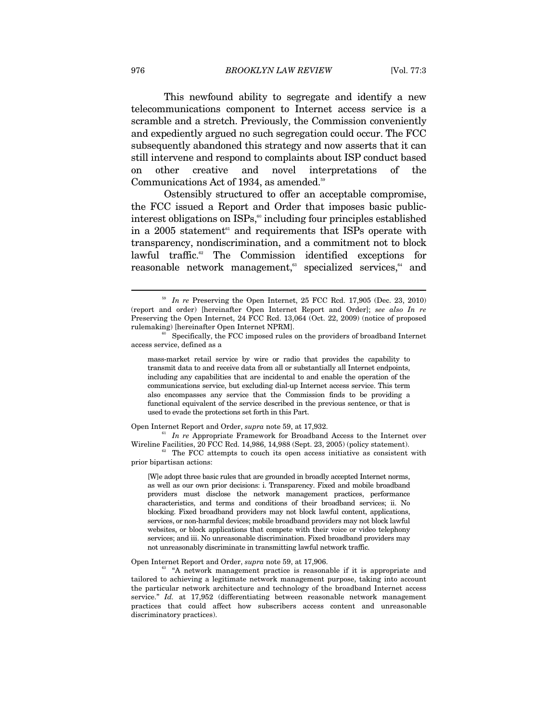This newfound ability to segregate and identify a new telecommunications component to Internet access service is a scramble and a stretch. Previously, the Commission conveniently and expediently argued no such segregation could occur. The FCC subsequently abandoned this strategy and now asserts that it can still intervene and respond to complaints about ISP conduct based on other creative and novel interpretations of the Communications Act of 1934, as amended.<sup>59</sup>

Ostensibly structured to offer an acceptable compromise, the FCC issued a Report and Order that imposes basic publicinterest obligations on  $ISPs<sub>0</sub><sup>60</sup>$  including four principles established in a 2005 statement<sup>61</sup> and requirements that ISPs operate with transparency, nondiscrimination, and a commitment not to block lawful traffic.<sup>62</sup> The Commission identified exceptions for reasonable network management,<sup>63</sup> specialized services,<sup>64</sup> and

mass-market retail service by wire or radio that provides the capability to transmit data to and receive data from all or substantially all Internet endpoints, including any capabilities that are incidental to and enable the operation of the communications service, but excluding dial-up Internet access service. This term also encompasses any service that the Commission finds to be providing a functional equivalent of the service described in the previous sentence, or that is used to evade the protections set forth in this Part.

Open Internet Report and Order, *supra* note 59, at 17,932.<br><sup>61</sup> *In re* Appropriate Framework for Broadband Access to the Internet over Wireline Facilities, 20 FCC Rcd. 14,986, 14,988 (Sept. 23, 2005) (policy statement).<br><sup>62</sup> The FCC attempts to couch its open access initiative as consistent with

prior bipartisan actions:

[W]e adopt three basic rules that are grounded in broadly accepted Internet norms, as well as our own prior decisions: i. Transparency. Fixed and mobile broadband providers must disclose the network management practices, performance characteristics, and terms and conditions of their broadband services; ii. No blocking. Fixed broadband providers may not block lawful content, applications, services, or non-harmful devices; mobile broadband providers may not block lawful websites, or block applications that compete with their voice or video telephony services; and iii. No unreasonable discrimination. Fixed broadband providers may not unreasonably discriminate in transmitting lawful network traffic.

Open Internet Report and Order, *supra* note 59, at 17,906.<br><sup>63</sup> "A network management practice is reasonable if it is appropriate and tailored to achieving a legitimate network management purpose, taking into account the particular network architecture and technology of the broadband Internet access service." *Id.* at 17,952 (differentiating between reasonable network management practices that could affect how subscribers access content and unreasonable discriminatory practices).

<sup>&</sup>lt;sup>59</sup> In re Preserving the Open Internet, 25 FCC Rcd. 17,905 (Dec. 23, 2010) (report and order) [hereinafter Open Internet Report and Order]; *see also In re*  Preserving the Open Internet, 24 FCC Rcd. 13,064 (Oct. 22, 2009) (notice of proposed rulemaking) [hereinafter Open Internet NPRM]. 60 Specifically, the FCC imposed rules on the providers of broadband Internet

access service, defined as a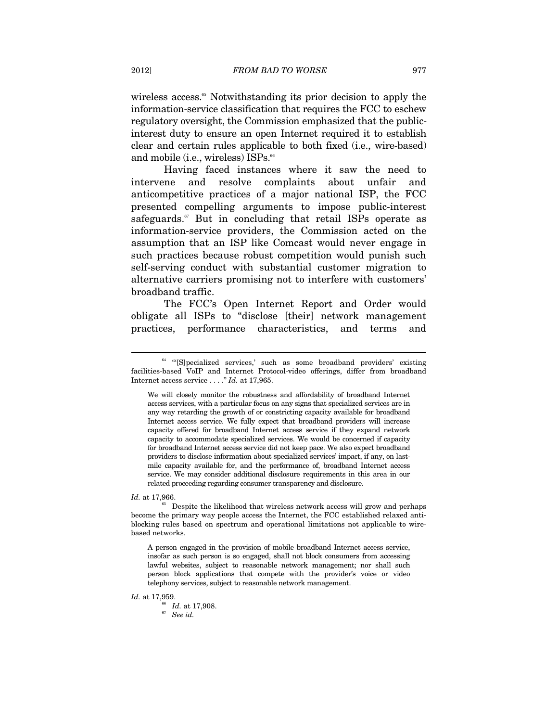wireless access.<sup>65</sup> Notwithstanding its prior decision to apply the information-service classification that requires the FCC to eschew regulatory oversight, the Commission emphasized that the publicinterest duty to ensure an open Internet required it to establish clear and certain rules applicable to both fixed (i.e., wire-based) and mobile (i.e., wireless) ISPs.<sup>66</sup>

Having faced instances where it saw the need to intervene and resolve complaints about unfair and anticompetitive practices of a major national ISP, the FCC presented compelling arguments to impose public-interest safeguards.<sup>67</sup> But in concluding that retail ISPs operate as information-service providers, the Commission acted on the assumption that an ISP like Comcast would never engage in such practices because robust competition would punish such self-serving conduct with substantial customer migration to alternative carriers promising not to interfere with customers' broadband traffic.

The FCC's Open Internet Report and Order would obligate all ISPs to "disclose [their] network management practices, performance characteristics, and terms and

 $\overline{a}$ 

*Id.* at 17,959.<br><sup>66</sup> *Id.* at 17,908.<br><sup>67</sup> *See id.* 

<sup>&</sup>lt;sup>64</sup> "[S]pecialized services,' such as some broadband providers' existing facilities-based VoIP and Internet Protocol-video offerings, differ from broadband Internet access service . . . ." *Id.* at 17,965.

We will closely monitor the robustness and affordability of broadband Internet access services, with a particular focus on any signs that specialized services are in any way retarding the growth of or constricting capacity available for broadband Internet access service. We fully expect that broadband providers will increase capacity offered for broadband Internet access service if they expand network capacity to accommodate specialized services. We would be concerned if capacity for broadband Internet access service did not keep pace. We also expect broadband providers to disclose information about specialized services' impact, if any, on lastmile capacity available for, and the performance of, broadband Internet access service. We may consider additional disclosure requirements in this area in our related proceeding regarding consumer transparency and disclosure.

*Id.* at 17,966.<br><sup>65</sup> Despite the likelihood that wireless network access will grow and perhaps become the primary way people access the Internet, the FCC established relaxed antiblocking rules based on spectrum and operational limitations not applicable to wirebased networks.

A person engaged in the provision of mobile broadband Internet access service, insofar as such person is so engaged, shall not block consumers from accessing lawful websites, subject to reasonable network management; nor shall such person block applications that compete with the provider's voice or video telephony services, subject to reasonable network management.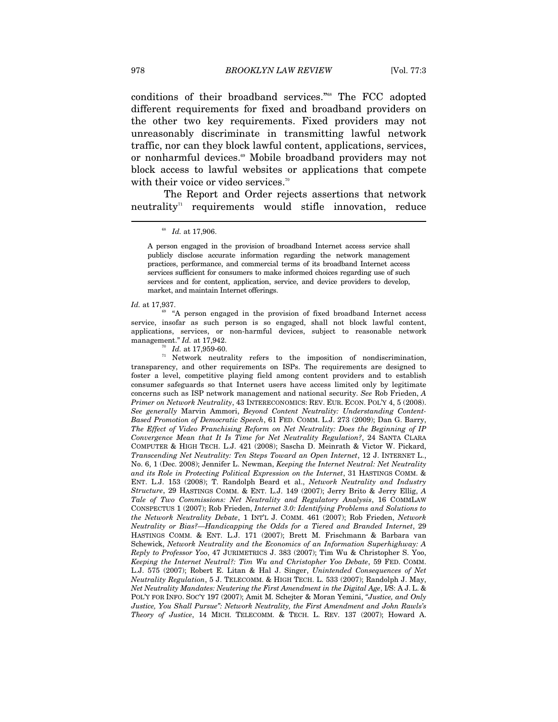conditions of their broadband services."68 The FCC adopted different requirements for fixed and broadband providers on the other two key requirements. Fixed providers may not unreasonably discriminate in transmitting lawful network traffic, nor can they block lawful content, applications, services, or nonharmful devices.<sup>69</sup> Mobile broadband providers may not block access to lawful websites or applications that compete with their voice or video services.<sup>70</sup>

The Report and Order rejects assertions that network neutrality<sup>71</sup> requirements would stifle innovation, reduce

A person engaged in the provision of broadband Internet access service shall publicly disclose accurate information regarding the network management practices, performance, and commercial terms of its broadband Internet access services sufficient for consumers to make informed choices regarding use of such services and for content, application, service, and device providers to develop, market, and maintain Internet offerings.

*Id.* at 17,937.<br><sup>69</sup> "A person engaged in the provision of fixed broadband Internet access service, insofar as such person is so engaged, shall not block lawful content, applications, services, or non-harmful devices, subject to reasonable network management."  $Id.$  at 17.942.

<sup>70</sup> *Id.* at 17,959-60. *I* Network neutrality refers to the imposition of nondiscrimination, transparency, and other requirements on ISPs. The requirements are designed to foster a level, competitive playing field among content providers and to establish consumer safeguards so that Internet users have access limited only by legitimate concerns such as ISP network management and national security. *See* Rob Frieden, *A Primer on Network Neutrality*, 43 INTERECONOMICS: REV. EUR. ECON. POL'Y 4, 5 (2008). *See generally* Marvin Ammori, *Beyond Content Neutrality: Understanding Content-Based Promotion of Democratic Speech*, 61 FED. COMM. L.J. 273 (2009); Dan G. Barry, *The Effect of Video Franchising Reform on Net Neutrality: Does the Beginning of IP Convergence Mean that It Is Time for Net Neutrality Regulation?*, 24 SANTA CLARA COMPUTER & HIGH TECH. L.J. 421 (2008); Sascha D. Meinrath & Victor W. Pickard, *Transcending Net Neutrality: Ten Steps Toward an Open Internet*, 12 J. INTERNET L., No. 6, 1 (Dec. 2008); Jennifer L. Newman, *Keeping the Internet Neutral: Net Neutrality and its Role in Protecting Political Expression on the Internet*, 31 HASTINGS COMM. & ENT. L.J. 153 (2008); T. Randolph Beard et al., *Network Neutrality and Industry Structure*, 29 HASTINGS COMM. & ENT. L.J. 149 (2007); Jerry Brito & Jerry Ellig, *A Tale of Two Commissions: Net Neutrality and Regulatory Analysis*, 16 COMMLAW CONSPECTUS 1 (2007); Rob Frieden, *Internet 3.0: Identifying Problems and Solutions to the Network Neutrality Debate*, 1 INT'L J. COMM. 461 (2007); Rob Frieden, *Network Neutrality or Bias?—Handicapping the Odds for a Tiered and Branded Internet*, 29 HASTINGS COMM. & ENT. L.J. 171 (2007); Brett M. Frischmann & Barbara van Schewick, *Network Neutrality and the Economics of an Information Superhighway: A Reply to Professor Yoo*, 47 JURIMETRICS J. 383 (2007); Tim Wu & Christopher S. Yoo, *Keeping the Internet Neutral?: Tim Wu and Christopher Yoo Debate*, 59 FED. COMM. L.J. 575 (2007); Robert E. Litan & Hal J. Singer, *Unintended Consequences of Net Neutrality Regulation*, 5 J. TELECOMM. & HIGH TECH. L. 533 (2007); Randolph J. May, *Net Neutrality Mandates: Neutering the First Amendment in the Digital Age*, I/S: A J. L. & POL'Y FOR INFO. SOC'Y 197 (2007); Amit M. Schejter & Moran Yemini, *"Justice, and Only Justice, You Shall Pursue": Network Neutrality, the First Amendment and John Rawls's Theory of Justice*, 14 MICH. TELECOMM. & TECH. L. REV. 137 (2007); Howard A.

<sup>68</sup> *Id.* at 17,906.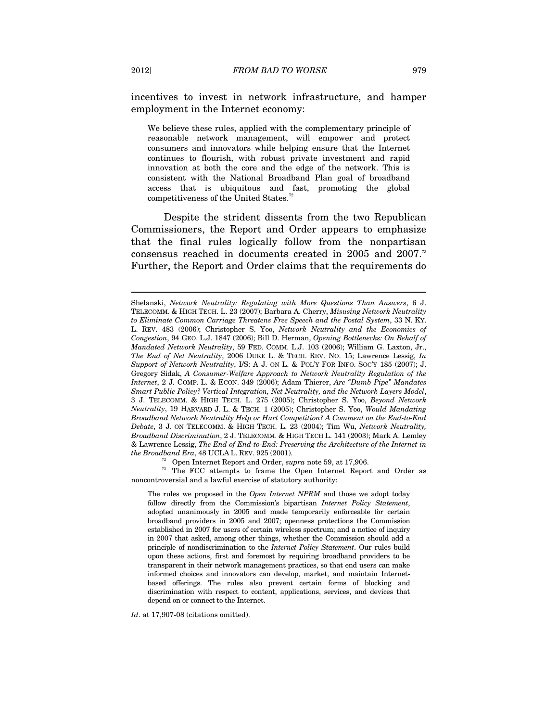incentives to invest in network infrastructure, and hamper employment in the Internet economy:

We believe these rules, applied with the complementary principle of reasonable network management, will empower and protect consumers and innovators while helping ensure that the Internet continues to flourish, with robust private investment and rapid innovation at both the core and the edge of the network. This is consistent with the National Broadband Plan goal of broadband access that is ubiquitous and fast, promoting the global competitiveness of the United States.<sup>72</sup>

Despite the strident dissents from the two Republican Commissioners, the Report and Order appears to emphasize that the final rules logically follow from the nonpartisan consensus reached in documents created in 2005 and 2007.<sup>73</sup> Further, the Report and Order claims that the requirements do

*the Broadband Era*, 48 UCLA L. REV. 925 (2001). <sup>72</sup> Open Internet Report and Order, *supra* note 59, at 17,906.<br><sup>73</sup> The FCC attempts to frame the Open Internet Report and Order as noncontroversial and a lawful exercise of statutory authority:

The rules we proposed in the *Open Internet NPRM* and those we adopt today follow directly from the Commission's bipartisan *Internet Policy Statement*, adopted unanimously in 2005 and made temporarily enforceable for certain broadband providers in 2005 and 2007; openness protections the Commission established in 2007 for users of certain wireless spectrum; and a notice of inquiry in 2007 that asked, among other things, whether the Commission should add a principle of nondiscrimination to the *Internet Policy Statement*. Our rules build upon these actions, first and foremost by requiring broadband providers to be transparent in their network management practices, so that end users can make informed choices and innovators can develop, market, and maintain Internetbased offerings. The rules also prevent certain forms of blocking and discrimination with respect to content, applications, services, and devices that depend on or connect to the Internet.

*Id*. at 17,907-08 (citations omitted).

Shelanski, *Network Neutrality: Regulating with More Questions Than Answers*, 6 J. TELECOMM. & HIGH TECH. L. 23 (2007); Barbara A. Cherry, *Misusing Network Neutrality to Eliminate Common Carriage Threatens Free Speech and the Postal System*, 33 N. KY. L. REV. 483 (2006); Christopher S. Yoo, *Network Neutrality and the Economics of Congestion*, 94 GEO. L.J. 1847 (2006); Bill D. Herman, *Opening Bottlenecks: On Behalf of Mandated Network Neutrality*, 59 FED. COMM. L.J. 103 (2006); William G. Laxton, Jr., *The End of Net Neutrality*, 2006 DUKE L. & TECH. REV. NO. 15; Lawrence Lessig, *In Support of Network Neutrality*, I/S: A J. ON L. & POL'Y FOR INFO. SOC'Y 185 (2007); J. Gregory Sidak, *A Consumer-Welfare Approach to Network Neutrality Regulation of the Internet*, 2 J. COMP. L. & ECON. 349 (2006); Adam Thierer, *Are "Dumb Pipe" Mandates Smart Public Policy? Vertical Integration, Net Neutrality, and the Network Layers Model*, 3 J. TELECOMM. & HIGH TECH. L. 275 (2005); Christopher S. Yoo, *Beyond Network Neutrality*, 19 HARVARD J. L. & TECH. 1 (2005); Christopher S. Yoo, *Would Mandating Broadband Network Neutrality Help or Hurt Competition? A Comment on the End-to-End Debate*, 3 J. ON TELECOMM. & HIGH TECH. L. 23 (2004); Tim Wu, *Network Neutrality, Broadband Discrimination*, 2 J. TELECOMM. & HIGH TECH L. 141 (2003); Mark A. Lemley & Lawrence Lessig, *The End of End-to-End: Preserving the Architecture of the Internet in*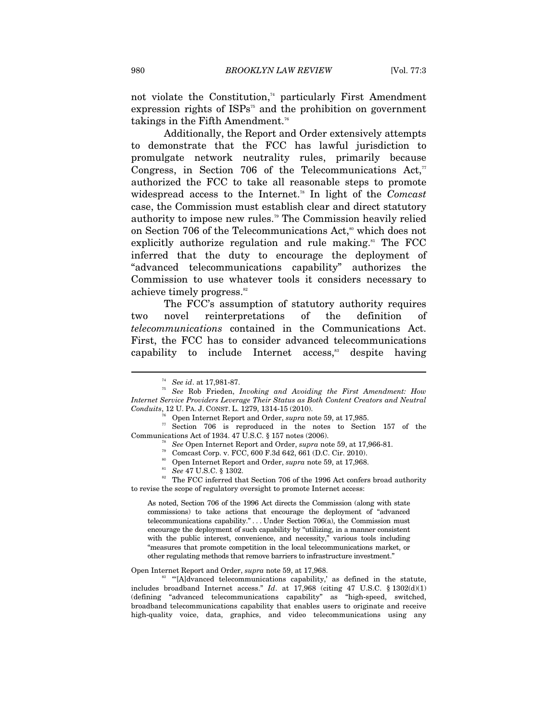not violate the Constitution, $74$  particularly First Amendment expression rights of  $ISPs^{75}$  and the prohibition on government takings in the Fifth Amendment.<sup>76</sup>

Additionally, the Report and Order extensively attempts to demonstrate that the FCC has lawful jurisdiction to promulgate network neutrality rules, primarily because Congress, in Section 706 of the Telecommunications  $Act$ <sup>77</sup> authorized the FCC to take all reasonable steps to promote widespread access to the Internet.<sup>78</sup> In light of the *Comcast* case, the Commission must establish clear and direct statutory authority to impose new rules.79 The Commission heavily relied on Section 706 of the Telecommunications Act,<sup>80</sup> which does not explicitly authorize regulation and rule making.<sup>81</sup> The FCC inferred that the duty to encourage the deployment of "advanced telecommunications capability" authorizes the Commission to use whatever tools it considers necessary to achieve timely progress.<sup>82</sup>

The FCC's assumption of statutory authority requires two novel reinterpretations of the definition of *telecommunications* contained in the Communications Act. First, the FCC has to consider advanced telecommunications capability to include Internet  $\arccos s$ <sup>33</sup> despite having

As noted, Section 706 of the 1996 Act directs the Commission (along with state commissions) to take actions that encourage the deployment of "advanced telecommunications capability." . . . Under Section 706(a), the Commission must encourage the deployment of such capability by "utilizing, in a manner consistent with the public interest, convenience, and necessity," various tools including "measures that promote competition in the local telecommunications market, or other regulating methods that remove barriers to infrastructure investment."

Open Internet Report and Order, *supra* note 59, at 17,968.<br><sup>83</sup> "'[A]dvanced telecommunications capability,' as defined in the statute, includes broadband Internet access." *Id*. at 17,968 (citing 47 U.S.C. § 1302(d)(1) (defining "advanced telecommunications capability" as "high-speed, switched, broadband telecommunications capability that enables users to originate and receive high-quality voice, data, graphics, and video telecommunications using any

<sup>74</sup> *See id*. at 17,981-87. 75 *See* Rob Frieden, *Invoking and Avoiding the First Amendment: How Internet Service Providers Leverage Their Status as Both Content Creators and Neutral* 

*Conduits*, 12 U. PA. J. CONST. L. 1279, 1314-15 (2010).<br><sup>76</sup> Open Internet Report and Order, *supra* note 59, at 17,985.<br><sup>77</sup> Section 706 is reproduced in the notes to Section 157 of the Communications Act of 1934. 47 U.

<sup>&</sup>lt;sup>78</sup> See Open Internet Report and Order, *supra* note 59, at 17,966-81.<br><sup>79</sup> Comcast Corp. v. FCC, 600 F.3d 642, 661 (D.C. Cir. 2010).<br><sup>80</sup> Open Internet Report and Order, *supra* note 59, at 17,968.

<sup>&</sup>lt;sup>81</sup> See 47 U.S.C. § 1302. **Supprace 81, and Order, 17,968. The FCC** inferred that Section 706 of the 1996 Act confers broad authority to revise the scope of regulatory oversight to promote Internet access: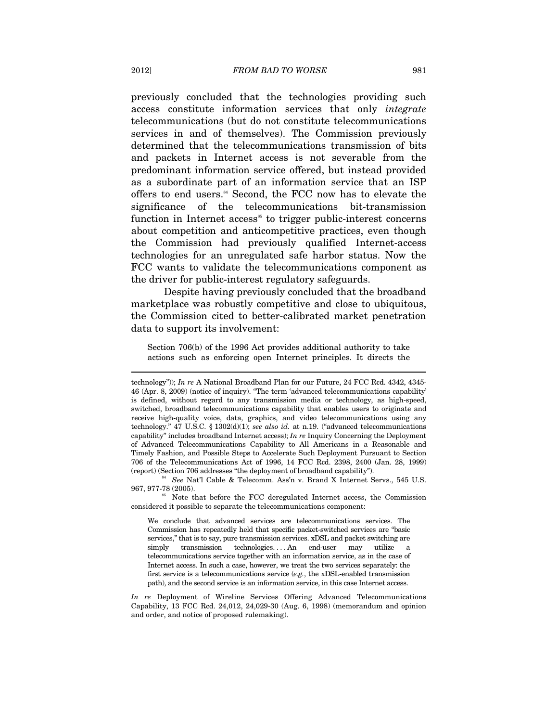previously concluded that the technologies providing such access constitute information services that only *integrate* telecommunications (but do not constitute telecommunications services in and of themselves). The Commission previously determined that the telecommunications transmission of bits and packets in Internet access is not severable from the predominant information service offered, but instead provided as a subordinate part of an information service that an ISP offers to end users.<sup>84</sup> Second, the FCC now has to elevate the significance of the telecommunications bit-transmission function in Internet access<sup> $55$ </sup> to trigger public-interest concerns about competition and anticompetitive practices, even though the Commission had previously qualified Internet-access technologies for an unregulated safe harbor status. Now the FCC wants to validate the telecommunications component as the driver for public-interest regulatory safeguards.

Despite having previously concluded that the broadband marketplace was robustly competitive and close to ubiquitous, the Commission cited to better-calibrated market penetration data to support its involvement:

Section 706(b) of the 1996 Act provides additional authority to take actions such as enforcing open Internet principles. It directs the

<sup>85</sup> Note that before the FCC deregulated Internet access, the Commission considered it possible to separate the telecommunications component:

technology")); *In re* A National Broadband Plan for our Future, 24 FCC Rcd. 4342, 4345- 46 (Apr. 8, 2009) (notice of inquiry). "The term 'advanced telecommunications capability' is defined, without regard to any transmission media or technology, as high-speed, switched, broadband telecommunications capability that enables users to originate and receive high-quality voice, data, graphics, and video telecommunications using any technology." 47 U.S.C. § 1302(d)(1); *see also id.* at n.19. ("advanced telecommunications capability" includes broadband Internet access); *In re* Inquiry Concerning the Deployment of Advanced Telecommunications Capability to All Americans in a Reasonable and Timely Fashion, and Possible Steps to Accelerate Such Deployment Pursuant to Section 706 of the Telecommunications Act of 1996, 14 FCC Rcd. 2398, 2400 (Jan. 28, 1999)

<sup>(</sup>report) (Section 706 addresses "the deployment of broadband capability").<br><sup>84</sup> See Nat'l Cable & Telecomm. Ass'n v. Brand X Internet Servs., 545 U.S.<br>967. 977-78 (2005).

We conclude that advanced services are telecommunications services. The Commission has repeatedly held that specific packet-switched services are "basic services," that is to say, pure transmission services. xDSL and packet switching are simply transmission technologies....An end-user may utilize a telecommunications service together with an information service, as in the case of Internet access. In such a case, however, we treat the two services separately: the first service is a telecommunications service (*e.g.*, the xDSL-enabled transmission path), and the second service is an information service, in this case Internet access.

*In re* Deployment of Wireline Services Offering Advanced Telecommunications Capability, 13 FCC Rcd. 24,012, 24,029-30 (Aug. 6, 1998) (memorandum and opinion and order, and notice of proposed rulemaking).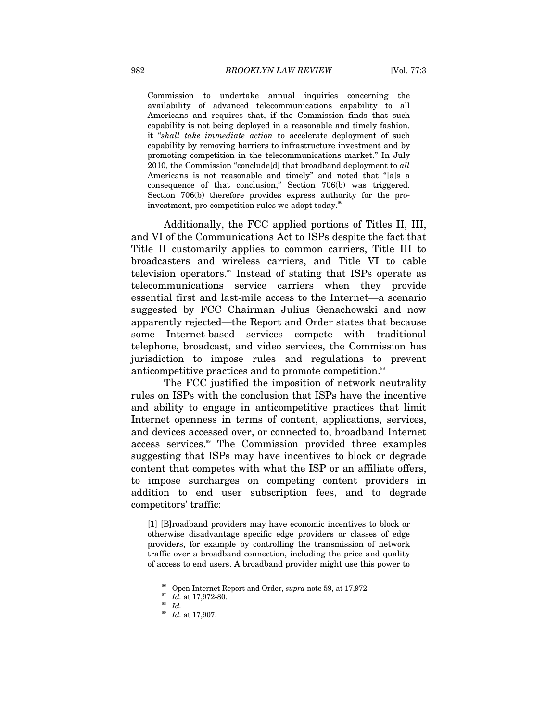Commission to undertake annual inquiries concerning the availability of advanced telecommunications capability to all Americans and requires that, if the Commission finds that such capability is not being deployed in a reasonable and timely fashion, it "*shall take immediate action* to accelerate deployment of such capability by removing barriers to infrastructure investment and by promoting competition in the telecommunications market." In July 2010, the Commission "conclude[d] that broadband deployment to *all* Americans is not reasonable and timely" and noted that "[a]s a consequence of that conclusion," Section 706(b) was triggered. Section 706(b) therefore provides express authority for the proinvestment, pro-competition rules we adopt today. $86$ 

Additionally, the FCC applied portions of Titles II, III, and VI of the Communications Act to ISPs despite the fact that Title II customarily applies to common carriers, Title III to broadcasters and wireless carriers, and Title VI to cable television operators.<sup>87</sup> Instead of stating that ISPs operate as telecommunications service carriers when they provide essential first and last-mile access to the Internet—a scenario suggested by FCC Chairman Julius Genachowski and now apparently rejected—the Report and Order states that because some Internet-based services compete with traditional telephone, broadcast, and video services, the Commission has jurisdiction to impose rules and regulations to prevent anticompetitive practices and to promote competition.<sup>88</sup>

The FCC justified the imposition of network neutrality rules on ISPs with the conclusion that ISPs have the incentive and ability to engage in anticompetitive practices that limit Internet openness in terms of content, applications, services, and devices accessed over, or connected to, broadband Internet access services.<sup>89</sup> The Commission provided three examples suggesting that ISPs may have incentives to block or degrade content that competes with what the ISP or an affiliate offers, to impose surcharges on competing content providers in addition to end user subscription fees, and to degrade competitors' traffic:

[1] [B]roadband providers may have economic incentives to block or otherwise disadvantage specific edge providers or classes of edge providers, for example by controlling the transmission of network traffic over a broadband connection, including the price and quality of access to end users. A broadband provider might use this power to

<sup>86</sup> Open Internet Report and Order, *supra* note 59, at 17,972. 87 *Id.* at 17,972-80. 88 *Id.*

<sup>89</sup> *Id.* at 17,907.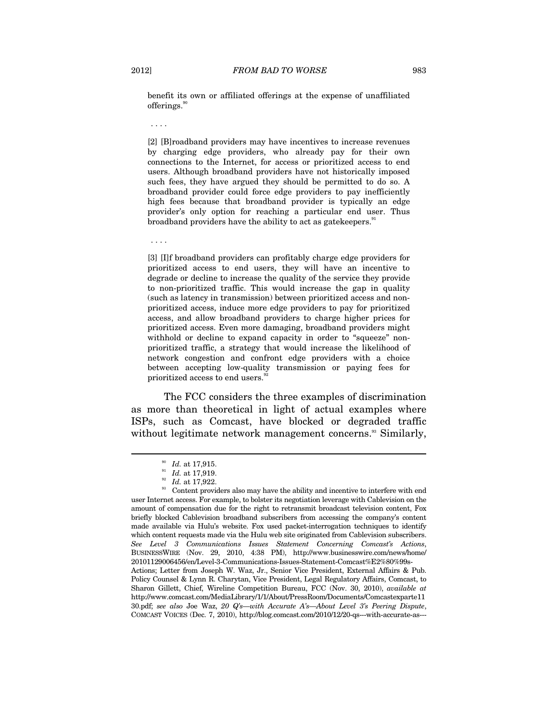benefit its own or affiliated offerings at the expense of unaffiliated offerings.<sup>90</sup>

. . . .

[2] [B]roadband providers may have incentives to increase revenues by charging edge providers, who already pay for their own connections to the Internet, for access or prioritized access to end users. Although broadband providers have not historically imposed such fees, they have argued they should be permitted to do so. A broadband provider could force edge providers to pay inefficiently high fees because that broadband provider is typically an edge provider's only option for reaching a particular end user. Thus broadband providers have the ability to act as gatekeepers.<sup>91</sup>

. . . .

[3] [I]f broadband providers can profitably charge edge providers for prioritized access to end users, they will have an incentive to degrade or decline to increase the quality of the service they provide to non-prioritized traffic. This would increase the gap in quality (such as latency in transmission) between prioritized access and nonprioritized access, induce more edge providers to pay for prioritized access, and allow broadband providers to charge higher prices for prioritized access. Even more damaging, broadband providers might withhold or decline to expand capacity in order to "squeeze" nonprioritized traffic, a strategy that would increase the likelihood of network congestion and confront edge providers with a choice between accepting low-quality transmission or paying fees for prioritized access to end users.<sup>92</sup>

The FCC considers the three examples of discrimination as more than theoretical in light of actual examples where ISPs, such as Comcast, have blocked or degraded traffic without legitimate network management concerns.<sup>33</sup> Similarly,

<sup>&</sup>lt;sup>90</sup> Id. at 17,915.<br><sup>91</sup> Id. at 17,919.<br><sup>92</sup> Id. at 17,922.<br><sup>93</sup> Content providers also may have the ability and incentive to interfere with end user Internet access. For example, to bolster its negotiation leverage with Cablevision on the amount of compensation due for the right to retransmit broadcast television content, Fox briefly blocked Cablevision broadband subscribers from accessing the company's content made available via Hulu's website. Fox used packet-interrogation techniques to identify which content requests made via the Hulu web site originated from Cablevision subscribers. *See Level 3 Communications Issues Statement Concerning Comcast's Actions*, BUSINESSWIRE (Nov. 29, 2010, 4:38 PM), http://www.businesswire.com/news/home/ 20101129006456/en/Level-3-Communications-Issues-Statement-Comcast%E2%80%99s-Actions; Letter from Joseph W. Waz, Jr., Senior Vice President, External Affairs & Pub. Policy Counsel & Lynn R. Charytan, Vice President, Legal Regulatory Affairs, Comcast, to Sharon Gillett, Chief, Wireline Competition Bureau, FCC (Nov. 30, 2010), *available at* http://www.comcast.com/MediaLibrary/1/1/About/PressRoom/Documents/Comcastexparte11 30.pdf; *see also* Joe Waz, *20 Q's—with Accurate A's—About Level 3's Peering Dispute*, COMCAST VOICES (Dec. 7, 2010), http://blog.comcast.com/2010/12/20-qs---with-accurate-as---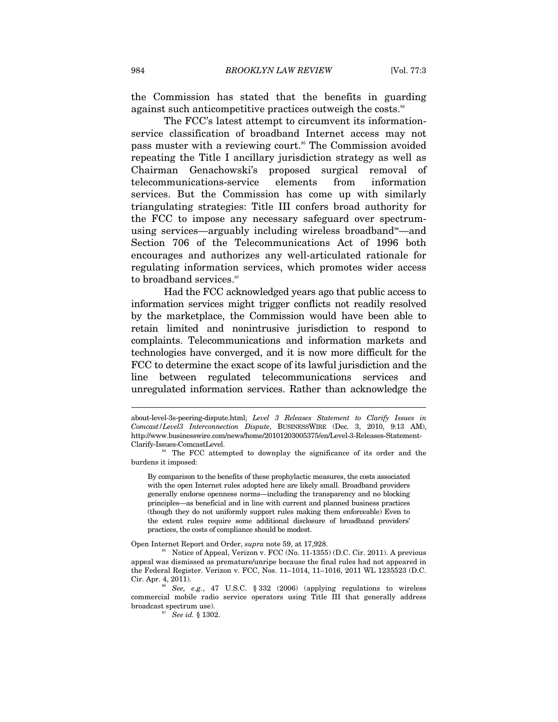the Commission has stated that the benefits in guarding against such anticompetitive practices outweigh the costs.<sup>94</sup>

The FCC's latest attempt to circumvent its informationservice classification of broadband Internet access may not pass muster with a reviewing court.<sup>95</sup> The Commission avoided repeating the Title I ancillary jurisdiction strategy as well as Chairman Genachowski's proposed surgical removal of telecommunications-service elements from information services. But the Commission has come up with similarly triangulating strategies: Title III confers broad authority for the FCC to impose any necessary safeguard over spectrumusing services—arguably including wireless broadband<sup>36</sup>—and Section 706 of the Telecommunications Act of 1996 both encourages and authorizes any well-articulated rationale for regulating information services, which promotes wider access to broadband services.<sup>97</sup>

Had the FCC acknowledged years ago that public access to information services might trigger conflicts not readily resolved by the marketplace, the Commission would have been able to retain limited and nonintrusive jurisdiction to respond to complaints. Telecommunications and information markets and technologies have converged, and it is now more difficult for the FCC to determine the exact scope of its lawful jurisdiction and the line between regulated telecommunications services and unregulated information services. Rather than acknowledge the

By comparison to the benefits of these prophylactic measures, the costs associated with the open Internet rules adopted here are likely small. Broadband providers generally endorse openness norms—including the transparency and no blocking principles—as beneficial and in line with current and planned business practices (though they do not uniformly support rules making them enforceable) Even to the extent rules require some additional disclosure of broadband providers' practices, the costs of compliance should be modest.

about-level-3s-peering-dispute.html; *Level 3 Releases Statement to Clarify Issues in Comcast/Level3 Interconnection Dispute*, BUSINESSWIRE (Dec. 3, 2010, 9:13 AM), http://www.businesswire.com/news/home/20101203005375/en/Level-3-Releases-Statement-Clarify-Issues-ComcastLevel.

The FCC attempted to downplay the significance of its order and the burdens it imposed:

Open Internet Report and Order, *supra* note 59, at 17,928.<br><sup>95</sup> Notice of Appeal, Verizon v. FCC (No. 11-1355) (D.C. Cir. 2011). A previous appeal was dismissed as premature/unripe because the final rules had not appeared in the Federal Register. Verizon v. FCC, Nos. 11–1014, 11–1016, 2011 WL 1235523 (D.C. Cir. Apr. 4, 2011). 96 *See, e.g.*, 47 U.S.C. § 332 (2006) (applying regulations to wireless

commercial mobile radio service operators using Title III that generally address broadcast spectrum use). 97 *See id.* § 1302.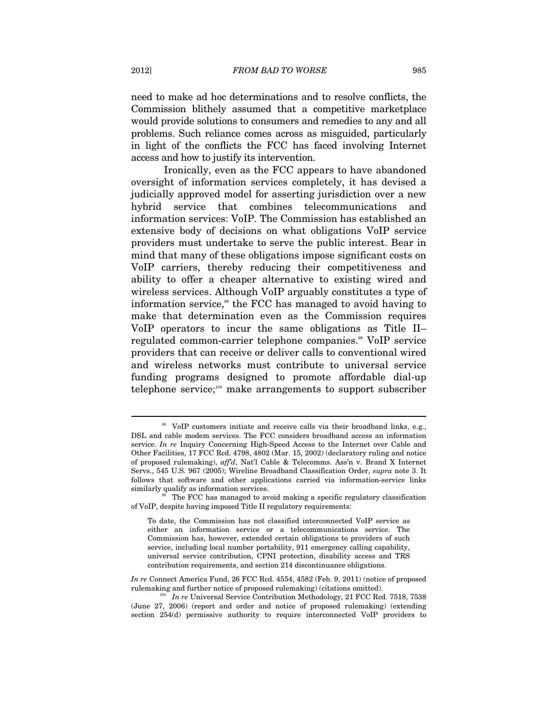need to make ad hoc determinations and to resolve conflicts, the Commission blithely assumed that a competitive marketplace would provide solutions to consumers and remedies to any and all problems. Such reliance comes across as misguided, particularly in light of the conflicts the FCC has faced involving Internet access and how to justify its intervention.

Ironically, even as the FCC appears to have abandoned oversight of information services completely, it has devised a judicially approved model for asserting jurisdiction over a new hybrid service that combines telecommunications and information services: VoIP. The Commission has established an extensive body of decisions on what obligations VoIP service providers must undertake to serve the public interest. Bear in mind that many of these obligations impose significant costs on VoIP carriers, thereby reducing their competitiveness and ability to offer a cheaper alternative to existing wired and wireless services. Although VoIP arguably constitutes a type of information service,<sup>38</sup> the FCC has managed to avoid having to make that determination even as the Commission requires VoIP operators to incur the same obligations as Title II– regulated common-carrier telephone companies.<sup>99</sup> VoIP service providers that can receive or deliver calls to conventional wired and wireless networks must contribute to universal service funding programs designed to promote affordable dial-up telephone service;<sup>100</sup> make arrangements to support subscriber

<sup>&</sup>lt;sup>98</sup> VoIP customers initiate and receive calls via their broadband links, e.g., DSL and cable modem services. The FCC considers broadband access an information service. *In re* Inquiry Concerning High-Speed Access to the Internet over Cable and Other Facilities, 17 FCC Rcd. 4798, 4802 (Mar. 15, 2002) (declaratory ruling and notice of proposed rulemaking), *aff'd*, Nat'l Cable & Telecomms. Ass'n v. Brand X Internet Servs., 545 U.S. 967 (2005); Wireline Broadband Classification Order, *supra* note 3. It follows that software and other applications carried via information-service links similarly qualify as information services.<br><sup>99</sup> The FCC has managed to avoid making a specific regulatory classification

of VoIP, despite having imposed Title II regulatory requirements:

To date, the Commission has not classified interconnected VoIP service as either an information service or a telecommunications service. The Commission has, however, extended certain obligations to providers of such service, including local number portability, 911 emergency calling capability, universal service contribution, CPNI protection, disability access and TRS contribution requirements, and section 214 discontinuance obligations.

*In re* Connect America Fund, 26 FCC Rcd. 4554, 4582 (Feb. 9, 2011) (notice of proposed rulemaking and further notice of proposed rulemaking) (citations omitted). 100 *In re* Universal Service Contribution Methodology, 21 FCC Rcd. 7518, 7538

<sup>(</sup>June 27, 2006) (report and order and notice of proposed rulemaking) (extending section 254(d) permissive authority to require interconnected VoIP providers to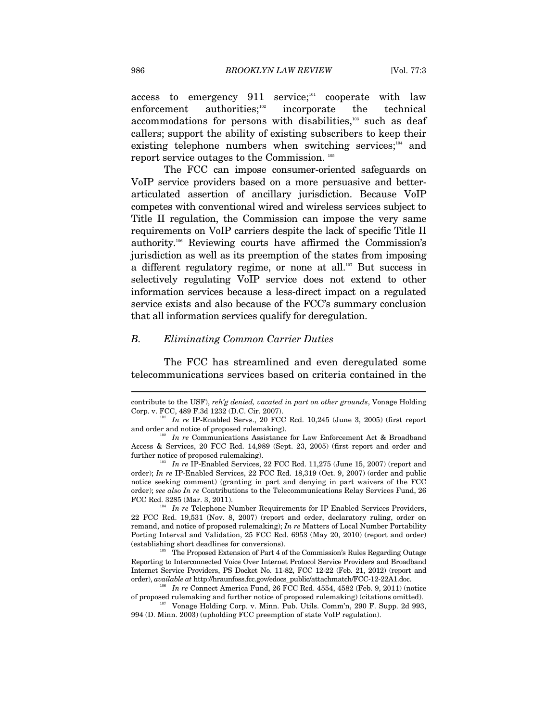access to emergency  $911$  service;<sup>101</sup> cooperate with law enforcement authorities; $102$  incorporate the technical accommodations for persons with disabilities,<sup>103</sup> such as deaf callers; support the ability of existing subscribers to keep their existing telephone numbers when switching services; $104$  and report service outages to the Commission. 105

The FCC can impose consumer-oriented safeguards on VoIP service providers based on a more persuasive and betterarticulated assertion of ancillary jurisdiction. Because VoIP competes with conventional wired and wireless services subject to Title II regulation, the Commission can impose the very same requirements on VoIP carriers despite the lack of specific Title II authority.106 Reviewing courts have affirmed the Commission's jurisdiction as well as its preemption of the states from imposing a different regulatory regime, or none at all.<sup>107</sup> But success in selectively regulating VoIP service does not extend to other information services because a less-direct impact on a regulated service exists and also because of the FCC's summary conclusion that all information services qualify for deregulation.

### *B. Eliminating Common Carrier Duties*

The FCC has streamlined and even deregulated some telecommunications services based on criteria contained in the

contribute to the USF), *reh'g denied, vacated in part on other grounds*, Vonage Holding Corp. v. FCC, 489 F.3d 1232 (D.C. Cir. 2007). 101 *In re* IP-Enabled Servs., 20 FCC Rcd. 10,245 (June 3, 2005) (first report

and order and notice of proposed rulemaking).<br><sup>102</sup> *In re* Communications Assistance for Law Enforcement Act & Broadband

Access & Services, 20 FCC Rcd. 14,989 (Sept. 23, 2005) (first report and order and

In re IP-Enabled Services, 22 FCC Rcd. 11,275 (June 15, 2007) (report and order); *In re* IP-Enabled Services, 22 FCC Rcd. 18,319 (Oct. 9, 2007) (order and public notice seeking comment) (granting in part and denying in part waivers of the FCC order); *see also In re* Contributions to the Telecommunications Relay Services Fund, 26 FCC Rcd. 3285 (Mar. 3, 2011).<br><sup>104</sup> *In re* Telephone Number Requirements for IP Enabled Services Providers,

<sup>22</sup> FCC Rcd. 19,531 (Nov. 8, 2007) (report and order, declaratory ruling, order on remand, and notice of proposed rulemaking); *In re* Matters of Local Number Portability Porting Interval and Validation, 25 FCC Rcd. 6953 (May 20, 2010) (report and order) (establishing short deadlines for conversions). 105 The Proposed Extension of Part 4 of the Commission's Rules Regarding Outage

Reporting to Interconnected Voice Over Internet Protocol Service Providers and Broadband Internet Service Providers, PS Docket No. 11-82, FCC 12-22 (Feb. 21, 2012) (report and order), *available at* http://hraunfoss.fcc.gov/edocs\_public/attachmatch/FCC-12-22A1.doc.<br><sup>106</sup> *In re* Connect America Fund, 26 FCC Rcd. 4554, 4582 (Feb. 9, 2011) (notice

of proposed rulemaking and further notice of proposed rulemaking) (citations omitted). 107 Vonage Holding Corp. v. Minn. Pub. Utils. Comm'n, 290 F. Supp. 2d 993,

<sup>994 (</sup>D. Minn. 2003) (upholding FCC preemption of state VoIP regulation).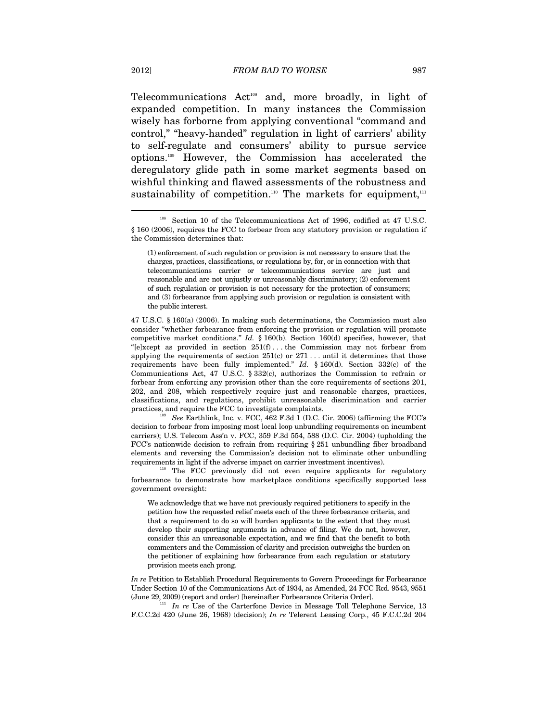Telecommunications Act<sup>108</sup> and, more broadly, in light of expanded competition. In many instances the Commission wisely has forborne from applying conventional "command and control," "heavy-handed" regulation in light of carriers' ability to self-regulate and consumers' ability to pursue service options.109 However, the Commission has accelerated the deregulatory glide path in some market segments based on wishful thinking and flawed assessments of the robustness and sustainability of competition.<sup>110</sup> The markets for equipment,<sup>111</sup>

47 U.S.C. § 160(a) (2006). In making such determinations, the Commission must also consider "whether forbearance from enforcing the provision or regulation will promote competitive market conditions." *Id.* § 160(b). Section 160(d) specifies, however, that "[e]xcept as provided in section  $251(f)$ ... the Commission may not forbear from applying the requirements of section  $251(c)$  or  $271$ ... until it determines that those requirements have been fully implemented." *Id.* § 160(d). Section 332(c) of the Communications Act, 47 U.S.C. § 332(c), authorizes the Commission to refrain or forbear from enforcing any provision other than the core requirements of sections 201, 202, and 208, which respectively require just and reasonable charges, practices, classifications, and regulations, prohibit unreasonable discrimination and carrier practices, and require the FCC to investigate complaints.<br><sup>109</sup> See Earthlink, Inc. v. FCC, 462 F.3d 1 (D.C. Cir. 2006) (affirming the FCC's

decision to forbear from imposing most local loop unbundling requirements on incumbent carriers); U.S. Telecom Ass'n v. FCC, 359 F.3d 554, 588 (D.C. Cir. 2004) (upholding the FCC's nationwide decision to refrain from requiring § 251 unbundling fiber broadband elements and reversing the Commission's decision not to eliminate other unbundling requirements in light if the adverse impact on carrier investment incentives). The FCC previously did not even require applicants for regulatory

forbearance to demonstrate how marketplace conditions specifically supported less government oversight:

We acknowledge that we have not previously required petitioners to specify in the petition how the requested relief meets each of the three forbearance criteria, and that a requirement to do so will burden applicants to the extent that they must develop their supporting arguments in advance of filing. We do not, however, consider this an unreasonable expectation, and we find that the benefit to both commenters and the Commission of clarity and precision outweighs the burden on the petitioner of explaining how forbearance from each regulation or statutory provision meets each prong.

*In re* Petition to Establish Procedural Requirements to Govern Proceedings for Forbearance Under Section 10 of the Communications Act of 1934, as Amended, 24 FCC Rcd. 9543, 9551 (June 29, 2009) (report and order) [hereinafter Forbearance Criteria Order].

<sup>111</sup> In re Use of the Carterfone Device in Message Toll Telephone Service, 13 F.C.C.2d 420 (June 26, 1968) (decision); *In re* Telerent Leasing Corp., 45 F.C.C.2d 204

<sup>108</sup> Section 10 of the Telecommunications Act of 1996, codified at 47 U.S.C. § 160 (2006), requires the FCC to forbear from any statutory provision or regulation if the Commission determines that:

<sup>(1)</sup> enforcement of such regulation or provision is not necessary to ensure that the charges, practices, classifications, or regulations by, for, or in connection with that telecommunications carrier or telecommunications service are just and reasonable and are not unjustly or unreasonably discriminatory; (2) enforcement of such regulation or provision is not necessary for the protection of consumers; and (3) forbearance from applying such provision or regulation is consistent with the public interest.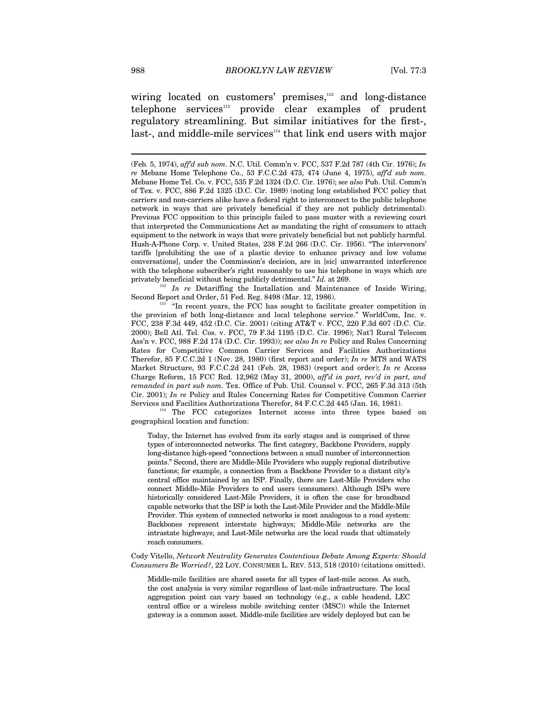wiring located on customers' premises,<sup>112</sup> and long-distance telephone services<sup>113</sup> provide clear examples of prudent regulatory streamlining. But similar initiatives for the first-, last-, and middle-mile services<sup>114</sup> that link end users with major

privately beneficial without being publicly detrimental." *Id.* at 269. <sup>112</sup> *In re* Detariffing the Installation and Maintenance of Inside Wiring, Second Report and Order, 51 Fed. Reg. 8498 (Mar. 12, 1986).

 $113$  "In recent years, the FCC has sought to facilitate greater competition in the provision of both long-distance and local telephone service." WorldCom, Inc. v. FCC, 238 F.3d 449, 452 (D.C. Cir. 2001) (citing AT&T v. FCC, 220 F.3d 607 (D.C. Cir. 2000); Bell Atl. Tel. Cos. v. FCC, 79 F.3d 1195 (D.C. Cir. 1996); Nat'l Rural Telecom Ass'n v. FCC, 988 F.2d 174 (D.C. Cir. 1993)); *see also In re* Policy and Rules Concerning Rates for Competitive Common Carrier Services and Facilities Authorizations Therefor, 85 F.C.C.2d 1 (Nov. 28, 1980) (first report and order); *In re* MTS and WATS Market Structure, 93 F.C.C.2d 241 (Feb. 28, 1983) (report and order); *In re* Access Charge Reform, 15 FCC Rcd. 12,962 (May 31, 2000), *aff'd in part, rev'd in part, and remanded in part sub nom.* Tex. Office of Pub. Util. Counsel v. FCC, 265 F.3d 313 (5th Cir. 2001); *In re* Policy and Rules Concerning Rates for Competitive Common Carrier

Services and Facilities Authorizations Therefor, 84 F.C.C.2d 445 (Jan. 16, 1981).<br><sup>114</sup> The FCC categorizes Internet access into three types based on geographical location and function:

Today, the Internet has evolved from its early stages and is comprised of three types of interconnected networks. The first category, Backbone Providers, supply long-distance high-speed "connections between a small number of interconnection points." Second, there are Middle-Mile Providers who supply regional distributive functions; for example, a connection from a Backbone Provider to a distant city's central office maintained by an ISP. Finally, there are Last-Mile Providers who connect Middle-Mile Providers to end users (consumers). Although ISPs were historically considered Last-Mile Providers, it is often the case for broadband capable networks that the ISP is both the Last-Mile Provider and the Middle-Mile Provider. This system of connected networks is most analogous to a road system: Backbones represent interstate highways; Middle-Mile networks are the intrastate highways; and Last-Mile networks are the local roads that ultimately reach consumers.

Cody Vitello, *Network Neutrality Generates Contentious Debate Among Experts: Should Consumers Be Worried?*, 22 LOY. CONSUMER L. REV. 513, 518 (2010) (citations omitted).

Middle-mile facilities are shared assets for all types of last-mile access. As such, the cost analysis is very similar regardless of last-mile infrastructure. The local aggregation point can vary based on technology (e.g., a cable headend, LEC central office or a wireless mobile switching center (MSC)) while the Internet gateway is a common asset. Middle-mile facilities are widely deployed but can be

<sup>(</sup>Feb. 5, 1974), *aff'd sub nom*. N.C. Util. Comm'n v. FCC, 537 F.2d 787 (4th Cir. 1976); *In re* Mebane Home Telephone Co., 53 F.C.C.2d 473, 474 (June 4, 1975), *aff'd sub nom*. Mebane Home Tel. Co. v. FCC, 535 F.2d 1324 (D.C. Cir. 1976); *see also* Pub. Util. Comm'n of Tex. v. FCC, 886 F.2d 1325 (D.C. Cir. 1989) (noting long established FCC policy that carriers and non-carriers alike have a federal right to interconnect to the public telephone network in ways that are privately beneficial if they are not publicly detrimental). Previous FCC opposition to this principle failed to pass muster with a reviewing court that interpreted the Communications Act as mandating the right of consumers to attach equipment to the network in ways that were privately beneficial but not publicly harmful. Hush-A-Phone Corp. v. United States, 238 F.2d 266 (D.C. Cir. 1956). "The intervenors' tariffs [prohibiting the use of a plastic device to enhance privacy and low volume conversations], under the Commission's decision, are in [sic] unwarranted interference with the telephone subscriber's right reasonably to use his telephone in ways which are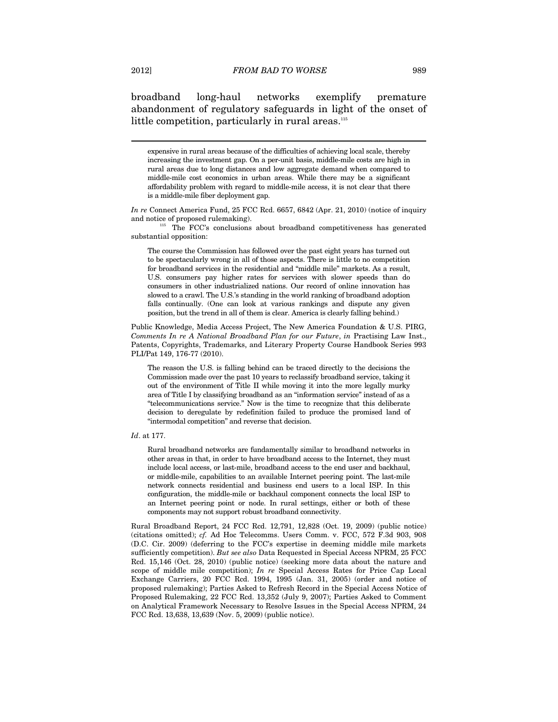broadband long-haul networks exemplify premature abandonment of regulatory safeguards in light of the onset of little competition, particularly in rural areas.<sup>115</sup>

expensive in rural areas because of the difficulties of achieving local scale, thereby increasing the investment gap. On a per-unit basis, middle-mile costs are high in rural areas due to long distances and low aggregate demand when compared to middle-mile cost economics in urban areas. While there may be a significant affordability problem with regard to middle-mile access, it is not clear that there is a middle-mile fiber deployment gap.

and notice of proposed rulemaking). The FCC's conclusions about broadband competitiveness has generated substantial opposition:

The course the Commission has followed over the past eight years has turned out to be spectacularly wrong in all of those aspects. There is little to no competition for broadband services in the residential and "middle mile" markets. As a result, U.S. consumers pay higher rates for services with slower speeds than do consumers in other industrialized nations. Our record of online innovation has slowed to a crawl. The U.S.'s standing in the world ranking of broadband adoption falls continually. (One can look at various rankings and dispute any given position, but the trend in all of them is clear. America is clearly falling behind.)

Public Knowledge, Media Access Project, The New America Foundation & U.S. PIRG, *Comments In re A National Broadband Plan for our Future*, *in* Practising Law Inst., Patents, Copyrights, Trademarks, and Literary Property Course Handbook Series 993 PLI/Pat 149, 176-77 (2010).

The reason the U.S. is falling behind can be traced directly to the decisions the Commission made over the past 10 years to reclassify broadband service, taking it out of the environment of Title II while moving it into the more legally murky area of Title I by classifying broadband as an "information service" instead of as a "telecommunications service." Now is the time to recognize that this deliberate decision to deregulate by redefinition failed to produce the promised land of "intermodal competition" and reverse that decision.

Rural broadband networks are fundamentally similar to broadband networks in other areas in that, in order to have broadband access to the Internet, they must include local access, or last-mile, broadband access to the end user and backhaul, or middle-mile, capabilities to an available Internet peering point. The last-mile network connects residential and business end users to a local ISP. In this configuration, the middle-mile or backhaul component connects the local ISP to an Internet peering point or node. In rural settings, either or both of these components may not support robust broadband connectivity.

Rural Broadband Report, 24 FCC Rcd. 12,791, 12,828 (Oct. 19, 2009) (public notice) (citations omitted); *cf.* Ad Hoc Telecomms. Users Comm. v. FCC, 572 F.3d 903, 908 (D.C. Cir. 2009) (deferring to the FCC's expertise in deeming middle mile markets sufficiently competition). *But see also* Data Requested in Special Access NPRM, 25 FCC Rcd. 15,146 (Oct. 28, 2010) (public notice) (seeking more data about the nature and scope of middle mile competition); *In re* Special Access Rates for Price Cap Local Exchange Carriers, 20 FCC Rcd. 1994, 1995 (Jan. 31, 2005) (order and notice of proposed rulemaking); Parties Asked to Refresh Record in the Special Access Notice of Proposed Rulemaking, 22 FCC Rcd. 13,352 (July 9, 2007); Parties Asked to Comment on Analytical Framework Necessary to Resolve Issues in the Special Access NPRM, 24 FCC Rcd. 13,638, 13,639 (Nov. 5, 2009) (public notice).

*In re* Connect America Fund, 25 FCC Rcd. 6657, 6842 (Apr. 21, 2010) (notice of inquiry

*Id*. at 177.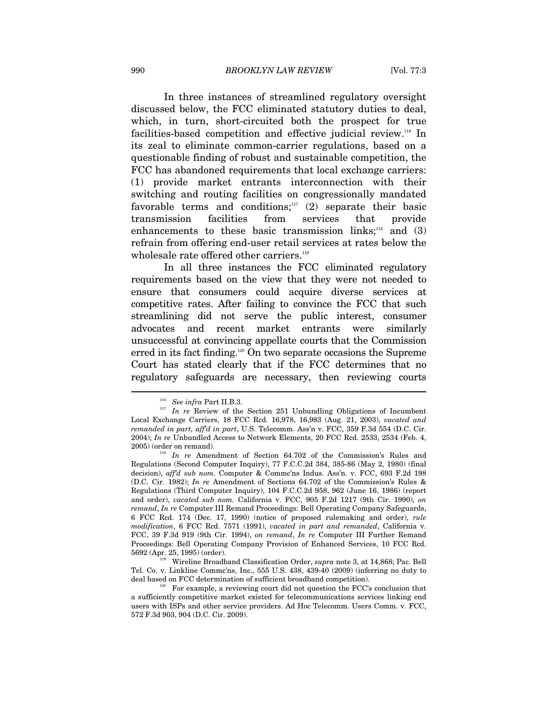In three instances of streamlined regulatory oversight discussed below, the FCC eliminated statutory duties to deal, which, in turn, short-circuited both the prospect for true facilities-based competition and effective judicial review.116 In its zeal to eliminate common-carrier regulations, based on a questionable finding of robust and sustainable competition, the FCC has abandoned requirements that local exchange carriers: (1) provide market entrants interconnection with their switching and routing facilities on congressionally mandated favorable terms and conditions; $117$  (2) separate their basic transmission facilities from services that provide enhancements to these basic transmission links; $118$  and (3) refrain from offering end-user retail services at rates below the wholesale rate offered other carriers.<sup>119</sup>

In all three instances the FCC eliminated regulatory requirements based on the view that they were not needed to ensure that consumers could acquire diverse services at competitive rates. After failing to convince the FCC that such streamlining did not serve the public interest, consumer advocates and recent market entrants were similarly unsuccessful at convincing appellate courts that the Commission erred in its fact finding.120 On two separate occasions the Supreme Court has stated clearly that if the FCC determines that no regulatory safeguards are necessary, then reviewing courts

<sup>&</sup>lt;sup>116</sup> *See infra* Part II.B.3.<br><sup>117</sup> *In re* Review of the Section 251 Unbundling Obligations of Incumbent Local Exchange Carriers, 18 FCC Rcd. 16,978, 16,983 (Aug. 21, 2003), *vacated and remanded in part, aff'd in part*, U.S. Telecomm. Ass'n v. FCC, 359 F.3d 554 (D.C. Cir. 2004); *In re* Unbundled Access to Network Elements, 20 FCC Rcd. 2533, 2534 (Feb. 4, 2005) (order on remand). 118 *In re* Amendment of Section 64.702 of the Commission's Rules and

Regulations (Second Computer Inquiry), 77 F.C.C.2d 384, 385-86 (May 2, 1980) (final decision), *aff'd sub nom.* Computer & Commc'ns Indus. Ass'n. v. FCC, 693 F.2d 198 (D.C. Cir. 1982); *In re* Amendment of Sections 64.702 of the Commission's Rules & Regulations (Third Computer Inquiry), 104 F.C.C.2d 958, 962 (June 16, 1986) (report and order), *vacated sub nom.* California v. FCC, 905 F.2d 1217 (9th Cir. 1990), *on remand*, *In re* Computer III Remand Proceedings: Bell Operating Company Safeguards, 6 FCC Rcd. 174 (Dec. 17, 1990) (notice of proposed rulemaking and order), *rule modification*, 6 FCC Rcd. 7571 (1991), *vacated in part and remanded*, California v. FCC, 39 F.3d 919 (9th Cir. 1994), *on remand*, *In re* Computer III Further Remand Proceedings: Bell Operating Company Provision of Enhanced Services, 10 FCC Rcd. 5692 (Apr. 25, 1995) (order). 119 Wireline Broadband Classification Order, *supra* note 3, at 14,868; Pac. Bell

Tel. Co. v. Linkline Commc'ns, Inc., 555 U.S. 438, 439-40 (2009) (inferring no duty to deal based on FCC determination of sufficient broadband competition). 120 For example, a reviewing court did not question the FCC's conclusion that

a sufficiently competitive market existed for telecommunications services linking end users with ISPs and other service providers. Ad Hoc Telecomm. Users Comm. v. FCC, 572 F.3d 903, 904 (D.C. Cir. 2009).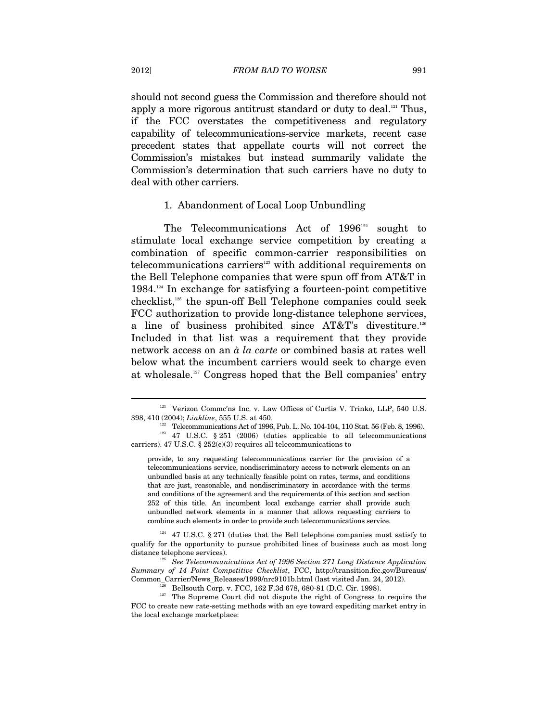should not second guess the Commission and therefore should not apply a more rigorous antitrust standard or duty to deal.<sup>121</sup> Thus, if the FCC overstates the competitiveness and regulatory capability of telecommunications-service markets, recent case precedent states that appellate courts will not correct the Commission's mistakes but instead summarily validate the Commission's determination that such carriers have no duty to deal with other carriers.

### 1. Abandonment of Local Loop Unbundling

The Telecommunications Act of  $1996^{\scriptscriptstyle{122}}$  sought to stimulate local exchange service competition by creating a combination of specific common-carrier responsibilities on telecommunications carriers<sup>123</sup> with additional requirements on the Bell Telephone companies that were spun off from AT&T in  $1984$ <sup>124</sup> In exchange for satisfying a fourteen-point competitive checklist,125 the spun-off Bell Telephone companies could seek FCC authorization to provide long-distance telephone services, a line of business prohibited since AT&T's divestiture.126 Included in that list was a requirement that they provide network access on an *à la carte* or combined basis at rates well below what the incumbent carriers would seek to charge even at wholesale.127 Congress hoped that the Bell companies' entry

provide, to any requesting telecommunications carrier for the provision of a telecommunications service, nondiscriminatory access to network elements on an unbundled basis at any technically feasible point on rates, terms, and conditions that are just, reasonable, and nondiscriminatory in accordance with the terms and conditions of the agreement and the requirements of this section and section 252 of this title. An incumbent local exchange carrier shall provide such unbundled network elements in a manner that allows requesting carriers to combine such elements in order to provide such telecommunications service.

 $124$  47 U.S.C. § 271 (duties that the Bell telephone companies must satisfy to qualify for the opportunity to pursue prohibited lines of business such as most long distance telephone services).<br><sup>125</sup> See Telecommunications Act of 1996 Section 271 Long Distance Application

*Summary of 14 Point Competitive Checklist*, FCC, http://transition.fcc.gov/Bureaus/

Common\_Carrier/News\_Releases/1999/nrc9101b.html (last visited Jan. 24, 2012).<br>
<sup>126</sup> Bellsouth Corp. v. FCC, 162 F.3d 678, 680-81 (D.C. Cir. 1998).<br>
<sup>127</sup> The Supreme Court did not dispute the right of Congress to require FCC to create new rate-setting methods with an eye toward expediting market entry in the local exchange marketplace:

<sup>&</sup>lt;sup>121</sup> Verizon Commc'ns Inc. v. Law Offices of Curtis V. Trinko, LLP, 540 U.S.

<sup>398, 410 (2004);</sup> *Linkline*, 555 U.S. at 450.<br><sup>122</sup> Telecommunications Act of 1996, Pub. L. No. 104-104, 110 Stat. 56 (Feb. 8, 1996).<br><sup>123</sup> 47 U.S.C. § 251 (2006) (duties applicable to all telecommunications carriers). 47 U.S.C.  $\S 252(c)(3)$  requires all telecommunications to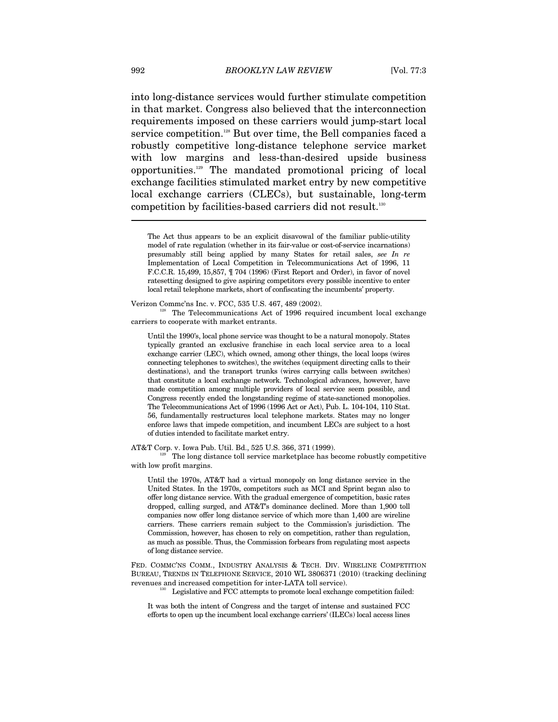into long-distance services would further stimulate competition in that market. Congress also believed that the interconnection requirements imposed on these carriers would jump-start local service competition.<sup>128</sup> But over time, the Bell companies faced a robustly competitive long-distance telephone service market with low margins and less-than-desired upside business opportunities.129 The mandated promotional pricing of local exchange facilities stimulated market entry by new competitive local exchange carriers (CLECs), but sustainable, long-term competition by facilities-based carriers did not result.130

Verizon Commc'ns Inc. v. FCC, 535 U.S. 467, 489 (2002).<br><sup>128</sup> The Telecommunications Act of 1996 required incumbent local exchange carriers to cooperate with market entrants.

Until the 1990's, local phone service was thought to be a natural monopoly. States typically granted an exclusive franchise in each local service area to a local exchange carrier (LEC), which owned, among other things, the local loops (wires connecting telephones to switches), the switches (equipment directing calls to their destinations), and the transport trunks (wires carrying calls between switches) that constitute a local exchange network. Technological advances, however, have made competition among multiple providers of local service seem possible, and Congress recently ended the longstanding regime of state-sanctioned monopolies. The Telecommunications Act of 1996 (1996 Act or Act), Pub. L. 104-104, 110 Stat. 56, fundamentally restructures local telephone markets. States may no longer enforce laws that impede competition, and incumbent LECs are subject to a host of duties intended to facilitate market entry.

AT&T Corp. v. Iowa Pub. Util. Bd., 525 U.S. 366, 371 (1999).<br>The long distance toll service marketplace has become robustly competitive with low profit margins.

Until the 1970s, AT&T had a virtual monopoly on long distance service in the United States. In the 1970s, competitors such as MCI and Sprint began also to offer long distance service. With the gradual emergence of competition, basic rates dropped, calling surged, and AT&T's dominance declined. More than 1,900 toll companies now offer long distance service of which more than 1,400 are wireline carriers. These carriers remain subject to the Commission's jurisdiction. The Commission, however, has chosen to rely on competition, rather than regulation, as much as possible. Thus, the Commission forbears from regulating most aspects of long distance service.

FED. COMMC'NS COMM., INDUSTRY ANALYSIS & TECH. DIV. WIRELINE COMPETITION BUREAU, TRENDS IN TELEPHONE SERVICE, 2010 WL 3806371 (2010) (tracking declining revenues and increased competition for inter-LATA toll service). 130 Legislative and FCC attempts to promote local exchange competition failed:

It was both the intent of Congress and the target of intense and sustained FCC efforts to open up the incumbent local exchange carriers' (ILECs) local access lines

The Act thus appears to be an explicit disavowal of the familiar public-utility model of rate regulation (whether in its fair-value or cost-of-service incarnations) presumably still being applied by many States for retail sales, *see In re* Implementation of Local Competition in Telecommunications Act of 1996, 11 F.C.C.R. 15,499, 15,857, ¶ 704 (1996) (First Report and Order), in favor of novel ratesetting designed to give aspiring competitors every possible incentive to enter local retail telephone markets, short of confiscating the incumbents' property.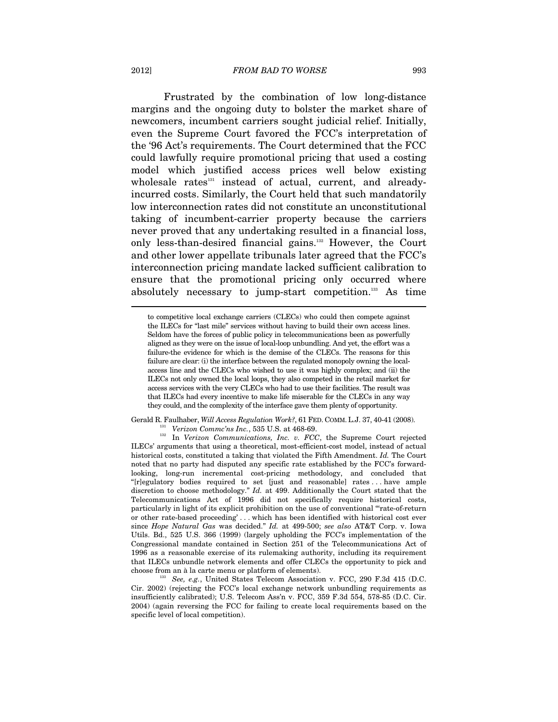Frustrated by the combination of low long-distance margins and the ongoing duty to bolster the market share of newcomers, incumbent carriers sought judicial relief. Initially, even the Supreme Court favored the FCC's interpretation of the '96 Act's requirements. The Court determined that the FCC could lawfully require promotional pricing that used a costing model which justified access prices well below existing wholesale rates<sup>131</sup> instead of actual, current, and alreadyincurred costs. Similarly, the Court held that such mandatorily low interconnection rates did not constitute an unconstitutional taking of incumbent-carrier property because the carriers never proved that any undertaking resulted in a financial loss, only less-than-desired financial gains.132 However, the Court and other lower appellate tribunals later agreed that the FCC's interconnection pricing mandate lacked sufficient calibration to ensure that the promotional pricing only occurred where absolutely necessary to jump-start competition.<sup>133</sup> As time

Gerald R. Faulhaber, Will Access Regulation Work?, 61 FED. COMM. L.J. 37, 40-41 (2008).<br>Verizon Comme'ns Inc., 535 U.S. at 468-69.<br>In Verizon Communications, Inc. v. FCC, the Supreme Court rejected

ILECs' arguments that using a theoretical, most-efficient-cost model, instead of actual historical costs, constituted a taking that violated the Fifth Amendment. *Id.* The Court noted that no party had disputed any specific rate established by the FCC's forwardlooking, long-run incremental cost-pricing methodology, and concluded that "[r]egulatory bodies required to set [just and reasonable] rates . . . have ample discretion to choose methodology." *Id.* at 499. Additionally the Court stated that the Telecommunications Act of 1996 did not specifically require historical costs, particularly in light of its explicit prohibition on the use of conventional "'rate-of-return or other rate-based proceeding' . . . which has been identified with historical cost ever since *Hope Natural Gas* was decided." *Id.* at 499-500; *see also* AT&T Corp. v. Iowa Utils. Bd., 525 U.S. 366 (1999) (largely upholding the FCC's implementation of the Congressional mandate contained in Section 251 of the Telecommunications Act of 1996 as a reasonable exercise of its rulemaking authority, including its requirement that ILECs unbundle network elements and offer CLECs the opportunity to pick and choose from an à la carte menu or platform of elements). 133 *See, e.g.*, United States Telecom Association v. FCC, 290 F.3d 415 (D.C.

Cir. 2002) (rejecting the FCC's local exchange network unbundling requirements as insufficiently calibrated); U.S. Telecom Ass'n v. FCC, 359 F.3d 554, 578-85 (D.C. Cir. 2004) (again reversing the FCC for failing to create local requirements based on the specific level of local competition).

to competitive local exchange carriers (CLECs) who could then compete against the ILECs for "last mile" services without having to build their own access lines. Seldom have the forces of public policy in telecommunications been as powerfully aligned as they were on the issue of local-loop unbundling. And yet, the effort was a failure-the evidence for which is the demise of the CLECs. The reasons for this failure are clear: (i) the interface between the regulated monopoly owning the localaccess line and the CLECs who wished to use it was highly complex; and (ii) the ILECs not only owned the local loops, they also competed in the retail market for access services with the very CLECs who had to use their facilities. The result was that ILECs had every incentive to make life miserable for the CLECs in any way they could, and the complexity of the interface gave them plenty of opportunity.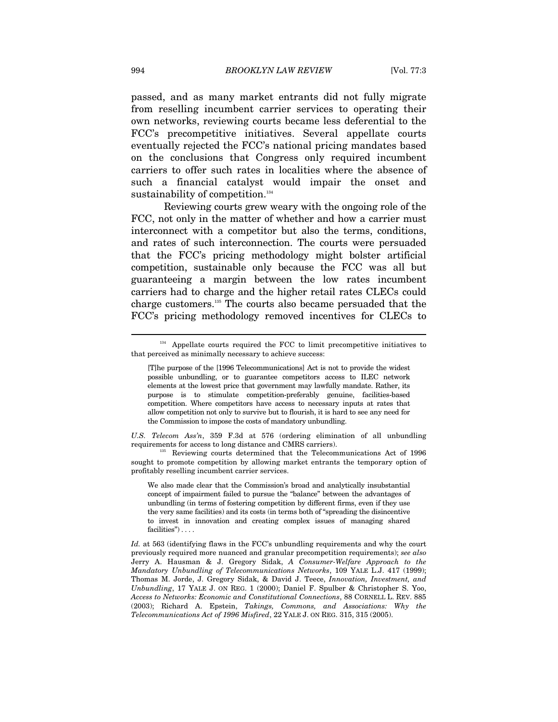passed, and as many market entrants did not fully migrate from reselling incumbent carrier services to operating their own networks, reviewing courts became less deferential to the FCC's precompetitive initiatives. Several appellate courts eventually rejected the FCC's national pricing mandates based on the conclusions that Congress only required incumbent carriers to offer such rates in localities where the absence of such a financial catalyst would impair the onset and sustainability of competition.<sup>134</sup>

Reviewing courts grew weary with the ongoing role of the FCC, not only in the matter of whether and how a carrier must interconnect with a competitor but also the terms, conditions, and rates of such interconnection. The courts were persuaded that the FCC's pricing methodology might bolster artificial competition, sustainable only because the FCC was all but guaranteeing a margin between the low rates incumbent carriers had to charge and the higher retail rates CLECs could charge customers.135 The courts also became persuaded that the FCC's pricing methodology removed incentives for CLECs to

*U.S. Telecom Ass'n*, 359 F.3d at 576 (ordering elimination of all unbundling requirements for access to long distance and CMRS carriers). 135 Reviewing courts determined that the Telecommunications Act of 1996

sought to promote competition by allowing market entrants the temporary option of profitably reselling incumbent carrier services.

We also made clear that the Commission's broad and analytically insubstantial concept of impairment failed to pursue the "balance" between the advantages of unbundling (in terms of fostering competition by different firms, even if they use the very same facilities) and its costs (in terms both of "spreading the disincentive to invest in innovation and creating complex issues of managing shared facilities")

*Id.* at 563 (identifying flaws in the FCC's unbundling requirements and why the court previously required more nuanced and granular precompetition requirements); *see also* Jerry A. Hausman & J. Gregory Sidak, *A Consumer-Welfare Approach to the Mandatory Unbundling of Telecommunications Networks*, 109 YALE L.J. 417 (1999); Thomas M. Jorde, J. Gregory Sidak, & David J. Teece, *Innovation, Investment, and Unbundling*, 17 YALE J. ON REG. 1 (2000); Daniel F. Spulber & Christopher S. Yoo, *Access to Networks: Economic and Constitutional Connections*, 88 CORNELL L. REV. 885 (2003); Richard A. Epstein, *Takings, Commons, and Associations: Why the Telecommunications Act of 1996 Misfired*, 22 YALE J. ON REG. 315, 315 (2005).

<sup>&</sup>lt;sup>134</sup> Appellate courts required the FCC to limit precompetitive initiatives to that perceived as minimally necessary to achieve success:

<sup>[</sup>T]he purpose of the [1996 Telecommunications] Act is not to provide the widest possible unbundling, or to guarantee competitors access to ILEC network elements at the lowest price that government may lawfully mandate. Rather, its purpose is to stimulate competition-preferably genuine, facilities-based competition. Where competitors have access to necessary inputs at rates that allow competition not only to survive but to flourish, it is hard to see any need for the Commission to impose the costs of mandatory unbundling.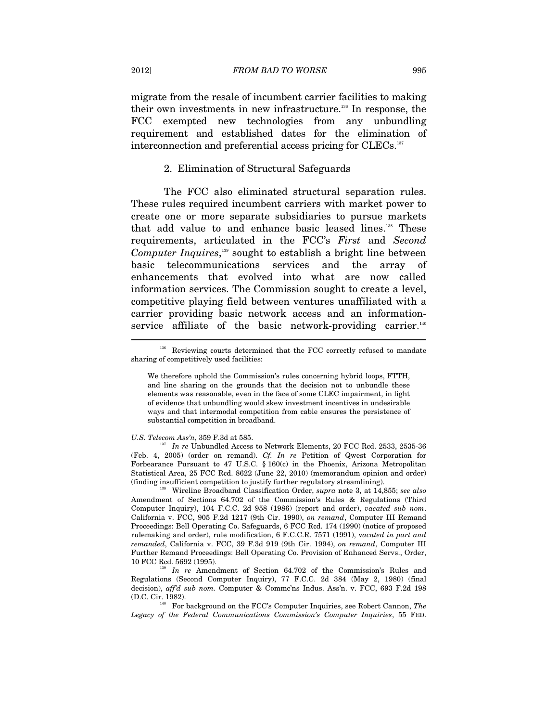migrate from the resale of incumbent carrier facilities to making their own investments in new infrastructure.136 In response, the FCC exempted new technologies from any unbundling requirement and established dates for the elimination of interconnection and preferential access pricing for CLECs.<sup>137</sup>

### 2. Elimination of Structural Safeguards

The FCC also eliminated structural separation rules. These rules required incumbent carriers with market power to create one or more separate subsidiaries to pursue markets that add value to and enhance basic leased lines.138 These requirements, articulated in the FCC's *First* and *Second Computer Inquires*, 139 sought to establish a bright line between basic telecommunications services and the array of enhancements that evolved into what are now called information services. The Commission sought to create a level, competitive playing field between ventures unaffiliated with a carrier providing basic network access and an informationservice affiliate of the basic network-providing carrier.<sup>140</sup>  $\overline{a}$ 

*U.S. Telecom Ass'n*, 359 F.3d at 585.<br><sup>137</sup> *In re* Unbundled Access to Network Elements, 20 FCC Rcd. 2533, 2535-36 (Feb. 4, 2005) (order on remand). *Cf. In re* Petition of Qwest Corporation for Forbearance Pursuant to 47 U.S.C. § 160(c) in the Phoenix, Arizona Metropolitan Statistical Area, 25 FCC Rcd. 8622 (June 22, 2010) (memorandum opinion and order) (finding insufficient competition to justify further regulatory streamlining). 138 Wireline Broadband Classification Order, *supra* note 3, at 14,855; *see also* 

Amendment of Sections 64.702 of the Commission's Rules & Regulations (Third Computer Inquiry), 104 F.C.C. 2d 958 (1986) (report and order), *vacated sub nom*. California v. FCC, 905 F.2d 1217 (9th Cir. 1990), *on remand*, Computer III Remand Proceedings: Bell Operating Co. Safeguards, 6 FCC Rcd. 174 (1990) (notice of proposed rulemaking and order), rule modification, 6 F.C.C.R. 7571 (1991), v*acated in part and remanded*, California v. FCC, 39 F.3d 919 (9th Cir. 1994), *on remand*, Computer III Further Remand Proceedings: Bell Operating Co. Provision of Enhanced Servs., Order,

<sup>139</sup> In re Amendment of Section 64.702 of the Commission's Rules and Regulations (Second Computer Inquiry), 77 F.C.C. 2d 384 (May 2, 1980) (final decision), *aff'd sub nom.* Computer & Commc'ns Indus. Ass'n. v. FCC, 693 F.2d 198

(D.C. Cir. 1982). 140 For background on the FCC's Computer Inquiries, see Robert Cannon, *The Legacy of the Federal Communications Commission's Computer Inquiries*, 55 FED.

<sup>&</sup>lt;sup>136</sup> Reviewing courts determined that the FCC correctly refused to mandate sharing of competitively used facilities:

We therefore uphold the Commission's rules concerning hybrid loops, FTTH, and line sharing on the grounds that the decision not to unbundle these elements was reasonable, even in the face of some CLEC impairment, in light of evidence that unbundling would skew investment incentives in undesirable ways and that intermodal competition from cable ensures the persistence of substantial competition in broadband.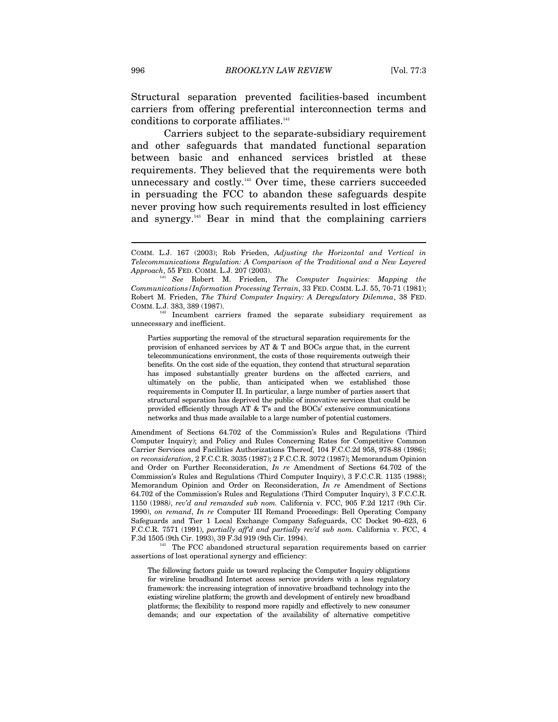Structural separation prevented facilities-based incumbent carriers from offering preferential interconnection terms and conditions to corporate affiliates.<sup>141</sup>

Carriers subject to the separate-subsidiary requirement and other safeguards that mandated functional separation between basic and enhanced services bristled at these requirements. They believed that the requirements were both unnecessary and costly.<sup>142</sup> Over time, these carriers succeeded in persuading the FCC to abandon these safeguards despite never proving how such requirements resulted in lost efficiency and synergy.143 Bear in mind that the complaining carriers

<sup>142</sup> Incumbent carriers framed the separate subsidiary requirement as unnecessary and inefficient.

Parties supporting the removal of the structural separation requirements for the provision of enhanced services by AT & T and BOCs argue that, in the current telecommunications environment, the costs of those requirements outweigh their benefits. On the cost side of the equation, they contend that structural separation has imposed substantially greater burdens on the affected carriers, and ultimately on the public, than anticipated when we established those requirements in Computer II. In particular, a large number of parties assert that structural separation has deprived the public of innovative services that could be provided efficiently through AT & T's and the BOCs' extensive communications networks and thus made available to a large number of potential customers.

Amendment of Sections 64.702 of the Commission's Rules and Regulations (Third Computer Inquiry); and Policy and Rules Concerning Rates for Competitive Common Carrier Services and Facilities Authorizations Thereof, 104 F.C.C.2d 958, 978-88 (1986); *on reconsideration*, 2 F.C.C.R. 3035 (1987); 2 F.C.C.R. 3072 (1987); Memorandum Opinion and Order on Further Reconsideration, *In re* Amendment of Sections 64.702 of the Commission's Rules and Regulations (Third Computer Inquiry), 3 F.C.C.R. 1135 (1988); Memorandum Opinion and Order on Reconsideration, *In re* Amendment of Sections 64.702 of the Commission's Rules and Regulations (Third Computer Inquiry), 3 F.C.C.R. 1150 (1988*)*, *rev'd and remanded sub nom.* California v. FCC, 905 F.2d 1217 (9th Cir. 1990), *on remand*, *In re* Computer III Remand Proceedings: Bell Operating Company Safeguards and Tier 1 Local Exchange Company Safeguards, CC Docket 90–623, 6 F.C.C.R. 7571 (1991), *partially aff'd and partially rev'd sub nom.* California v. FCC, 4 F.3d 1505 (9th Cir. 1993), 39 F.3d 919 (9th Cir. 1994). 143 The FCC abandoned structural separation requirements based on carrier

assertions of lost operational synergy and efficiency:

The following factors guide us toward replacing the Computer Inquiry obligations for wireline broadband Internet access service providers with a less regulatory framework: the increasing integration of innovative broadband technology into the existing wireline platform; the growth and development of entirely new broadband platforms; the flexibility to respond more rapidly and effectively to new consumer demands; and our expectation of the availability of alternative competitive

COMM. L.J. 167 (2003); Rob Frieden, *Adjusting the Horizontal and Vertical in Telecommunications Regulation: A Comparison of the Traditional and a New Layered* 

<sup>&</sup>lt;sup>41</sup> See Robert M. Frieden, *The Computer Inquiries: Mapping the Communications/Information Processing Terrain*, 33 FED. COMM. L.J. 55, 70-71 (1981); Robert M. Frieden, *The Third Computer Inquiry: A Deregulatory Dilemma*, 38 FED. COMM. L.J. 383, 389 (1987).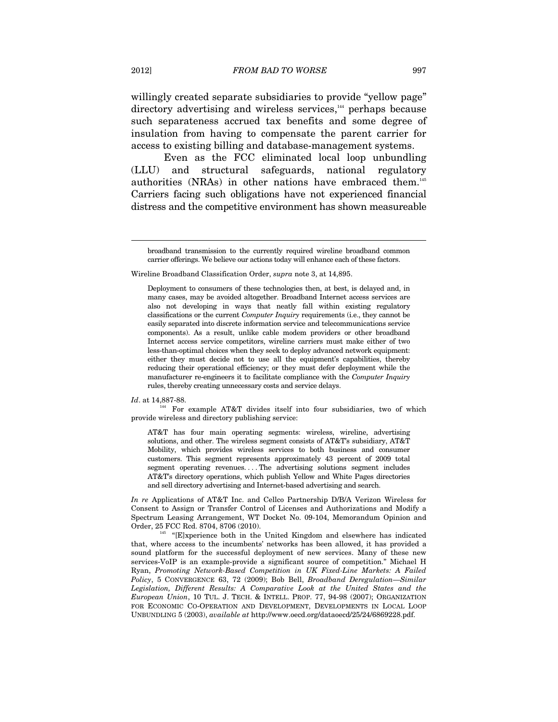willingly created separate subsidiaries to provide "yellow page" directory advertising and wireless services,<sup>144</sup> perhaps because such separateness accrued tax benefits and some degree of insulation from having to compensate the parent carrier for access to existing billing and database-management systems.

Even as the FCC eliminated local loop unbundling (LLU) and structural safeguards, national regulatory authorities (NRAs) in other nations have embraced them.145 Carriers facing such obligations have not experienced financial distress and the competitive environment has shown measureable

Wireline Broadband Classification Order, *supra* note 3, at 14,895.

*Id.* at 14,887-88.<br><sup>144</sup> For example AT&T divides itself into four subsidiaries, two of which provide wireless and directory publishing service:

AT&T has four main operating segments: wireless, wireline, advertising solutions, and other. The wireless segment consists of AT&T's subsidiary, AT&T Mobility, which provides wireless services to both business and consumer customers. This segment represents approximately 43 percent of 2009 total segment operating revenues. . . . The advertising solutions segment includes AT&T's directory operations, which publish Yellow and White Pages directories and sell directory advertising and Internet-based advertising and search.

*In re* Applications of AT&T Inc. and Cellco Partnership D/B/A Verizon Wireless for Consent to Assign or Transfer Control of Licenses and Authorizations and Modify a Spectrum Leasing Arrangement, WT Docket No. 09-104, Memorandum Opinion and Order, 25 FCC Rcd. 8704, 8706 (2010).<br><sup>145</sup> "[E]xperience both in the United Kingdom and elsewhere has indicated

that, where access to the incumbents' networks has been allowed, it has provided a sound platform for the successful deployment of new services. Many of these new services-VoIP is an example-provide a significant source of competition." Michael H Ryan, *Promoting Network-Based Competition in UK Fixed-Line Markets: A Failed Policy*, 5 CONVERGENCE 63, 72 (2009); Bob Bell, *Broadband Deregulation—Similar Legislation, Different Results: A Comparative Look at the United States and the European Union*, 10 TUL. J. TECH. & INTELL. PROP. 77, 94-98 (2007); ORGANIZATION FOR ECONOMIC CO-OPERATION AND DEVELOPMENT, DEVELOPMENTS IN LOCAL LOOP UNBUNDLING 5 (2003), *available at* http://www.oecd.org/dataoecd/25/24/6869228.pdf.

broadband transmission to the currently required wireline broadband common carrier offerings. We believe our actions today will enhance each of these factors.

Deployment to consumers of these technologies then, at best, is delayed and, in many cases, may be avoided altogether. Broadband Internet access services are also not developing in ways that neatly fall within existing regulatory classifications or the current *Computer Inquiry* requirements (i.e., they cannot be easily separated into discrete information service and telecommunications service components). As a result, unlike cable modem providers or other broadband Internet access service competitors, wireline carriers must make either of two less-than-optimal choices when they seek to deploy advanced network equipment: either they must decide not to use all the equipment's capabilities, thereby reducing their operational efficiency; or they must defer deployment while the manufacturer re-engineers it to facilitate compliance with the *Computer Inquiry* rules, thereby creating unnecessary costs and service delays.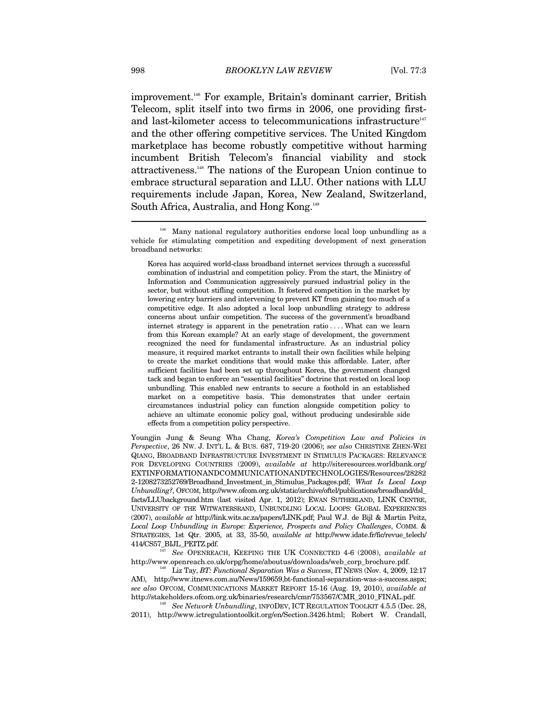improvement.<sup>146</sup> For example, Britain's dominant carrier, British Telecom, split itself into two firms in 2006, one providing firstand last-kilometer access to telecommunications infrastructure $147$ and the other offering competitive services. The United Kingdom marketplace has become robustly competitive without harming incumbent British Telecom's financial viability and stock attractiveness.148 The nations of the European Union continue to embrace structural separation and LLU. Other nations with LLU requirements include Japan, Korea, New Zealand, Switzerland, South Africa, Australia, and Hong Kong.149  $\overline{a}$ 

Korea has acquired world-class broadband internet services through a successful combination of industrial and competition policy. From the start, the Ministry of Information and Communication aggressively pursued industrial policy in the sector, but without stifling competition. It fostered competition in the market by lowering entry barriers and intervening to prevent KT from gaining too much of a competitive edge. It also adopted a local loop unbundling strategy to address concerns about unfair competition. The success of the government's broadband internet strategy is apparent in the penetration ratio .... What can we learn from this Korean example? At an early stage of development, the government recognized the need for fundamental infrastructure. As an industrial policy measure, it required market entrants to install their own facilities while helping to create the market conditions that would make this affordable. Later, after sufficient facilities had been set up throughout Korea, the government changed tack and began to enforce an "essential facilities" doctrine that rested on local loop unbundling. This enabled new entrants to secure a foothold in an established market on a competitive basis. This demonstrates that under certain circumstances industrial policy can function alongside competition policy to achieve an ultimate economic policy goal, without producing undesirable side effects from a competition policy perspective.

Youngjin Jung & Seung Wha Chang, *Korea's Competition Law and Policies in Perspective*, 26 NW. J. INT'L L. & BUS. 687, 719-20 (2006); *see also* CHRISTINE ZHEN-WEI QIANG, BROADBAND INFRASTRUCTURE INVESTMENT IN STIMULUS PACKAGES: RELEVANCE FOR DEVELOPING COUNTRIES (2009), *available at* http://siteresources.worldbank.org/ EXTINFORMATIONANDCOMMUNICATIONANDTECHNOLOGIES/Resources/28282 2-1208273252769/Broadband\_Investment\_in\_Stimulus\_Packages.pdf; *What Is Local Loop Unbundling?*, OFCOM, http://www.ofcom.org.uk/static/archive/oftel/publications/broadband/dsl\_ facts/LLUbackground.htm (last visited Apr. 1, 2012); EWAN SUTHERLAND, LINK CENTRE, UNIVERSITY OF THE WITWATERSRAND, UNBUNDLING LOCAL LOOPS: GLOBAL EXPERIENCES (2007), *available at* http://link.wits.ac.za/papers/LINK.pdf; Paul W.J. de Bijl & Martin Peitz, *Local Loop Unbundling in Europe: Experience, Prospects and Policy Challenges*, COMM. & STRATEGIES, 1st Qtr. 2005, at 33, 35-50, *available at* http://www.idate.fr/fic/revue\_telech/

414/CS57\_BIJL\_PEITZ.pdf. 147 *See* OPENREACH, KEEPING THE UK CONNECTED 4-6 (2008), *available at*

<sup>148</sup> Liz Tay, *BT: Functional Separation Was a Success*, IT NEWS (Nov. 4, 2009, 12:17 AM), http://www.itnews.com.au/News/159659,bt-functional-separation-was-a-success.aspx; *see also* OFCOM, COMMUNICATIONS MARKET REPORT 15-16 (Aug. 19, 2010), *available at*  http://stakeholders.ofcom.org.uk/binaries/research/cmr/753567/CMR\_2010\_FINAL.pdf. 149 *See Network Unbundling*, INFODEV, ICT REGULATION TOOLKIT 4.5.5 (Dec. 28,

2011), http://www.ictregulationtoolkit.org/en/Section.3426.html; Robert W. Crandall,

<sup>&</sup>lt;sup>146</sup> Many national regulatory authorities endorse local loop unbundling as a vehicle for stimulating competition and expediting development of next generation broadband networks: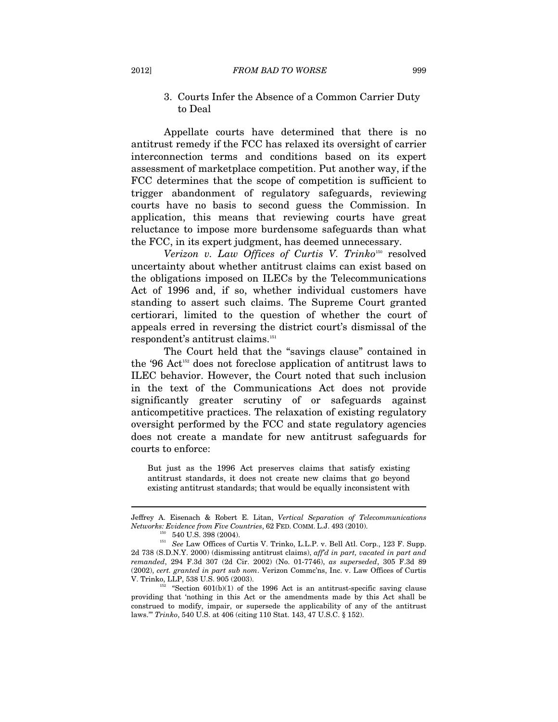### 3. Courts Infer the Absence of a Common Carrier Duty to Deal

Appellate courts have determined that there is no antitrust remedy if the FCC has relaxed its oversight of carrier interconnection terms and conditions based on its expert assessment of marketplace competition. Put another way, if the FCC determines that the scope of competition is sufficient to trigger abandonment of regulatory safeguards, reviewing courts have no basis to second guess the Commission. In application, this means that reviewing courts have great reluctance to impose more burdensome safeguards than what the FCC, in its expert judgment, has deemed unnecessary.

*Verizon v. Law Offices of Curtis V. Trinko*<sup>150</sup> resolved uncertainty about whether antitrust claims can exist based on the obligations imposed on ILECs by the Telecommunications Act of 1996 and, if so, whether individual customers have standing to assert such claims. The Supreme Court granted certiorari, limited to the question of whether the court of appeals erred in reversing the district court's dismissal of the respondent's antitrust claims.<sup>151</sup>

The Court held that the "savings clause" contained in the '96 Act152 does not foreclose application of antitrust laws to ILEC behavior. However, the Court noted that such inclusion in the text of the Communications Act does not provide significantly greater scrutiny of or safeguards against anticompetitive practices. The relaxation of existing regulatory oversight performed by the FCC and state regulatory agencies does not create a mandate for new antitrust safeguards for courts to enforce:

But just as the 1996 Act preserves claims that satisfy existing antitrust standards, it does not create new claims that go beyond existing antitrust standards; that would be equally inconsistent with

Jeffrey A. Eisenach & Robert E. Litan, *Vertical Separation of Telecommunications Networks: Evidence from Five Countries*, 62 FED. COMM. L.J. 493 (2010).<br><sup>150</sup> 540 U.S. 398 (2004).<br><sup>151</sup> *See* Law Offices of Curtis V. Trinko, L.L.P. v. Bell Atl. Corp., 123 F. Supp.

<sup>2</sup>d 738 (S.D.N.Y. 2000) (dismissing antitrust claims), *aff'd in part, vacated in part and remanded*, 294 F.3d 307 (2d Cir. 2002) (No. 01-7746), *as superseded*, 305 F.3d 89 (2002), *cert. granted in part sub nom*. Verizon Commc'ns, Inc. v. Law Offices of Curtis V. Trinko, LLP, 538 U.S. 905 (2003).<br><sup>152</sup> "Section 601(b)(1) of the 1996 Act is an antitrust-specific saving clause

providing that 'nothing in this Act or the amendments made by this Act shall be construed to modify, impair, or supersede the applicability of any of the antitrust laws.'" *Trinko*, 540 U.S. at 406 (citing 110 Stat. 143, 47 U.S.C. § 152).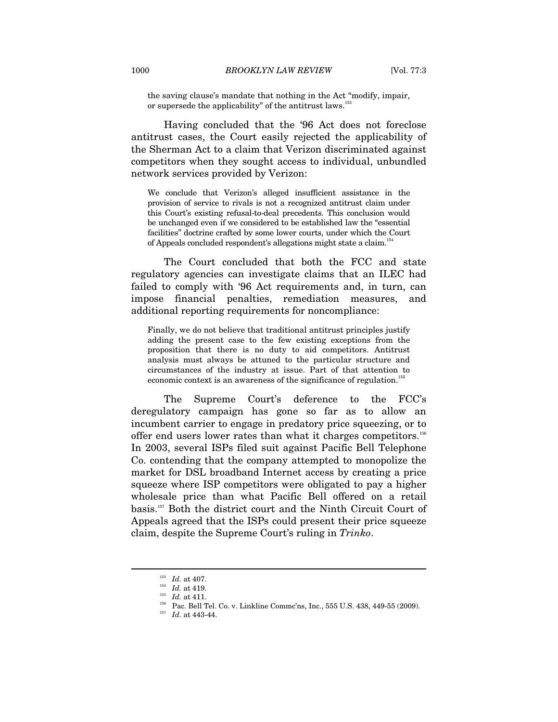the saving clause's mandate that nothing in the Act "modify, impair, or supersede the applicability" of the antitrust laws.<sup>153</sup>

Having concluded that the '96 Act does not foreclose antitrust cases, the Court easily rejected the applicability of the Sherman Act to a claim that Verizon discriminated against competitors when they sought access to individual, unbundled network services provided by Verizon:

We conclude that Verizon's alleged insufficient assistance in the provision of service to rivals is not a recognized antitrust claim under this Court's existing refusal-to-deal precedents. This conclusion would be unchanged even if we considered to be established law the "essential facilities" doctrine crafted by some lower courts, under which the Court of Appeals concluded respondent's allegations might state a claim.154

The Court concluded that both the FCC and state regulatory agencies can investigate claims that an ILEC had failed to comply with '96 Act requirements and, in turn, can impose financial penalties, remediation measures, and additional reporting requirements for noncompliance:

Finally, we do not believe that traditional antitrust principles justify adding the present case to the few existing exceptions from the proposition that there is no duty to aid competitors. Antitrust analysis must always be attuned to the particular structure and circumstances of the industry at issue. Part of that attention to economic context is an awareness of the significance of regulation.<sup>155</sup>

The Supreme Court's deference to the FCC's deregulatory campaign has gone so far as to allow an incumbent carrier to engage in predatory price squeezing, or to offer end users lower rates than what it charges competitors.156 In 2003, several ISPs filed suit against Pacific Bell Telephone Co. contending that the company attempted to monopolize the market for DSL broadband Internet access by creating a price squeeze where ISP competitors were obligated to pay a higher wholesale price than what Pacific Bell offered on a retail basis.157 Both the district court and the Ninth Circuit Court of Appeals agreed that the ISPs could present their price squeeze claim, despite the Supreme Court's ruling in *Trinko*.

<sup>&</sup>lt;sup>153</sup> *Id.* at 407.<br><sup>154</sup> *Id.* at 419.<br><sup>155</sup> *Id.* at 411.<br><sup>156</sup> Pac. Bell Tel. Co. v. Linkline Commc'ns, Inc., 555 U.S. 438, 449-55 (2009).<br><sup>157</sup> *Id.* at 443-44.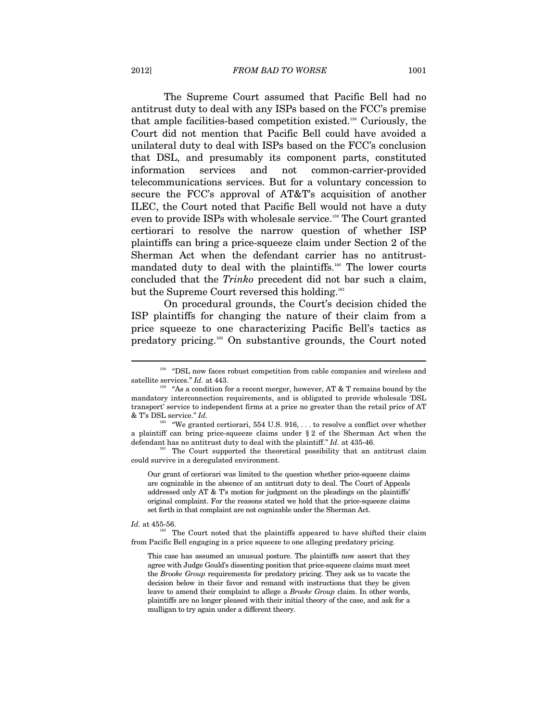### 2012] *FROM BAD TO WORSE* 1001

The Supreme Court assumed that Pacific Bell had no antitrust duty to deal with any ISPs based on the FCC's premise that ample facilities-based competition existed.158 Curiously, the Court did not mention that Pacific Bell could have avoided a unilateral duty to deal with ISPs based on the FCC's conclusion that DSL, and presumably its component parts, constituted information services and not common-carrier-provided telecommunications services. But for a voluntary concession to secure the FCC's approval of AT&T's acquisition of another ILEC, the Court noted that Pacific Bell would not have a duty even to provide ISPs with wholesale service.159 The Court granted certiorari to resolve the narrow question of whether ISP plaintiffs can bring a price-squeeze claim under Section 2 of the Sherman Act when the defendant carrier has no antitrustmandated duty to deal with the plaintiffs.160 The lower courts concluded that the *Trinko* precedent did not bar such a claim, but the Supreme Court reversed this holding.<sup>161</sup>

On procedural grounds, the Court's decision chided the ISP plaintiffs for changing the nature of their claim from a price squeeze to one characterizing Pacific Bell's tactics as predatory pricing.162 On substantive grounds, the Court noted

Our grant of certiorari was limited to the question whether price-squeeze claims are cognizable in the absence of an antitrust duty to deal. The Court of Appeals addressed only AT & T's motion for judgment on the pleadings on the plaintiffs' original complaint. For the reasons stated we hold that the price-squeeze claims set forth in that complaint are not cognizable under the Sherman Act.

 $\overline{a}$ 

*Id.* at 455-56.<br><sup>162</sup> The Court noted that the plaintiffs appeared to have shifted their claim from Pacific Bell engaging in a price squeeze to one alleging predatory pricing.

This case has assumed an unusual posture. The plaintiffs now assert that they agree with Judge Gould's dissenting position that price-squeeze claims must meet the *Brooke Group* requirements for predatory pricing. They ask us to vacate the decision below in their favor and remand with instructions that they be given leave to amend their complaint to allege a *Brooke Group* claim. In other words, plaintiffs are no longer pleased with their initial theory of the case, and ask for a mulligan to try again under a different theory.

<sup>&</sup>lt;sup>158</sup> "DSL now faces robust competition from cable companies and wireless and satellite services." *Id.* at 443.  $\frac{159}{159}$  "As a condition for a recent merger, however, AT & T remains bound by the

mandatory interconnection requirements, and is obligated to provide wholesale 'DSL transport' service to independent firms at a price no greater than the retail price of AT & T's DSL service." *Id.*

<sup>&</sup>quot;We granted certiorari, 554 U.S.  $916, \ldots$  to resolve a conflict over whether a plaintiff can bring price-squeeze claims under § 2 of the Sherman Act when the defendant has no antitrust duty to deal with the plaintiff." *Id.* at 435-46.<br><sup>161</sup> The Court supported the theoretical possibility that an antitrust claim

could survive in a deregulated environment.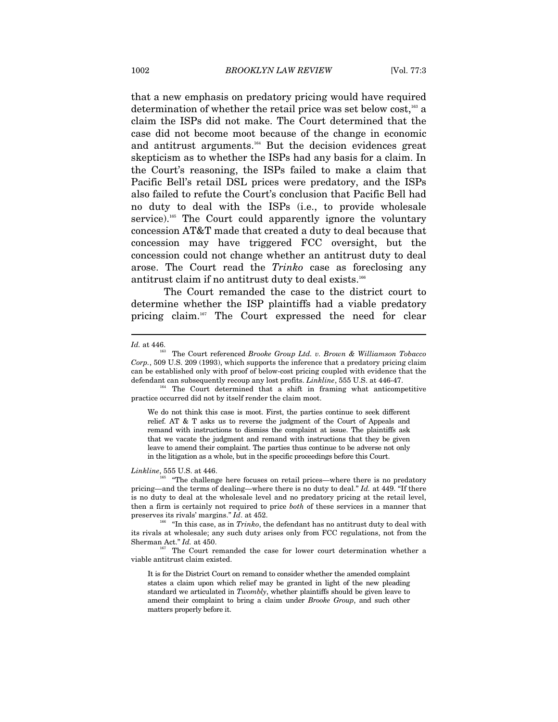that a new emphasis on predatory pricing would have required determination of whether the retail price was set below cost,163 a claim the ISPs did not make. The Court determined that the case did not become moot because of the change in economic and antitrust arguments.164 But the decision evidences great skepticism as to whether the ISPs had any basis for a claim. In the Court's reasoning, the ISPs failed to make a claim that Pacific Bell's retail DSL prices were predatory, and the ISPs also failed to refute the Court's conclusion that Pacific Bell had no duty to deal with the ISPs (i.e., to provide wholesale service).<sup>165</sup> The Court could apparently ignore the voluntary concession AT&T made that created a duty to deal because that concession may have triggered FCC oversight, but the concession could not change whether an antitrust duty to deal arose. The Court read the *Trinko* case as foreclosing any antitrust claim if no antitrust duty to deal exists.<sup>166</sup>

The Court remanded the case to the district court to determine whether the ISP plaintiffs had a viable predatory pricing claim.<sup>167</sup> The Court expressed the need for clear

 $\overline{a}$ 

### *Linkline*, 555 U.S. at 446.

*Id.* at 446.<br><sup>163</sup> The Court referenced *Brooke Group Ltd. v. Brown & Williamson Tobacco Corp.*, 509 U.S. 209 (1993), which supports the inference that a predatory pricing claim can be established only with proof of below-cost pricing coupled with evidence that the defendant can subsequently recoup any lost profits. *Linkline*, 555 U.S. at 446-47.

<sup>&</sup>lt;sup>164</sup> The Court determined that a shift in framing what anticompetitive practice occurred did not by itself render the claim moot.

We do not think this case is moot. First, the parties continue to seek different relief. AT & T asks us to reverse the judgment of the Court of Appeals and remand with instructions to dismiss the complaint at issue. The plaintiffs ask that we vacate the judgment and remand with instructions that they be given leave to amend their complaint. The parties thus continue to be adverse not only in the litigation as a whole, but in the specific proceedings before this Court.

<sup>165 &</sup>quot;The challenge here focuses on retail prices—where there is no predatory pricing—and the terms of dealing—where there is no duty to deal." *Id.* at 449. "If there is no duty to deal at the wholesale level and no predatory pricing at the retail level, then a firm is certainly not required to price *both* of these services in a manner that preserves its rivals' margins." *Id.* at 452.<br><sup>166</sup> "In this case, as in *Trinko*, the defendant has no antitrust duty to deal with

its rivals at wholesale; any such duty arises only from FCC regulations, not from the Sherman Act." *Id.* at 450.<br><sup>167</sup> The Court remanded the case for lower court determination whether a

viable antitrust claim existed.

It is for the District Court on remand to consider whether the amended complaint states a claim upon which relief may be granted in light of the new pleading standard we articulated in *Twombly*, whether plaintiffs should be given leave to amend their complaint to bring a claim under *Brooke Group*, and such other matters properly before it.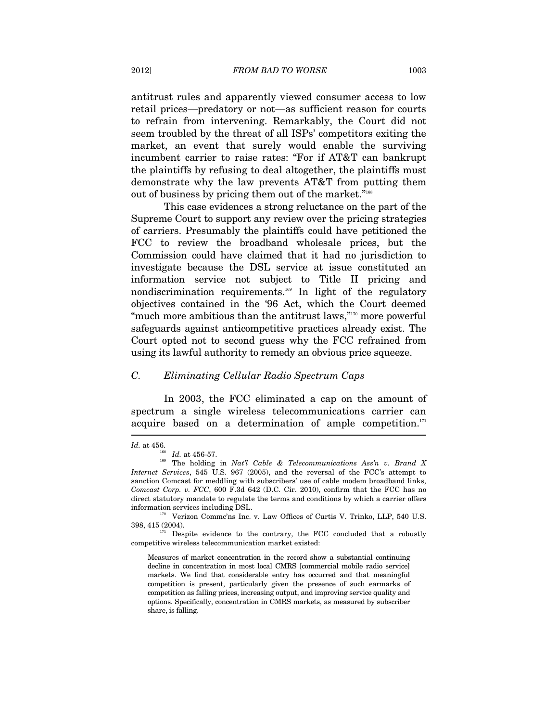antitrust rules and apparently viewed consumer access to low retail prices—predatory or not—as sufficient reason for courts to refrain from intervening. Remarkably, the Court did not seem troubled by the threat of all ISPs' competitors exiting the market, an event that surely would enable the surviving incumbent carrier to raise rates: "For if AT&T can bankrupt the plaintiffs by refusing to deal altogether, the plaintiffs must demonstrate why the law prevents AT&T from putting them out of business by pricing them out of the market."168

This case evidences a strong reluctance on the part of the Supreme Court to support any review over the pricing strategies of carriers. Presumably the plaintiffs could have petitioned the FCC to review the broadband wholesale prices, but the Commission could have claimed that it had no jurisdiction to investigate because the DSL service at issue constituted an information service not subject to Title II pricing and nondiscrimination requirements.<sup>169</sup> In light of the regulatory objectives contained in the '96 Act, which the Court deemed "much more ambitious than the antitrust laws,"<sup>170</sup> more powerful safeguards against anticompetitive practices already exist. The Court opted not to second guess why the FCC refrained from using its lawful authority to remedy an obvious price squeeze.

### *C. Eliminating Cellular Radio Spectrum Caps*

In 2003, the FCC eliminated a cap on the amount of spectrum a single wireless telecommunications carrier can acquire based on a determination of ample competition.<sup>171</sup>

 $171$  Despite evidence to the contrary, the FCC concluded that a robustly competitive wireless telecommunication market existed:

Measures of market concentration in the record show a substantial continuing decline in concentration in most local CMRS [commercial mobile radio service] markets. We find that considerable entry has occurred and that meaningful competition is present, particularly given the presence of such earmarks of competition as falling prices, increasing output, and improving service quality and options. Specifically, concentration in CMRS markets, as measured by subscriber share, is falling.

*Id.* at 456.<br><sup>168</sup> *Id.* at 456-57.<br><sup>169</sup> The holding in *Nat'l Cable & Telecommunications Ass'n v. Brand X Internet Services*, 545 U.S. 967 (2005), and the reversal of the FCC's attempt to sanction Comcast for meddling with subscribers' use of cable modem broadband links, *Comcast Corp. v. FCC*, 600 F.3d 642 (D.C. Cir. 2010), confirm that the FCC has no direct statutory mandate to regulate the terms and conditions by which a carrier offers

information services including DSL.<br><sup>170</sup> Verizon Commc'ns Inc. v. Law Offices of Curtis V. Trinko, LLP, 540 U.S.<br>398. 415 (2004).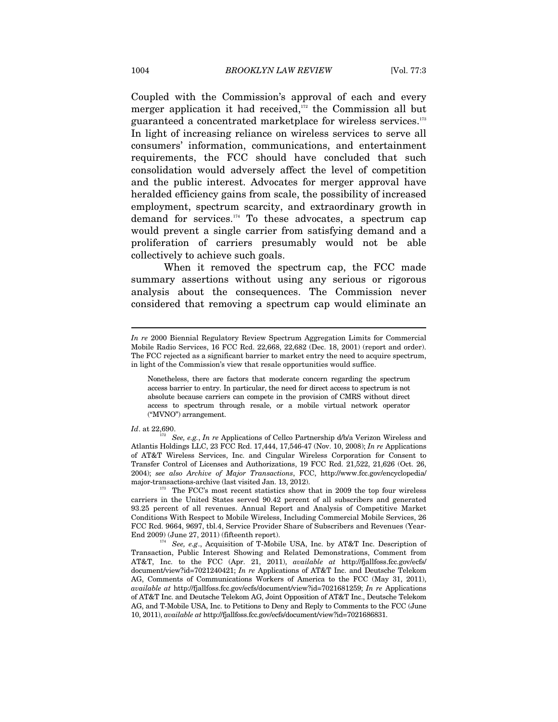Coupled with the Commission's approval of each and every merger application it had received, $172$  the Commission all but guaranteed a concentrated marketplace for wireless services.<sup>173</sup> In light of increasing reliance on wireless services to serve all consumers' information, communications, and entertainment requirements, the FCC should have concluded that such consolidation would adversely affect the level of competition and the public interest. Advocates for merger approval have heralded efficiency gains from scale, the possibility of increased employment, spectrum scarcity, and extraordinary growth in demand for services.174 To these advocates, a spectrum cap would prevent a single carrier from satisfying demand and a proliferation of carriers presumably would not be able collectively to achieve such goals.

When it removed the spectrum cap, the FCC made summary assertions without using any serious or rigorous analysis about the consequences. The Commission never considered that removing a spectrum cap would eliminate an

*In re* 2000 Biennial Regulatory Review Spectrum Aggregation Limits for Commercial Mobile Radio Services, 16 FCC Rcd. 22,668, 22,682 (Dec. 18, 2001) (report and order). The FCC rejected as a significant barrier to market entry the need to acquire spectrum, in light of the Commission's view that resale opportunities would suffice.

Nonetheless, there are factors that moderate concern regarding the spectrum access barrier to entry. In particular, the need for direct access to spectrum is not absolute because carriers can compete in the provision of CMRS without direct access to spectrum through resale, or a mobile virtual network operator ("MVNO") arrangement.

*Id.* at 22,690.<br><sup>172</sup> *See, e.g., In re* Applications of Cellco Partnership d/b/a Verizon Wireless and Atlantis Holdings LLC, 23 FCC Rcd. 17,444, 17,546-47 (Nov. 10, 2008); *In re* Applications of AT&T Wireless Services, Inc. and Cingular Wireless Corporation for Consent to Transfer Control of Licenses and Authorizations, 19 FCC Rcd. 21,522, 21,626 (Oct. 26, 2004); *see also Archive of Major Transactions*, FCC, http://www.fcc.gov/encyclopedia/ major-transactions-archive (last visited Jan. 13, 2012).<br><sup>173</sup> The FCC's most recent statistics show that in 2009 the top four wireless

carriers in the United States served 90.42 percent of all subscribers and generated 93.25 percent of all revenues. Annual Report and Analysis of Competitive Market Conditions With Respect to Mobile Wireless, Including Commercial Mobile Services, 26 FCC Rcd. 9664, 9697, tbl.4, Service Provider Share of Subscribers and Revenues (Year-End 2009) (June 27, 2011) (fifteenth report).<br><sup>174</sup> See, e.g., Acquisition of T-Mobile USA, Inc. by AT&T Inc. Description of

Transaction, Public Interest Showing and Related Demonstrations, Comment from AT&T, Inc. to the FCC (Apr. 21, 2011), *available at* http://fjallfoss.fcc.gov/ecfs/ document/view?id=7021240421; *In re* Applications of AT&T Inc. and Deutsche Telekom AG, Comments of Communications Workers of America to the FCC (May 31, 2011), *available at* http://fjallfoss.fcc.gov/ecfs/document/view?id=7021681259; *In re* Applications of AT&T Inc. and Deutsche Telekom AG, Joint Opposition of AT&T Inc., Deutsche Telekom AG, and T-Mobile USA, Inc. to Petitions to Deny and Reply to Comments to the FCC (June 10, 2011), *available at* http://fjallfoss.fcc.gov/ecfs/document/view?id=7021686831.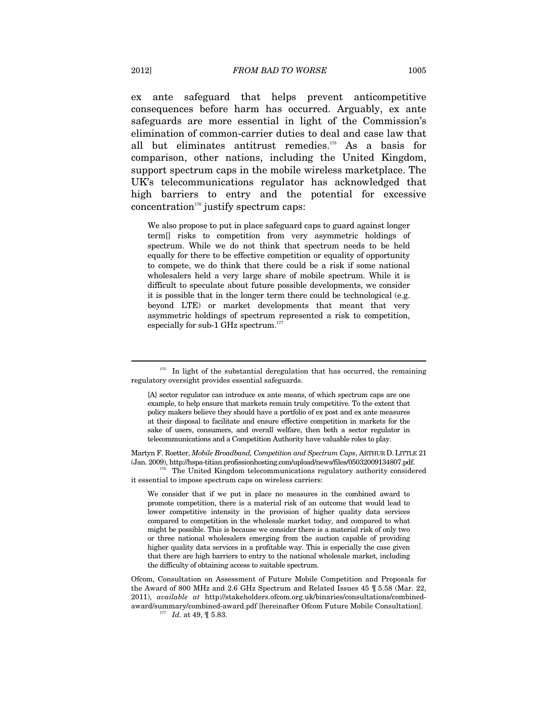ex ante safeguard that helps prevent anticompetitive consequences before harm has occurred. Arguably, ex ante safeguards are more essential in light of the Commission's elimination of common-carrier duties to deal and case law that all but eliminates antitrust remedies.175 As a basis for comparison, other nations, including the United Kingdom, support spectrum caps in the mobile wireless marketplace. The UK's telecommunications regulator has acknowledged that high barriers to entry and the potential for excessive concentration<sup>176</sup> justify spectrum caps:

We also propose to put in place safeguard caps to guard against longer term[] risks to competition from very asymmetric holdings of spectrum. While we do not think that spectrum needs to be held equally for there to be effective competition or equality of opportunity to compete, we do think that there could be a risk if some national wholesalers held a very large share of mobile spectrum. While it is difficult to speculate about future possible developments, we consider it is possible that in the longer term there could be technological (e.g. beyond LTE) or market developments that meant that very asymmetric holdings of spectrum represented a risk to competition, especially for sub-1 GHz spectrum.<sup>177</sup>

Martyn F. Roetter, *Mobile Broadband, Competition and Spectrum Caps*, ARTHUR D. LITTLE 21 (Jan. 2009), http://hspa-titian.profissionhosting.com/upload/news/files/05032009134807.pdf. 176 The United Kingdom telecommunications regulatory authority considered

it essential to impose spectrum caps on wireless carriers:

We consider that if we put in place no measures in the combined award to promote competition, there is a material risk of an outcome that would lead to lower competitive intensity in the provision of higher quality data services compared to competition in the wholesale market today, and compared to what might be possible. This is because we consider there is a material risk of only two or three national wholesalers emerging from the auction capable of providing higher quality data services in a profitable way. This is especially the case given that there are high barriers to entry to the national wholesale market, including the difficulty of obtaining access to suitable spectrum.

Ofcom, Consultation on Assessment of Future Mobile Competition and Proposals for the Award of 800 MHz and 2.6 GHz Spectrum and Related Issues 45 ¶ 5.58 (Mar. 22, 2011), *available at* http://stakeholders.ofcom.org.uk/binaries/consultations/combinedaward/summary/combined-award.pdf [hereinafter Ofcom Future Mobile Consultation].<br><sup>177</sup> *Id.* at 49, ¶ 5.83.

In light of the substantial deregulation that has occurred, the remaining regulatory oversight provides essential safeguards.

<sup>[</sup>A] sector regulator can introduce ex ante means, of which spectrum caps are one example, to help ensure that markets remain truly competitive. To the extent that policy makers believe they should have a portfolio of ex post and ex ante measures at their disposal to facilitate and ensure effective competition in markets for the sake of users, consumers, and overall welfare, then both a sector regulator in telecommunications and a Competition Authority have valuable roles to play.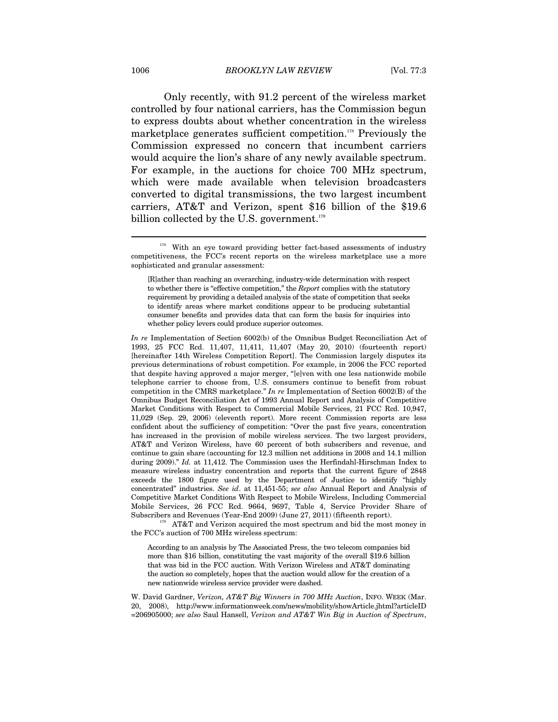Only recently, with 91.2 percent of the wireless market controlled by four national carriers, has the Commission begun to express doubts about whether concentration in the wireless marketplace generates sufficient competition.<sup>178</sup> Previously the Commission expressed no concern that incumbent carriers would acquire the lion's share of any newly available spectrum. For example, in the auctions for choice 700 MHz spectrum, which were made available when television broadcasters converted to digital transmissions, the two largest incumbent carriers, AT&T and Verizon, spent \$16 billion of the \$19.6 billion collected by the U.S. government. $179$ 

*In re* Implementation of Section 6002(b) of the Omnibus Budget Reconciliation Act of 1993, 25 FCC Rcd. 11,407, 11,411, 11,407 (May 20, 2010) (fourteenth report) [hereinafter 14th Wireless Competition Report]. The Commission largely disputes its previous determinations of robust competition. For example, in 2006 the FCC reported that despite having approved a major merger, "[e]ven with one less nationwide mobile telephone carrier to choose from, U.S. consumers continue to benefit from robust competition in the CMRS marketplace." *In re* Implementation of Section 6002(B) of the Omnibus Budget Reconciliation Act of 1993 Annual Report and Analysis of Competitive Market Conditions with Respect to Commercial Mobile Services, 21 FCC Rcd. 10,947, 11,029 (Sep. 29, 2006) (eleventh report). More recent Commission reports are less confident about the sufficiency of competition: "Over the past five years, concentration has increased in the provision of mobile wireless services. The two largest providers, AT&T and Verizon Wireless, have 60 percent of both subscribers and revenue, and continue to gain share (accounting for 12.3 million net additions in 2008 and 14.1 million during 2009)." *Id.* at 11,412. The Commission uses the Herfindahl-Hirschman Index to measure wireless industry concentration and reports that the current figure of 2848 exceeds the 1800 figure used by the Department of Justice to identify "highly concentrated" industries. *See id*. at 11,451-55; *see also* Annual Report and Analysis of Competitive Market Conditions With Respect to Mobile Wireless, Including Commercial Mobile Services, 26 FCC Rcd. 9664, 9697, Table 4, Service Provider Share of

Subscribers and Revenues (Year-End 2009) (June 27, 2011) (fifteenth report). 179 AT&T and Verizon acquired the most spectrum and bid the most money in the FCC's auction of 700 MHz wireless spectrum:

According to an analysis by The Associated Press, the two telecom companies bid more than \$16 billion, constituting the vast majority of the overall \$19.6 billion that was bid in the FCC auction. With Verizon Wireless and AT&T dominating the auction so completely, hopes that the auction would allow for the creation of a new nationwide wireless service provider were dashed.

W. David Gardner, *Verizon, AT&T Big Winners in 700 MHz Auction*, INFO. WEEK (Mar. 20, 2008), http://www.informationweek.com/news/mobility/showArticle.jhtml?articleID =206905000; *see also* Saul Hansell, *Verizon and AT&T Win Big in Auction of Spectrum*,

 $178$  With an eye toward providing better fact-based assessments of industry competitiveness, the FCC's recent reports on the wireless marketplace use a more sophisticated and granular assessment:

<sup>[</sup>R]ather than reaching an overarching, industry-wide determination with respect to whether there is "effective competition," the *Report* complies with the statutory requirement by providing a detailed analysis of the state of competition that seeks to identify areas where market conditions appear to be producing substantial consumer benefits and provides data that can form the basis for inquiries into whether policy levers could produce superior outcomes.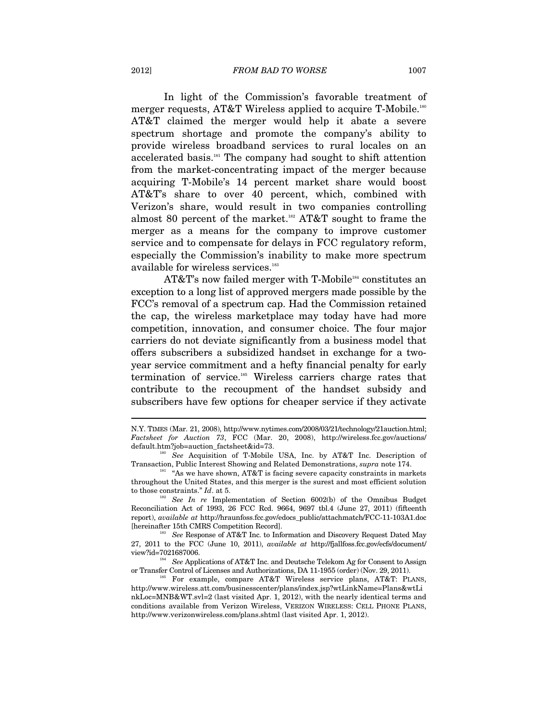In light of the Commission's favorable treatment of merger requests, AT&T Wireless applied to acquire T-Mobile.<sup>180</sup> AT&T claimed the merger would help it abate a severe spectrum shortage and promote the company's ability to provide wireless broadband services to rural locales on an accelerated basis.181 The company had sought to shift attention from the market-concentrating impact of the merger because acquiring T-Mobile's 14 percent market share would boost AT&T's share to over 40 percent, which, combined with Verizon's share, would result in two companies controlling almost 80 percent of the market.<sup>182</sup> AT&T sought to frame the merger as a means for the company to improve customer service and to compensate for delays in FCC regulatory reform, especially the Commission's inability to make more spectrum available for wireless services.<sup>183</sup>

AT&T's now failed merger with T-Mobile<sup>184</sup> constitutes an exception to a long list of approved mergers made possible by the FCC's removal of a spectrum cap. Had the Commission retained the cap, the wireless marketplace may today have had more competition, innovation, and consumer choice. The four major carriers do not deviate significantly from a business model that offers subscribers a subsidized handset in exchange for a twoyear service commitment and a hefty financial penalty for early termination of service.<sup>185</sup> Wireless carriers charge rates that contribute to the recoupment of the handset subsidy and subscribers have few options for cheaper service if they activate

N.Y. TIMES (Mar. 21, 2008), http://www.nytimes.com/2008/03/21/technology/21auction.html; *Factsheet for Auction 73*, FCC (Mar. 20, 2008), http://wireless.fcc.gov/auctions/ default.htm?job=auction\_factsheet&id=73. 180 *See* Acquisition of T-Mobile USA, Inc. by AT&T Inc. Description of

Transaction, Public Interest Showing and Related Demonstrations, *supra* note 174.<br><sup>181</sup> "As we have shown, AT&T is facing severe capacity constraints in markets

throughout the United States, and this merger is the surest and most efficient solution to those constraints." *Id*. at 5. 182 *See In re* Implementation of Section 6002(b) of the Omnibus Budget

Reconciliation Act of 1993, 26 FCC Rcd. 9664, 9697 tbl.4 (June 27, 2011) (fifteenth report), *available at* http://hraunfoss.fcc.gov/edocs\_public/attachmatch/FCC-11-103A1.doc

<sup>&</sup>lt;sup>183</sup> See Response of AT&T Inc. to Information and Discovery Request Dated May  $27,\ 2011$  to the FCC (June 10, 2011),  $available\ at\$  http://fjallfoss.fcc.gov/ecfs/document/  $view$  ?id=7021687006.

<sup>&</sup>lt;sup>184</sup> See Applications of AT&T Inc. and Deutsche Telekom Ag for Consent to Assign or Transfer Control of Licenses and Authorizations, DA 11-1955 (order) (Nov. 29, 2011).

<sup>&</sup>lt;sup>35</sup> For example, compare AT&T Wireless service plans, AT&T: PLANS, http://www.wireless.att.com/businesscenter/plans/index.jsp?wtLinkName=Plans&wtLi nkLoc=MNB&WT.svl=2 (last visited Apr. 1, 2012), with the nearly identical terms and conditions available from Verizon Wireless, VERIZON WIRELESS: CELL PHONE PLANS, http://www.verizonwireless.com/plans.shtml (last visited Apr. 1, 2012).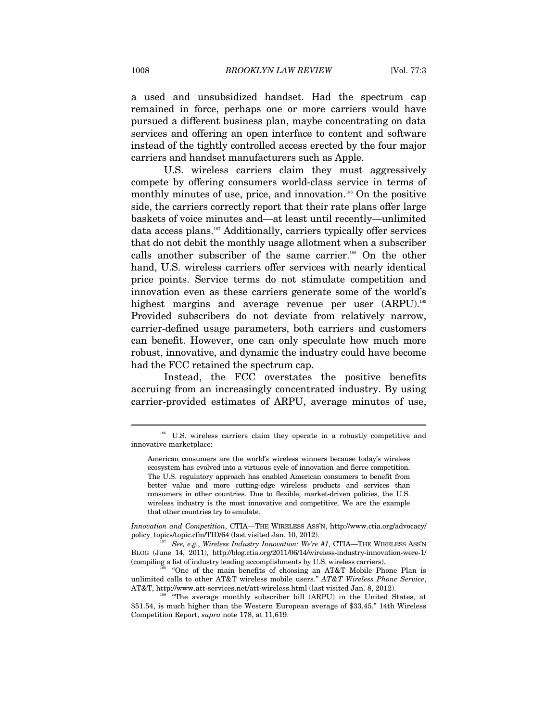a used and unsubsidized handset. Had the spectrum cap remained in force, perhaps one or more carriers would have pursued a different business plan, maybe concentrating on data services and offering an open interface to content and software instead of the tightly controlled access erected by the four major carriers and handset manufacturers such as Apple.

U.S. wireless carriers claim they must aggressively compete by offering consumers world-class service in terms of monthly minutes of use, price, and innovation.<sup>186</sup> On the positive side, the carriers correctly report that their rate plans offer large baskets of voice minutes and—at least until recently—unlimited data access plans.<sup>187</sup> Additionally, carriers typically offer services that do not debit the monthly usage allotment when a subscriber calls another subscriber of the same carrier.<sup>188</sup> On the other hand, U.S. wireless carriers offer services with nearly identical price points. Service terms do not stimulate competition and innovation even as these carriers generate some of the world's highest margins and average revenue per user (ARPU).<sup>189</sup> Provided subscribers do not deviate from relatively narrow, carrier-defined usage parameters, both carriers and customers can benefit. However, one can only speculate how much more robust, innovative, and dynamic the industry could have become had the FCC retained the spectrum cap.

Instead, the FCC overstates the positive benefits accruing from an increasingly concentrated industry. By using carrier-provided estimates of ARPU, average minutes of use,

<sup>186</sup> U.S. wireless carriers claim they operate in a robustly competitive and innovative marketplace:

American consumers are the world's wireless winners because today's wireless ecosystem has evolved into a virtuous cycle of innovation and fierce competition. The U.S. regulatory approach has enabled American consumers to benefit from better value and more cutting-edge wireless products and services than consumers in other countries. Due to flexible, market-driven policies, the U.S. wireless industry is the most innovative and competitive. We are the example that other countries try to emulate.

*Innovation and Competition*, CTIA—THE WIRELESS ASS'N, http://www.ctia.org/advocacy/ policy\_topics/topic.cfm/TID/64 (last visited Jan. 10, 2012). <sup>187</sup> See, e.g., *Wireless Industry Innovation: We're #1*, CTIA—THE WIRELESS ASS'N

BLOG (June 14, 2011), http://blog.ctia.org/2011/06/14/wireless-industry-innovation-were-1/

<sup>&</sup>quot;One of the main benefits of choosing an AT&T Mobile Phone Plan is unlimited calls to other AT&T wireless mobile users." *AT&T Wireless Phone Service*, AT&T, http://www.att-services.net/att-wireless.html (last visited Jan. 8, 2012). 189 "The average monthly subscriber bill (ARPU) in the United States, at

<sup>\$51.54,</sup> is much higher than the Western European average of \$33.45." 14th Wireless Competition Report, *supra* note 178, at 11,619.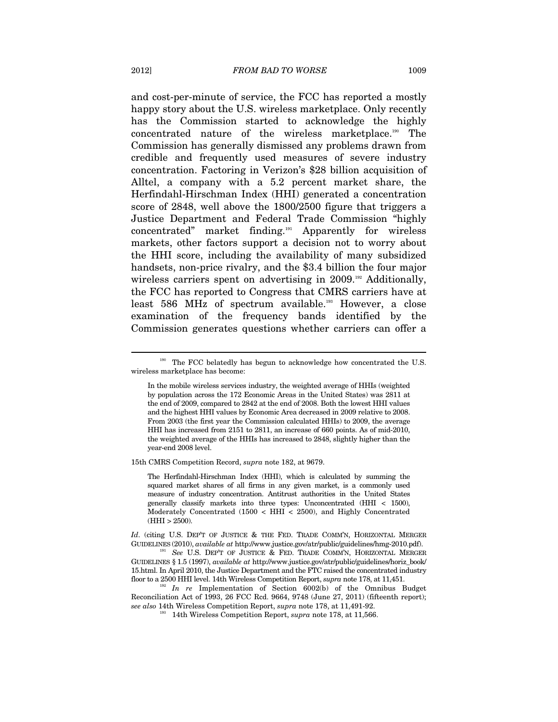and cost-per-minute of service, the FCC has reported a mostly happy story about the U.S. wireless marketplace. Only recently has the Commission started to acknowledge the highly concentrated nature of the wireless marketplace.190 The Commission has generally dismissed any problems drawn from credible and frequently used measures of severe industry concentration. Factoring in Verizon's \$28 billion acquisition of Alltel, a company with a 5.2 percent market share, the Herfindahl-Hirschman Index (HHI) generated a concentration score of 2848, well above the 1800/2500 figure that triggers a Justice Department and Federal Trade Commission "highly concentrated" market finding.191 Apparently for wireless markets, other factors support a decision not to worry about the HHI score, including the availability of many subsidized handsets, non-price rivalry, and the \$3.4 billion the four major wireless carriers spent on advertising in 2009.<sup>192</sup> Additionally, the FCC has reported to Congress that CMRS carriers have at least 586 MHz of spectrum available.<sup>193</sup> However, a close examination of the frequency bands identified by the Commission generates questions whether carriers can offer a

15th CMRS Competition Record, *supra* note 182, at 9679.

The Herfindahl-Hirschman Index (HHI), which is calculated by summing the squared market shares of all firms in any given market, is a commonly used measure of industry concentration. Antitrust authorities in the United States generally classify markets into three types: Unconcentrated (HHI < 1500), Moderately Concentrated (1500 < HHI < 2500), and Highly Concentrated  $(HHI > 2500)$ .

*Id.* (citing U.S. DEP'T OF JUSTICE & THE FED. TRADE COMM'N, HORIZONTAL MERGER GUIDELINES (2010), *available at* http://www.justice.gov/atr/public/guidelines/hmg-2010.pdf). 191 *See* U.S. DEP'T OF JUSTICE & FED. TRADE COMM'N, HORIZONTAL MERGER

<sup>&</sup>lt;sup>190</sup> The FCC belatedly has begun to acknowledge how concentrated the U.S. wireless marketplace has become:

In the mobile wireless services industry, the weighted average of HHIs (weighted by population across the 172 Economic Areas in the United States) was 2811 at the end of 2009, compared to 2842 at the end of 2008. Both the lowest HHI values and the highest HHI values by Economic Area decreased in 2009 relative to 2008. From 2003 (the first year the Commission calculated HHIs) to 2009, the average HHI has increased from 2151 to 2811, an increase of 660 points. As of mid-2010, the weighted average of the HHIs has increased to 2848, slightly higher than the year-end 2008 level.

GUIDELINES § 1.5 (1997), *available at* http://www.justice.gov/atr/public/guidelines/horiz\_book/ 15.html. In April 2010, the Justice Department and the FTC raised the concentrated industry floor to a 2500 HHI level. 14th Wireless Competition Report, *supra* note 178, at 11,451.

<sup>&</sup>lt;sup>192</sup> In re Implementation of Section 6002(b) of the Omnibus Budget Reconciliation Act of 1993, 26 FCC Rcd. 9664, 9748 (June 27, 2011) (fifteenth report); *see also* 14th Wireless Competition Report, *supra* note 178, at 11,491-92. 193 14th Wireless Competition Report, *supra* note 178, at 11,566.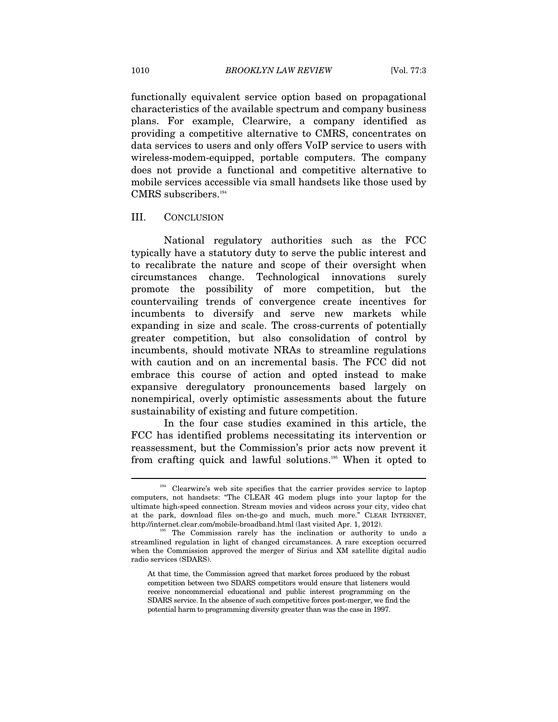functionally equivalent service option based on propagational characteristics of the available spectrum and company business plans. For example, Clearwire, a company identified as providing a competitive alternative to CMRS, concentrates on data services to users and only offers VoIP service to users with wireless-modem-equipped, portable computers. The company does not provide a functional and competitive alternative to mobile services accessible via small handsets like those used by CMRS subscribers.<sup>194</sup>

### III. CONCLUSION

National regulatory authorities such as the FCC typically have a statutory duty to serve the public interest and to recalibrate the nature and scope of their oversight when circumstances change. Technological innovations surely promote the possibility of more competition, but the countervailing trends of convergence create incentives for incumbents to diversify and serve new markets while expanding in size and scale. The cross-currents of potentially greater competition, but also consolidation of control by incumbents, should motivate NRAs to streamline regulations with caution and on an incremental basis. The FCC did not embrace this course of action and opted instead to make expansive deregulatory pronouncements based largely on nonempirical, overly optimistic assessments about the future sustainability of existing and future competition.

In the four case studies examined in this article, the FCC has identified problems necessitating its intervention or reassessment, but the Commission's prior acts now prevent it from crafting quick and lawful solutions.195 When it opted to

<sup>&</sup>lt;sup>194</sup> Clearwire's web site specifies that the carrier provides service to laptop computers, not handsets: "The CLEAR 4G modem plugs into your laptop for the ultimate high-speed connection. Stream movies and videos across your city, video chat at the park, download files on-the-go and much, much more." CLEAR INTERNET, http://internet.clear.com/mobile-broadband.html (last visited Apr. 1, 2012).<br><sup>195</sup> The Commission rarely has the inclination or authority to undo a

streamlined regulation in light of changed circumstances. A rare exception occurred when the Commission approved the merger of Sirius and XM satellite digital audio radio services (SDARS).

At that time, the Commission agreed that market forces produced by the robust competition between two SDARS competitors would ensure that listeners would receive noncommercial educational and public interest programming on the SDARS service. In the absence of such competitive forces post-merger, we find the potential harm to programming diversity greater than was the case in 1997.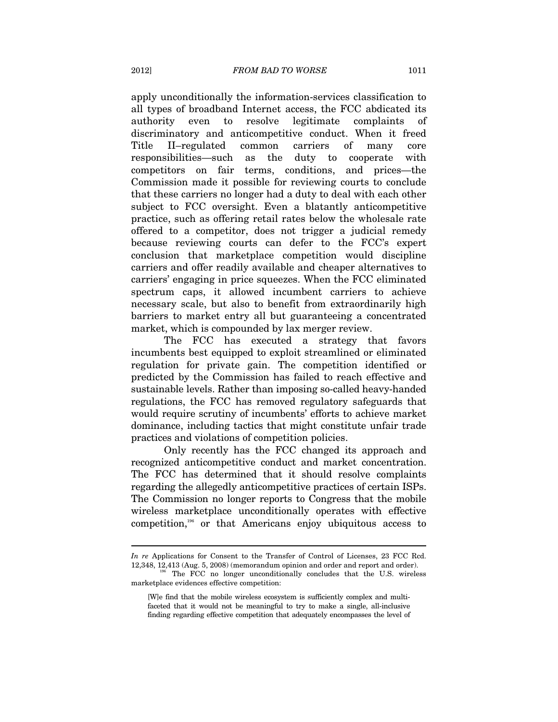apply unconditionally the information-services classification to all types of broadband Internet access, the FCC abdicated its authority even to resolve legitimate complaints of discriminatory and anticompetitive conduct. When it freed Title II–regulated common carriers of many core responsibilities—such as the duty to cooperate with competitors on fair terms, conditions, and prices—the Commission made it possible for reviewing courts to conclude that these carriers no longer had a duty to deal with each other subject to FCC oversight. Even a blatantly anticompetitive practice, such as offering retail rates below the wholesale rate offered to a competitor, does not trigger a judicial remedy because reviewing courts can defer to the FCC's expert conclusion that marketplace competition would discipline carriers and offer readily available and cheaper alternatives to carriers' engaging in price squeezes. When the FCC eliminated spectrum caps, it allowed incumbent carriers to achieve necessary scale, but also to benefit from extraordinarily high barriers to market entry all but guaranteeing a concentrated market, which is compounded by lax merger review.

The FCC has executed a strategy that favors incumbents best equipped to exploit streamlined or eliminated regulation for private gain. The competition identified or predicted by the Commission has failed to reach effective and sustainable levels. Rather than imposing so-called heavy-handed regulations, the FCC has removed regulatory safeguards that would require scrutiny of incumbents' efforts to achieve market dominance, including tactics that might constitute unfair trade practices and violations of competition policies.

Only recently has the FCC changed its approach and recognized anticompetitive conduct and market concentration. The FCC has determined that it should resolve complaints regarding the allegedly anticompetitive practices of certain ISPs. The Commission no longer reports to Congress that the mobile wireless marketplace unconditionally operates with effective competition,196 or that Americans enjoy ubiquitous access to

*In re* Applications for Consent to the Transfer of Control of Licenses, 23 FCC Rcd. 12,348, 12,413 (Aug. 5, 2008) (memorandum opinion and order and report and order). 196 The FCC no longer unconditionally concludes that the U.S. wireless

marketplace evidences effective competition:

<sup>[</sup>W]e find that the mobile wireless ecosystem is sufficiently complex and multifaceted that it would not be meaningful to try to make a single, all-inclusive finding regarding effective competition that adequately encompasses the level of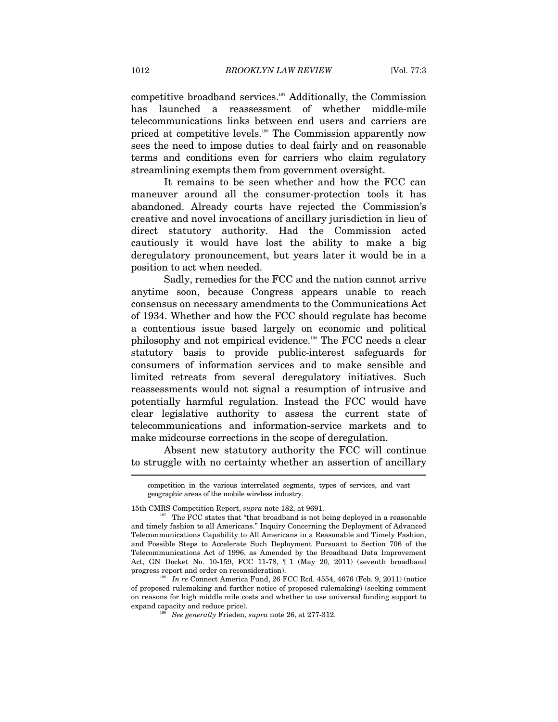competitive broadband services.197 Additionally, the Commission has launched a reassessment of whether middle-mile telecommunications links between end users and carriers are priced at competitive levels.198 The Commission apparently now sees the need to impose duties to deal fairly and on reasonable terms and conditions even for carriers who claim regulatory streamlining exempts them from government oversight.

It remains to be seen whether and how the FCC can maneuver around all the consumer-protection tools it has abandoned. Already courts have rejected the Commission's creative and novel invocations of ancillary jurisdiction in lieu of direct statutory authority. Had the Commission acted cautiously it would have lost the ability to make a big deregulatory pronouncement, but years later it would be in a position to act when needed.

Sadly, remedies for the FCC and the nation cannot arrive anytime soon, because Congress appears unable to reach consensus on necessary amendments to the Communications Act of 1934. Whether and how the FCC should regulate has become a contentious issue based largely on economic and political philosophy and not empirical evidence.199 The FCC needs a clear statutory basis to provide public-interest safeguards for consumers of information services and to make sensible and limited retreats from several deregulatory initiatives. Such reassessments would not signal a resumption of intrusive and potentially harmful regulation. Instead the FCC would have clear legislative authority to assess the current state of telecommunications and information-service markets and to make midcourse corrections in the scope of deregulation.

Absent new statutory authority the FCC will continue to struggle with no certainty whether an assertion of ancillary

competition in the various interrelated segments, types of services, and vast geographic areas of the mobile wireless industry.

<sup>15</sup>th CMRS Competition Report, *supra* note 182, at 9691.<br><sup>197</sup> The FCC states that "that broadband is not being deployed in a reasonable and timely fashion to all Americans." Inquiry Concerning the Deployment of Advanced Telecommunications Capability to All Americans in a Reasonable and Timely Fashion, and Possible Steps to Accelerate Such Deployment Pursuant to Section 706 of the Telecommunications Act of 1996, as Amended by the Broadband Data Improvement Act, GN Docket No. 10-159, FCC 11-78, ¶ 1 (May 20, 2011) (seventh broadband progress report and order on reconsideration). 198 *In re* Connect America Fund, 26 FCC Rcd. 4554, 4676 (Feb. 9, 2011) (notice

of proposed rulemaking and further notice of proposed rulemaking) (seeking comment on reasons for high middle mile costs and whether to use universal funding support to expand capacity and reduce price). 199 *See generally* Frieden, *supra* note 26, at 277-312.